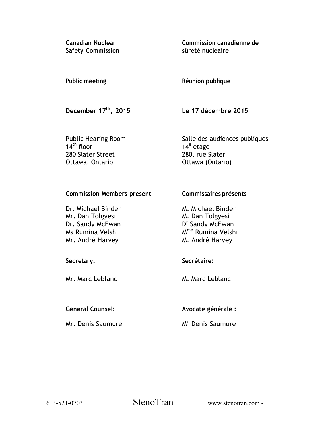**Canadian Nuclear Safety Commission**  **Commission canadienne de sûreté nucléaire** 

### **Public meeting**

# **Réunion publique**

 **December 17th, 2015** 

**Le 17 décembre 2015** 

**Commissaires présents** 

 Public Hearing Room 14<sup>th</sup> floor 280 Slater Street Ottawa, Ontario

Salle des audiences publiques 14<sup>e</sup> étage 280, rue Slater Ottawa (Ontario)

### **Commission Members present**

| Dr. Michael Binder | M. Michael Binder             |
|--------------------|-------------------------------|
| Mr. Dan Tolgyesi   | M. Dan Tolgyesi               |
| Dr. Sandy McEwan   | D <sup>r</sup> Sandy McEwan   |
| Ms Rumina Velshi   | M <sup>me</sup> Rumina Velshi |
| Mr. André Harvey   | M. André Harvey               |

# **Secretary:**

Mr. Marc Leblanc

## **General Counsel:**

Mr. Denis Saumure

## **Secrétaire:**

M. Marc Leblanc

**Avocate générale :** 

Me Denis Saumure

613-521-0703 StenoTran

www.stenotran.com -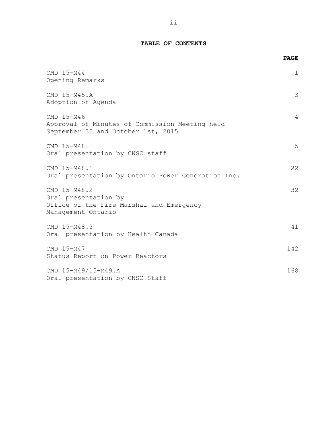### **TABLE OF CONTENTS**

|                                                                                                        | <b>PAGE</b> |
|--------------------------------------------------------------------------------------------------------|-------------|
| CMD 15-M44<br>Opening Remarks                                                                          | 1           |
| CMD 15-M45.A<br>Adoption of Agenda                                                                     | 3           |
| CMD 15-M46<br>Approval of Minutes of Commission Meeting held<br>September 30 and October 1st, 2015     | 4           |
| CMD 15-M48<br>Oral presentation by CNSC staff                                                          | 5           |
| CMD 15-M48.1<br>Oral presentation by Ontario Power Generation Inc.                                     | 22          |
| CMD 15-M48.2<br>Oral presentation by<br>Office of the Fire Marshal and Emergency<br>Management Ontario | 32          |
| CMD 15-M48.3<br>Oral presentation by Health Canada                                                     | 41          |
| CMD 15-M47<br>Status Report on Power Reactors                                                          | 142         |
| CMD 15-M49/15-M49.A<br>Oral presentation by CNSC Staff                                                 | 168         |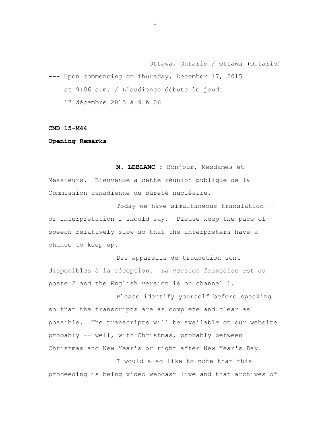Ottawa, Ontario / Ottawa (Ontario) --- Upon commencing on Thursday, December 17, 2015 at 9:06 a.m. / L'audience débute le jeudi 17 décembre 2015 à 9 h 06

**CMD 15-M44** 

**Opening Remarks** 

**M. LEBLANC :** Bonjour, Mesdames et Messieurs. Bienvenue à cette réunion publique de la Commission canadienne de sûreté nucléaire.

Today we have simultaneous translation - or interpretation I should say. Please keep the pace of speech relatively slow so that the interpreters have a chance to keep up.

Des appareils de traduction sont disponibles à la réception. La version française est au poste 2 and the English version is on channel 1.

Please identify yourself before speaking so that the transcripts are as complete and clear as possible. The transcripts will be available on our website probably -- well, with Christmas, probably between Christmas and New Year's or right after New Year's Day.

I would also like to note that this proceeding is being video webcast live and that archives of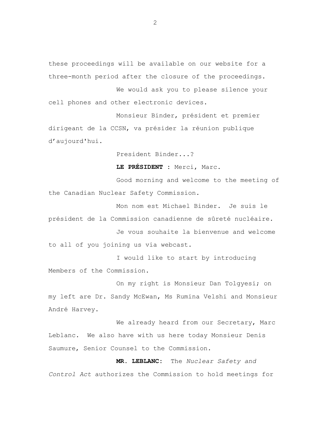these proceedings will be available on our website for a three-month period after the closure of the proceedings.

We would ask you to please silence your cell phones and other electronic devices.

Monsieur Binder, président et premier dirigeant de la CCSN, va présider la réunion publique d'aujourd'hui.

President Binder...?

**LE PRÉSIDENT :** Merci, Marc.

Good morning and welcome to the meeting of the Canadian Nuclear Safety Commission.

Mon nom est Michael Binder. Je suis le président de la Commission canadienne de sûreté nucléaire.

Je vous souhaite la bienvenue and welcome to all of you joining us via webcast.

I would like to start by introducing Members of the Commission.

On my right is Monsieur Dan Tolgyesi; on my left are Dr. Sandy McEwan, Ms Rumina Velshi and Monsieur André Harvey.

We already heard from our Secretary, Marc Leblanc. We also have with us here today Monsieur Denis Saumure, Senior Counsel to the Commission.

**MR. LEBLANC:** The *Nuclear Safety and Control Act* authorizes the Commission to hold meetings for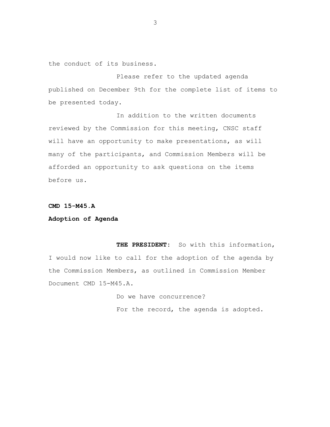the conduct of its business.

Please refer to the updated agenda published on December 9th for the complete list of items to be presented today.

In addition to the written documents reviewed by the Commission for this meeting, CNSC staff will have an opportunity to make presentations, as will many of the participants, and Commission Members will be afforded an opportunity to ask questions on the items before us.

#### **CMD 15-M45.A**

#### **Adoption of Agenda**

**THE PRESIDENT:** So with this information, I would now like to call for the adoption of the agenda by the Commission Members, as outlined in Commission Member Document CMD 15-M45.A.

> Do we have concurrence? For the record, the agenda is adopted.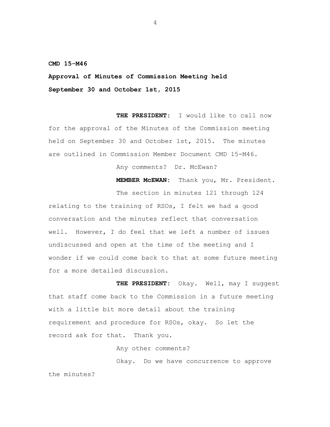**CMD 15-M46** 

**Approval of Minutes of Commission Meeting held September 30 and October 1st, 2015** 

**THE PRESIDENT:** I would like to call now for the approval of the Minutes of the Commission meeting held on September 30 and October 1st, 2015. The minutes are outlined in Commission Member Document CMD 15-M46.

Any comments? Dr. McEwan?

**MEMBER McEWAN:** Thank you, Mr. President.

The section in minutes 121 through 124

relating to the training of RSOs, I felt we had a good conversation and the minutes reflect that conversation well. However, I do feel that we left a number of issues undiscussed and open at the time of the meeting and I wonder if we could come back to that at some future meeting for a more detailed discussion.

**THE PRESIDENT:** Okay. Well, may I suggest that staff come back to the Commission in a future meeting with a little bit more detail about the training requirement and procedure for RSOs, okay. So let the record ask for that. Thank you.

Any other comments?

Okay. Do we have concurrence to approve the minutes?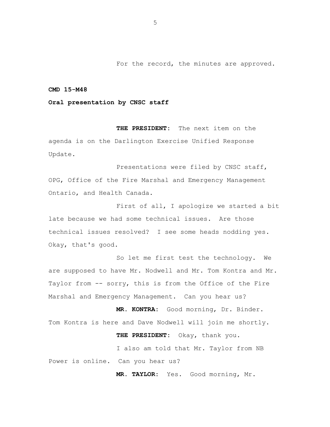For the record, the minutes are approved.

#### **CMD 15-M48**

#### **Oral presentation by CNSC staff**

**THE PRESIDENT:** The next item on the agenda is on the Darlington Exercise Unified Response Update.

Presentations were filed by CNSC staff, OPG, Office of the Fire Marshal and Emergency Management Ontario, and Health Canada.

First of all, I apologize we started a bit late because we had some technical issues. Are those technical issues resolved? I see some heads nodding yes. Okay, that's good.

So let me first test the technology. We are supposed to have Mr. Nodwell and Mr. Tom Kontra and Mr. Taylor from -- sorry, this is from the Office of the Fire Marshal and Emergency Management. Can you hear us?

**MR. KONTRA:** Good morning, Dr. Binder. Tom Kontra is here and Dave Nodwell will join me shortly.

**THE PRESIDENT:** Okay, thank you.

I also am told that Mr. Taylor from NB Power is online. Can you hear us?

**MR. TAYLOR:** Yes. Good morning, Mr.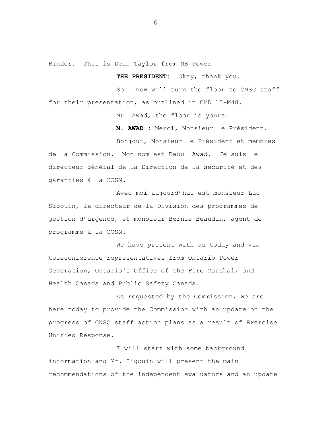Binder. This is Dean Taylor from NB Power

**THE PRESIDENT:** Okay, thank you.

So I now will turn the floor to CNSC staff for their presentation, as outlined in CMD 15-M48.

Mr. Awad, the floor is yours.

**M. AWAD :** Merci, Monsieur le Président.

Bonjour, Monsieur le Président et membres de la Commission. Mon nom est Raoul Awad. Je suis le directeur général de la Direction de la sécurité et des garanties à la CCSN.

Avec moi aujourd'hui est monsieur Luc Sigouin, le directeur de la Division des programmes de gestion d'urgence, et monsieur Bernie Beaudin, agent de programme à la CCSN.

We have present with us today and via teleconference representatives from Ontario Power Generation, Ontario's Office of the Fire Marshal, and Health Canada and Public Safety Canada.

As requested by the Commission, we are here today to provide the Commission with an update on the progress of CNSC staff action plans as a result of Exercise Unified Response.

I will start with some background information and Mr. Sigouin will present the main recommendations of the independent evaluators and an update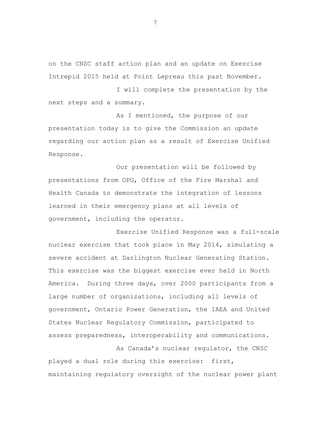on the CNSC staff action plan and an update on Exercise Intrepid 2015 held at Point Lepreau this past November.

I will complete the presentation by the next steps and a summary.

As I mentioned, the purpose of our presentation today is to give the Commission an update regarding our action plan as a result of Exercise Unified Response.

Our presentation will be followed by presentations from OPG, Office of the Fire Marshal and Health Canada to demonstrate the integration of lessons learned in their emergency plans at all levels of government, including the operator.

Exercise Unified Response was a full-scale nuclear exercise that took place in May 2014, simulating a severe accident at Darlington Nuclear Generating Station. This exercise was the biggest exercise ever held in North America. During three days, over 2000 participants from a large number of organizations, including all levels of government, Ontario Power Generation, the IAEA and United States Nuclear Regulatory Commission, participated to assess preparedness, interoperability and communications.

As Canada's nuclear regulator, the CNSC played a dual role during this exercise: first, maintaining regulatory oversight of the nuclear power plant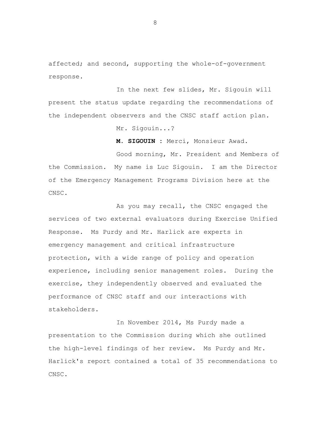affected; and second, supporting the whole-of-government response.

In the next few slides, Mr. Sigouin will present the status update regarding the recommendations of the independent observers and the CNSC staff action plan.

Mr. Sigouin...?

**M. SIGOUIN :** Merci, Monsieur Awad.

Good morning, Mr. President and Members of the Commission. My name is Luc Sigouin. I am the Director of the Emergency Management Programs Division here at the CNSC.

As you may recall, the CNSC engaged the services of two external evaluators during Exercise Unified Response. Ms Purdy and Mr. Harlick are experts in emergency management and critical infrastructure protection, with a wide range of policy and operation experience, including senior management roles. During the exercise, they independently observed and evaluated the performance of CNSC staff and our interactions with stakeholders.

In November 2014, Ms Purdy made a presentation to the Commission during which she outlined the high-level findings of her review. Ms Purdy and Mr. Harlick's report contained a total of 35 recommendations to CNSC.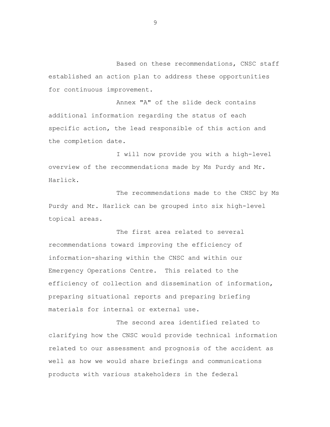Based on these recommendations, CNSC staff established an action plan to address these opportunities for continuous improvement.

Annex "A" of the slide deck contains additional information regarding the status of each specific action, the lead responsible of this action and the completion date.

I will now provide you with a high-level overview of the recommendations made by Ms Purdy and Mr. Harlick.

The recommendations made to the CNSC by Ms Purdy and Mr. Harlick can be grouped into six high-level topical areas.

The first area related to several recommendations toward improving the efficiency of information-sharing within the CNSC and within our Emergency Operations Centre. This related to the efficiency of collection and dissemination of information, preparing situational reports and preparing briefing materials for internal or external use.

The second area identified related to clarifying how the CNSC would provide technical information related to our assessment and prognosis of the accident as well as how we would share briefings and communications products with various stakeholders in the federal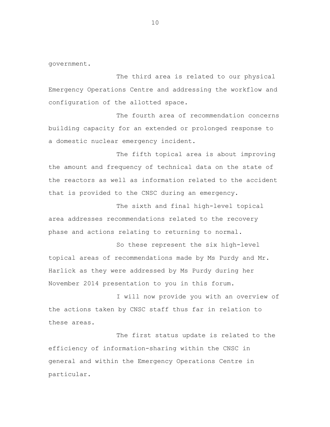government.

The third area is related to our physical Emergency Operations Centre and addressing the workflow and configuration of the allotted space.

The fourth area of recommendation concerns building capacity for an extended or prolonged response to a domestic nuclear emergency incident.

The fifth topical area is about improving the amount and frequency of technical data on the state of the reactors as well as information related to the accident that is provided to the CNSC during an emergency.

The sixth and final high-level topical area addresses recommendations related to the recovery phase and actions relating to returning to normal.

So these represent the six high-level topical areas of recommendations made by Ms Purdy and Mr. Harlick as they were addressed by Ms Purdy during her November 2014 presentation to you in this forum.

I will now provide you with an overview of the actions taken by CNSC staff thus far in relation to these areas.

The first status update is related to the efficiency of information-sharing within the CNSC in general and within the Emergency Operations Centre in particular.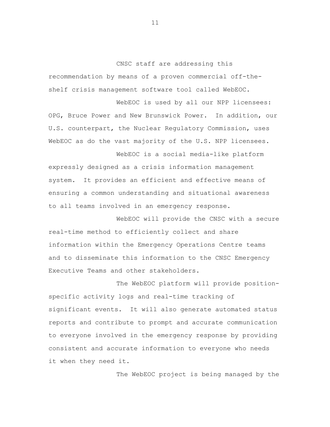CNSC staff are addressing this recommendation by means of a proven commercial off-theshelf crisis management software tool called WebEOC.

WebEOC is used by all our NPP licensees: OPG, Bruce Power and New Brunswick Power. In addition, our U.S. counterpart, the Nuclear Regulatory Commission, uses WebEOC as do the vast majority of the U.S. NPP licensees.

WebEOC is a social media-like platform expressly designed as a crisis information management system. It provides an efficient and effective means of ensuring a common understanding and situational awareness to all teams involved in an emergency response.

WebEOC will provide the CNSC with a secure real-time method to efficiently collect and share information within the Emergency Operations Centre teams and to disseminate this information to the CNSC Emergency Executive Teams and other stakeholders.

The WebEOC platform will provide positionspecific activity logs and real-time tracking of significant events. It will also generate automated status reports and contribute to prompt and accurate communication to everyone involved in the emergency response by providing consistent and accurate information to everyone who needs it when they need it.

The WebEOC project is being managed by the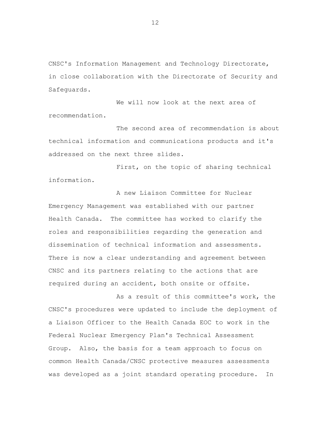CNSC's Information Management and Technology Directorate, in close collaboration with the Directorate of Security and Safeguards.

We will now look at the next area of recommendation.

The second area of recommendation is about technical information and communications products and it's addressed on the next three slides.

First, on the topic of sharing technical information.

A new Liaison Committee for Nuclear Emergency Management was established with our partner Health Canada. The committee has worked to clarify the roles and responsibilities regarding the generation and dissemination of technical information and assessments. There is now a clear understanding and agreement between CNSC and its partners relating to the actions that are required during an accident, both onsite or offsite.

As a result of this committee's work, the CNSC's procedures were updated to include the deployment of a Liaison Officer to the Health Canada EOC to work in the Federal Nuclear Emergency Plan's Technical Assessment Group. Also, the basis for a team approach to focus on common Health Canada/CNSC protective measures assessments was developed as a joint standard operating procedure. In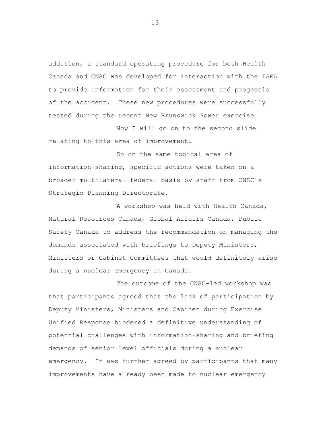addition, a standard operating procedure for both Health Canada and CNSC was developed for interaction with the IAEA to provide information for their assessment and prognosis of the accident. These new procedures were successfully tested during the recent New Brunswick Power exercise.

Now I will go on to the second slide relating to this area of improvement.

So on the same topical area of information-sharing, specific actions were taken on a broader multilateral federal basis by staff from CNSC's Strategic Planning Directorate.

A workshop was held with Health Canada, Natural Resources Canada, Global Affairs Canada, Public Safety Canada to address the recommendation on managing the demands associated with briefings to Deputy Ministers, Ministers or Cabinet Committees that would definitely arise during a nuclear emergency in Canada.

The outcome of the CNSC-led workshop was that participants agreed that the lack of participation by Deputy Ministers, Ministers and Cabinet during Exercise Unified Response hindered a definitive understanding of potential challenges with information-sharing and briefing demands of senior level officials during a nuclear emergency. It was further agreed by participants that many improvements have already been made to nuclear emergency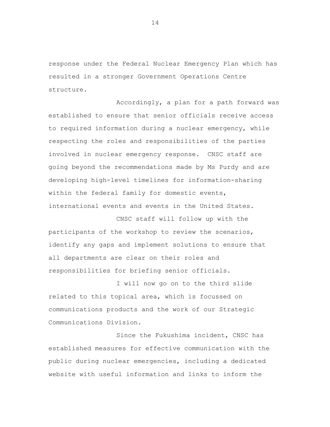response under the Federal Nuclear Emergency Plan which has resulted in a stronger Government Operations Centre structure.

Accordingly, a plan for a path forward was established to ensure that senior officials receive access to required information during a nuclear emergency, while respecting the roles and responsibilities of the parties involved in nuclear emergency response. CNSC staff are going beyond the recommendations made by Ms Purdy and are developing high-level timelines for information-sharing within the federal family for domestic events, international events and events in the United States.

CNSC staff will follow up with the participants of the workshop to review the scenarios, identify any gaps and implement solutions to ensure that all departments are clear on their roles and responsibilities for briefing senior officials.

I will now go on to the third slide related to this topical area, which is focussed on communications products and the work of our Strategic Communications Division.

Since the Fukushima incident, CNSC has established measures for effective communication with the public during nuclear emergencies, including a dedicated website with useful information and links to inform the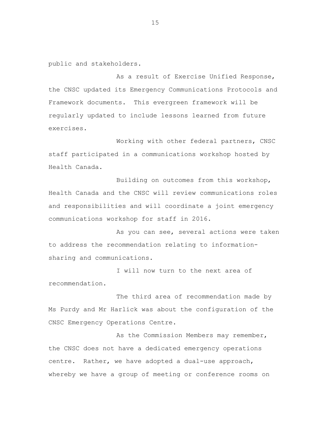public and stakeholders.

As a result of Exercise Unified Response, the CNSC updated its Emergency Communications Protocols and Framework documents. This evergreen framework will be regularly updated to include lessons learned from future exercises.

Working with other federal partners, CNSC staff participated in a communications workshop hosted by Health Canada.

Building on outcomes from this workshop, Health Canada and the CNSC will review communications roles and responsibilities and will coordinate a joint emergency communications workshop for staff in 2016.

As you can see, several actions were taken to address the recommendation relating to informationsharing and communications.

I will now turn to the next area of recommendation.

The third area of recommendation made by Ms Purdy and Mr Harlick was about the configuration of the CNSC Emergency Operations Centre.

As the Commission Members may remember, the CNSC does not have a dedicated emergency operations centre. Rather, we have adopted a dual-use approach, whereby we have a group of meeting or conference rooms on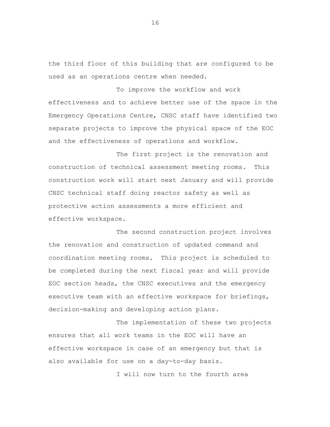the third floor of this building that are configured to be used as an operations centre when needed.

To improve the workflow and work effectiveness and to achieve better use of the space in the Emergency Operations Centre, CNSC staff have identified two separate projects to improve the physical space of the EOC and the effectiveness of operations and workflow.

The first project is the renovation and construction of technical assessment meeting rooms. This construction work will start next January and will provide CNSC technical staff doing reactor safety as well as protective action assessments a more efficient and effective workspace.

The second construction project involves the renovation and construction of updated command and coordination meeting rooms. This project is scheduled to be completed during the next fiscal year and will provide EOC section heads, the CNSC executives and the emergency executive team with an effective workspace for briefings, decision-making and developing action plans.

The implementation of these two projects ensures that all work teams in the EOC will have an effective workspace in case of an emergency but that is also available for use on a day-to-day basis.

I will now turn to the fourth area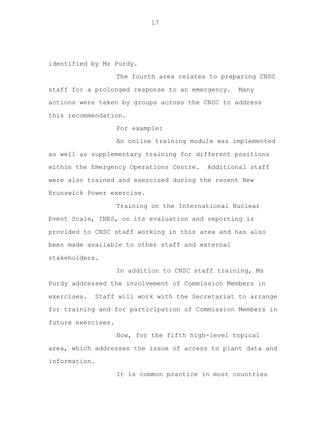identified by Ms Purdy.

The fourth area relates to preparing CNSC staff for a prolonged response to an emergency. Many actions were taken by groups across the CNSC to address this recommendation.

For example:

An online training module was implemented as well as supplementary training for different positions within the Emergency Operations Centre. Additional staff were also trained and exercised during the recent New Brunswick Power exercise.

Training on the International Nuclear Event Scale, INES, on its evaluation and reporting is provided to CNSC staff working in this area and has also been made available to other staff and external stakeholders.

In addition to CNSC staff training, Ms Purdy addressed the involvement of Commission Members in exercises. Staff will work with the Secretariat to arrange for training and for participation of Commission Members in future exercises.

Now, for the fifth high-level topical area, which addresses the issue of access to plant data and information.

It is common practice in most countries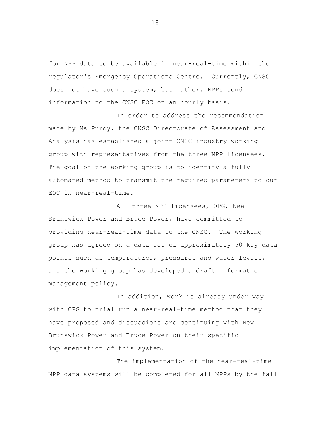for NPP data to be available in near-real-time within the regulator's Emergency Operations Centre. Currently, CNSC does not have such a system, but rather, NPPs send information to the CNSC EOC on an hourly basis.

In order to address the recommendation made by Ms Purdy, the CNSC Directorate of Assessment and Analysis has established a joint CNSC–industry working group with representatives from the three NPP licensees. The goal of the working group is to identify a fully automated method to transmit the required parameters to our EOC in near-real-time.

All three NPP licensees, OPG, New Brunswick Power and Bruce Power, have committed to providing near-real-time data to the CNSC. The working group has agreed on a data set of approximately 50 key data points such as temperatures, pressures and water levels, and the working group has developed a draft information management policy.

In addition, work is already under way with OPG to trial run a near-real-time method that they have proposed and discussions are continuing with New Brunswick Power and Bruce Power on their specific implementation of this system.

The implementation of the near-real-time NPP data systems will be completed for all NPPs by the fall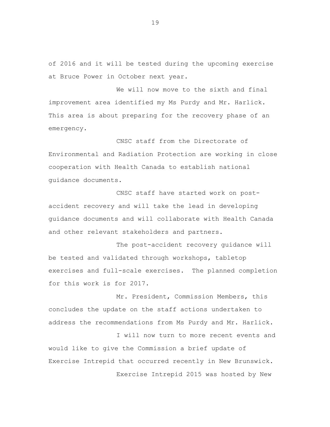of 2016 and it will be tested during the upcoming exercise at Bruce Power in October next year.

We will now move to the sixth and final improvement area identified my Ms Purdy and Mr. Harlick. This area is about preparing for the recovery phase of an emergency.

CNSC staff from the Directorate of Environmental and Radiation Protection are working in close cooperation with Health Canada to establish national guidance documents.

CNSC staff have started work on postaccident recovery and will take the lead in developing guidance documents and will collaborate with Health Canada and other relevant stakeholders and partners.

The post-accident recovery guidance will be tested and validated through workshops, tabletop exercises and full-scale exercises. The planned completion for this work is for 2017.

Mr. President, Commission Members, this concludes the update on the staff actions undertaken to address the recommendations from Ms Purdy and Mr. Harlick.

I will now turn to more recent events and would like to give the Commission a brief update of Exercise Intrepid that occurred recently in New Brunswick. Exercise Intrepid 2015 was hosted by New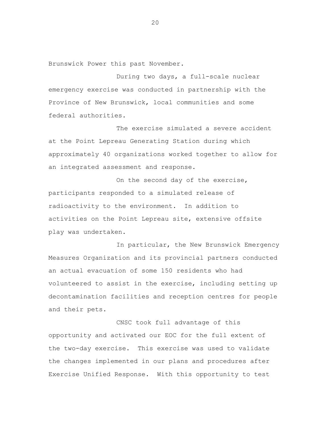Brunswick Power this past November.

During two days, a full-scale nuclear emergency exercise was conducted in partnership with the Province of New Brunswick, local communities and some federal authorities.

The exercise simulated a severe accident at the Point Lepreau Generating Station during which approximately 40 organizations worked together to allow for an integrated assessment and response.

On the second day of the exercise, participants responded to a simulated release of radioactivity to the environment. In addition to activities on the Point Lepreau site, extensive offsite play was undertaken.

In particular, the New Brunswick Emergency Measures Organization and its provincial partners conducted an actual evacuation of some 150 residents who had volunteered to assist in the exercise, including setting up decontamination facilities and reception centres for people and their pets.

CNSC took full advantage of this opportunity and activated our EOC for the full extent of the two-day exercise. This exercise was used to validate the changes implemented in our plans and procedures after Exercise Unified Response. With this opportunity to test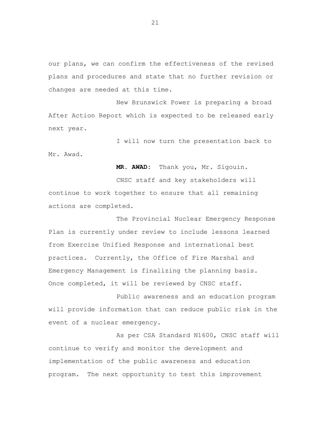our plans, we can confirm the effectiveness of the revised plans and procedures and state that no further revision or changes are needed at this time.

New Brunswick Power is preparing a broad After Action Report which is expected to be released early next year.

I will now turn the presentation back to Mr. Awad.

**MR. AWAD:** Thank you, Mr. Sigouin.

CNSC staff and key stakeholders will continue to work together to ensure that all remaining actions are completed.

The Provincial Nuclear Emergency Response Plan is currently under review to include lessons learned from Exercise Unified Response and international best practices. Currently, the Office of Fire Marshal and Emergency Management is finalizing the planning basis. Once completed, it will be reviewed by CNSC staff.

Public awareness and an education program will provide information that can reduce public risk in the event of a nuclear emergency.

As per CSA Standard N1600, CNSC staff will continue to verify and monitor the development and implementation of the public awareness and education program. The next opportunity to test this improvement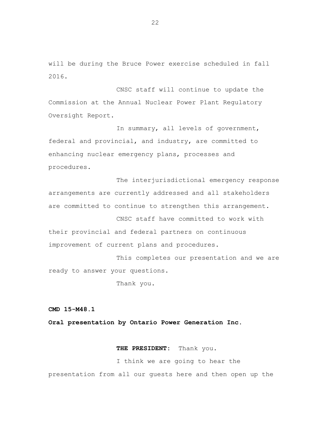will be during the Bruce Power exercise scheduled in fall 2016.

CNSC staff will continue to update the Commission at the Annual Nuclear Power Plant Regulatory Oversight Report.

In summary, all levels of government, federal and provincial, and industry, are committed to enhancing nuclear emergency plans, processes and procedures.

The interjurisdictional emergency response arrangements are currently addressed and all stakeholders are committed to continue to strengthen this arrangement.

CNSC staff have committed to work with their provincial and federal partners on continuous improvement of current plans and procedures.

This completes our presentation and we are ready to answer your questions.

Thank you.

**CMD 15-M48.1** 

**Oral presentation by Ontario Power Generation Inc.**

**THE PRESIDENT:** Thank you.

I think we are going to hear the presentation from all our guests here and then open up the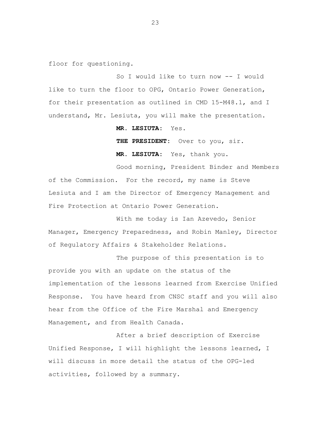floor for questioning.

So I would like to turn now -- I would like to turn the floor to OPG, Ontario Power Generation, for their presentation as outlined in CMD 15-M48.1, and I understand, Mr. Lesiuta, you will make the presentation.

**MR. LESIUTA:** Yes.

**THE PRESIDENT:** Over to you, sir.

**MR. LESIUTA:** Yes, thank you.

Good morning, President Binder and Members of the Commission. For the record, my name is Steve Lesiuta and I am the Director of Emergency Management and Fire Protection at Ontario Power Generation.

With me today is Ian Azevedo, Senior Manager, Emergency Preparedness, and Robin Manley, Director of Regulatory Affairs & Stakeholder Relations.

The purpose of this presentation is to provide you with an update on the status of the implementation of the lessons learned from Exercise Unified Response. You have heard from CNSC staff and you will also hear from the Office of the Fire Marshal and Emergency Management, and from Health Canada.

After a brief description of Exercise Unified Response, I will highlight the lessons learned, I will discuss in more detail the status of the OPG-led activities, followed by a summary.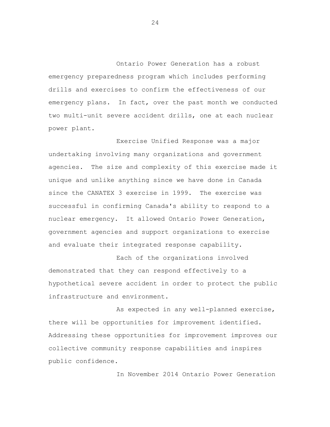Ontario Power Generation has a robust emergency preparedness program which includes performing drills and exercises to confirm the effectiveness of our emergency plans. In fact, over the past month we conducted two multi-unit severe accident drills, one at each nuclear power plant.

Exercise Unified Response was a major undertaking involving many organizations and government agencies. The size and complexity of this exercise made it unique and unlike anything since we have done in Canada since the CANATEX 3 exercise in 1999. The exercise was successful in confirming Canada's ability to respond to a nuclear emergency. It allowed Ontario Power Generation, government agencies and support organizations to exercise and evaluate their integrated response capability.

Each of the organizations involved demonstrated that they can respond effectively to a hypothetical severe accident in order to protect the public infrastructure and environment.

As expected in any well-planned exercise, there will be opportunities for improvement identified. Addressing these opportunities for improvement improves our collective community response capabilities and inspires public confidence.

In November 2014 Ontario Power Generation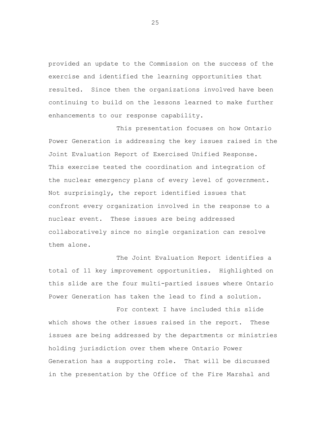provided an update to the Commission on the success of the exercise and identified the learning opportunities that resulted. Since then the organizations involved have been continuing to build on the lessons learned to make further enhancements to our response capability.

This presentation focuses on how Ontario Power Generation is addressing the key issues raised in the Joint Evaluation Report of Exercised Unified Response. This exercise tested the coordination and integration of the nuclear emergency plans of every level of government. Not surprisingly, the report identified issues that confront every organization involved in the response to a nuclear event. These issues are being addressed collaboratively since no single organization can resolve them alone.

The Joint Evaluation Report identifies a total of 11 key improvement opportunities. Highlighted on this slide are the four multi-partied issues where Ontario Power Generation has taken the lead to find a solution.

For context I have included this slide which shows the other issues raised in the report. These issues are being addressed by the departments or ministries holding jurisdiction over them where Ontario Power Generation has a supporting role. That will be discussed in the presentation by the Office of the Fire Marshal and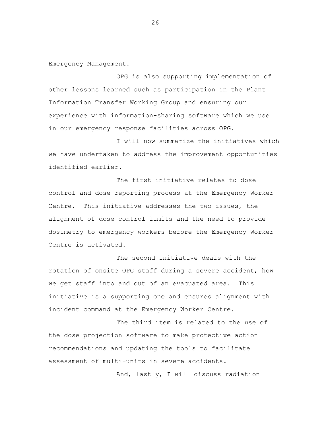Emergency Management.

OPG is also supporting implementation of other lessons learned such as participation in the Plant Information Transfer Working Group and ensuring our experience with information-sharing software which we use in our emergency response facilities across OPG.

I will now summarize the initiatives which we have undertaken to address the improvement opportunities identified earlier.

The first initiative relates to dose control and dose reporting process at the Emergency Worker Centre. This initiative addresses the two issues, the alignment of dose control limits and the need to provide dosimetry to emergency workers before the Emergency Worker Centre is activated.

The second initiative deals with the rotation of onsite OPG staff during a severe accident, how we get staff into and out of an evacuated area. This initiative is a supporting one and ensures alignment with incident command at the Emergency Worker Centre.

The third item is related to the use of the dose projection software to make protective action recommendations and updating the tools to facilitate assessment of multi-units in severe accidents.

And, lastly, I will discuss radiation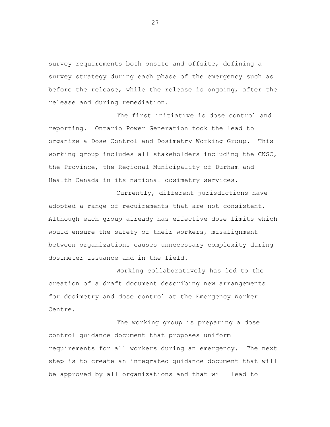survey requirements both onsite and offsite, defining a survey strategy during each phase of the emergency such as before the release, while the release is ongoing, after the release and during remediation.

The first initiative is dose control and reporting. Ontario Power Generation took the lead to organize a Dose Control and Dosimetry Working Group. This working group includes all stakeholders including the CNSC, the Province, the Regional Municipality of Durham and Health Canada in its national dosimetry services.

Currently, different jurisdictions have adopted a range of requirements that are not consistent. Although each group already has effective dose limits which would ensure the safety of their workers, misalignment between organizations causes unnecessary complexity during dosimeter issuance and in the field.

Working collaboratively has led to the creation of a draft document describing new arrangements for dosimetry and dose control at the Emergency Worker Centre.

The working group is preparing a dose control guidance document that proposes uniform requirements for all workers during an emergency. The next step is to create an integrated guidance document that will be approved by all organizations and that will lead to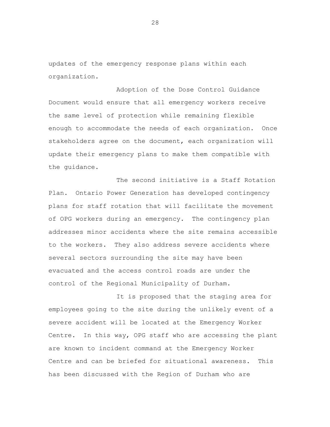updates of the emergency response plans within each organization.

Adoption of the Dose Control Guidance Document would ensure that all emergency workers receive the same level of protection while remaining flexible enough to accommodate the needs of each organization. Once stakeholders agree on the document, each organization will update their emergency plans to make them compatible with the guidance.

The second initiative is a Staff Rotation Plan. Ontario Power Generation has developed contingency plans for staff rotation that will facilitate the movement of OPG workers during an emergency. The contingency plan addresses minor accidents where the site remains accessible to the workers. They also address severe accidents where several sectors surrounding the site may have been evacuated and the access control roads are under the control of the Regional Municipality of Durham.

It is proposed that the staging area for employees going to the site during the unlikely event of a severe accident will be located at the Emergency Worker Centre. In this way, OPG staff who are accessing the plant are known to incident command at the Emergency Worker Centre and can be briefed for situational awareness. This has been discussed with the Region of Durham who are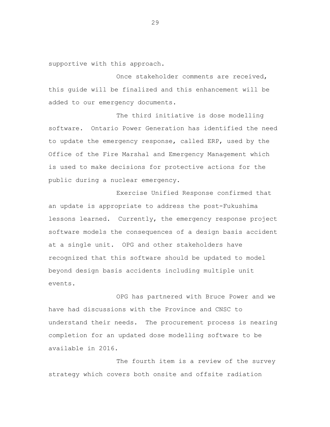supportive with this approach.

Once stakeholder comments are received, this guide will be finalized and this enhancement will be added to our emergency documents.

The third initiative is dose modelling software. Ontario Power Generation has identified the need to update the emergency response, called ERP, used by the Office of the Fire Marshal and Emergency Management which is used to make decisions for protective actions for the public during a nuclear emergency.

Exercise Unified Response confirmed that an update is appropriate to address the post-Fukushima lessons learned. Currently, the emergency response project software models the consequences of a design basis accident at a single unit. OPG and other stakeholders have recognized that this software should be updated to model beyond design basis accidents including multiple unit events.

OPG has partnered with Bruce Power and we have had discussions with the Province and CNSC to understand their needs. The procurement process is nearing completion for an updated dose modelling software to be available in 2016.

The fourth item is a review of the survey strategy which covers both onsite and offsite radiation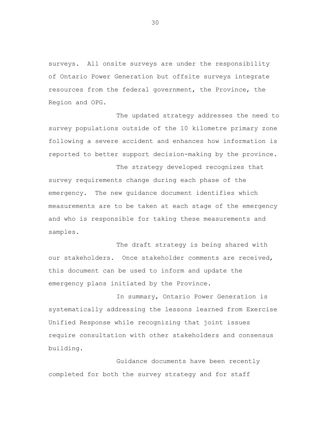surveys. All onsite surveys are under the responsibility of Ontario Power Generation but offsite surveys integrate resources from the federal government, the Province, the Region and OPG.

The updated strategy addresses the need to survey populations outside of the 10 kilometre primary zone following a severe accident and enhances how information is reported to better support decision-making by the province.

The strategy developed recognizes that survey requirements change during each phase of the emergency. The new guidance document identifies which measurements are to be taken at each stage of the emergency and who is responsible for taking these measurements and samples.

The draft strategy is being shared with our stakeholders. Once stakeholder comments are received, this document can be used to inform and update the emergency plans initiated by the Province.

In summary, Ontario Power Generation is systematically addressing the lessons learned from Exercise Unified Response while recognizing that joint issues require consultation with other stakeholders and consensus building.

Guidance documents have been recently completed for both the survey strategy and for staff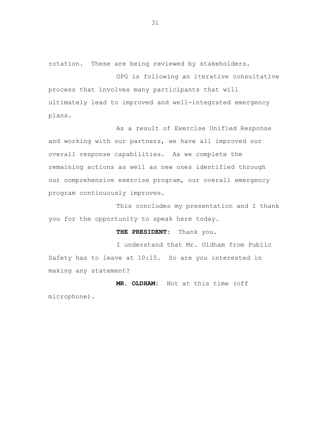rotation. These are being reviewed by stakeholders.

OPG is following an iterative consultative process that involves many participants that will ultimately lead to improved and well-integrated emergency plans.

As a result of Exercise Unified Response and working with our partners, we have all improved our overall response capabilities. As we complete the remaining actions as well as new ones identified through our comprehensive exercise program, our overall emergency program continuously improves.

This concludes my presentation and I thank you for the opportunity to speak here today.

**THE PRESIDENT:** Thank you.

I understand that Mr. Oldham from Public Safety has to leave at 10:15. So are you interested in making any statement?

**MR. OLDHAM:** Not at this time (off microphone).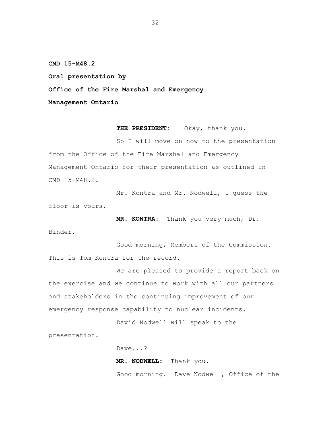**CMD 15-M48.2** 

**Oral presentation by** 

**Office of the Fire Marshal and Emergency** 

**Management Ontario** 

THE PRESIDENT: Okay, thank you.

So I will move on now to the presentation from the Office of the Fire Marshal and Emergency Management Ontario for their presentation as outlined in CMD 15-M48.2.

Mr. Kontra and Mr. Nodwell, I guess the floor is yours.

**MR. KONTRA:** Thank you very much, Dr.

Binder.

Good morning, Members of the Commission. This is Tom Kontra for the record.

We are pleased to provide a report back on the exercise and we continue to work with all our partners and stakeholders in the continuing improvement of our emergency response capability to nuclear incidents.

David Nodwell will speak to the

presentation.

Dave...?

**MR. NODWELL:** Thank you.

Good morning. Dave Nodwell, Office of the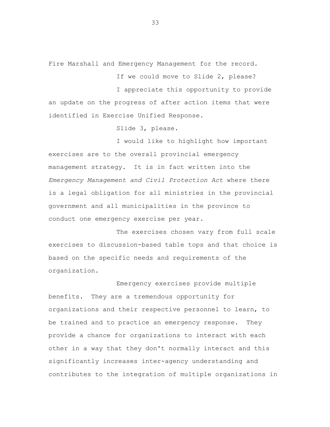Fire Marshall and Emergency Management for the record.

If we could move to Slide 2, please?

I appreciate this opportunity to provide an update on the progress of after action items that were identified in Exercise Unified Response.

Slide 3, please.

I would like to highlight how important exercises are to the overall provincial emergency management strategy. It is in fact written into the *Emergency Management and Civil Protection Act* where there is a legal obligation for all ministries in the provincial government and all municipalities in the province to conduct one emergency exercise per year.

The exercises chosen vary from full scale exercises to discussion-based table tops and that choice is based on the specific needs and requirements of the organization.

Emergency exercises provide multiple benefits. They are a tremendous opportunity for organizations and their respective personnel to learn, to be trained and to practice an emergency response. They provide a chance for organizations to interact with each other in a way that they don't normally interact and this significantly increases inter-agency understanding and contributes to the integration of multiple organizations in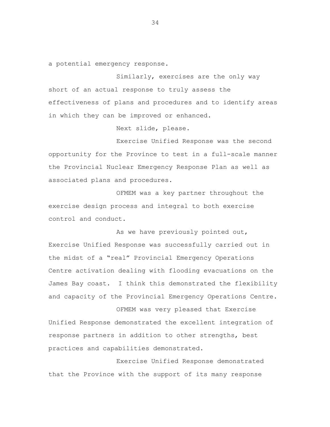a potential emergency response.

Similarly, exercises are the only way short of an actual response to truly assess the effectiveness of plans and procedures and to identify areas in which they can be improved or enhanced.

Next slide, please.

Exercise Unified Response was the second opportunity for the Province to test in a full-scale manner the Provincial Nuclear Emergency Response Plan as well as associated plans and procedures.

OFMEM was a key partner throughout the exercise design process and integral to both exercise control and conduct.

As we have previously pointed out, Exercise Unified Response was successfully carried out in the midst of a "real" Provincial Emergency Operations Centre activation dealing with flooding evacuations on the James Bay coast. I think this demonstrated the flexibility and capacity of the Provincial Emergency Operations Centre.

OFMEM was very pleased that Exercise Unified Response demonstrated the excellent integration of response partners in addition to other strengths, best practices and capabilities demonstrated.

Exercise Unified Response demonstrated that the Province with the support of its many response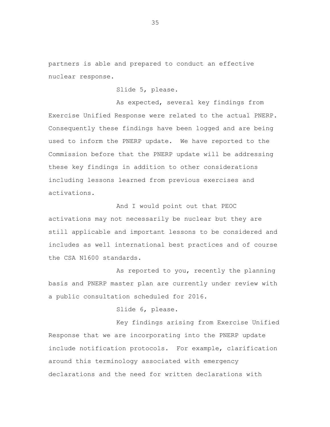partners is able and prepared to conduct an effective nuclear response.

Slide 5, please.

As expected, several key findings from Exercise Unified Response were related to the actual PNERP. Consequently these findings have been logged and are being used to inform the PNERP update. We have reported to the Commission before that the PNERP update will be addressing these key findings in addition to other considerations including lessons learned from previous exercises and activations.

And I would point out that PEOC activations may not necessarily be nuclear but they are still applicable and important lessons to be considered and includes as well international best practices and of course the CSA N1600 standards.

As reported to you, recently the planning basis and PNERP master plan are currently under review with a public consultation scheduled for 2016.

Slide 6, please.

Key findings arising from Exercise Unified Response that we are incorporating into the PNERP update include notification protocols. For example, clarification around this terminology associated with emergency declarations and the need for written declarations with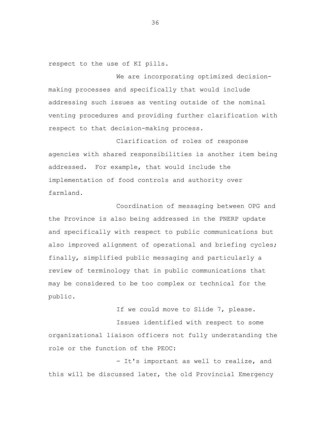respect to the use of KI pills.

We are incorporating optimized decisionmaking processes and specifically that would include addressing such issues as venting outside of the nominal venting procedures and providing further clarification with respect to that decision-making process.

Clarification of roles of response agencies with shared responsibilities is another item being addressed. For example, that would include the implementation of food controls and authority over farmland.

Coordination of messaging between OPG and the Province is also being addressed in the PNERP update and specifically with respect to public communications but also improved alignment of operational and briefing cycles; finally, simplified public messaging and particularly a review of terminology that in public communications that may be considered to be too complex or technical for the public.

If we could move to Slide 7, please.

Issues identified with respect to some organizational liaison officers not fully understanding the role or the function of the PEOC:

- It's important as well to realize, and this will be discussed later, the old Provincial Emergency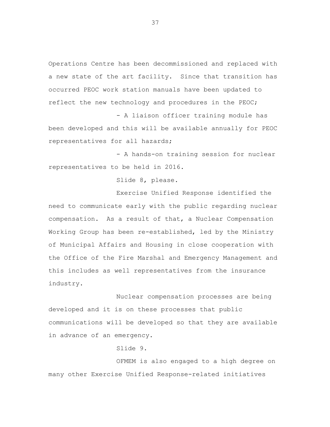Operations Centre has been decommissioned and replaced with a new state of the art facility. Since that transition has occurred PEOC work station manuals have been updated to reflect the new technology and procedures in the PEOC;

- A liaison officer training module has been developed and this will be available annually for PEOC representatives for all hazards;

- A hands-on training session for nuclear representatives to be held in 2016.

Slide 8, please.

Exercise Unified Response identified the need to communicate early with the public regarding nuclear compensation. As a result of that, a Nuclear Compensation Working Group has been re-established, led by the Ministry of Municipal Affairs and Housing in close cooperation with the Office of the Fire Marshal and Emergency Management and this includes as well representatives from the insurance industry.

Nuclear compensation processes are being developed and it is on these processes that public communications will be developed so that they are available in advance of an emergency.

Slide 9.

OFMEM is also engaged to a high degree on many other Exercise Unified Response-related initiatives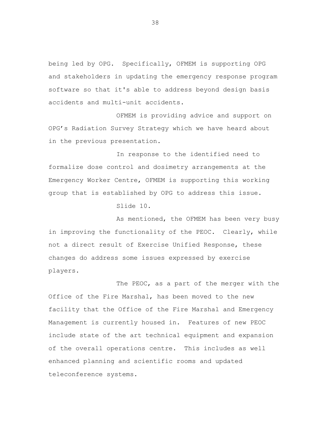being led by OPG. Specifically, OFMEM is supporting OPG and stakeholders in updating the emergency response program software so that it's able to address beyond design basis accidents and multi-unit accidents.

OFMEM is providing advice and support on OPG's Radiation Survey Strategy which we have heard about in the previous presentation.

In response to the identified need to formalize dose control and dosimetry arrangements at the Emergency Worker Centre, OFMEM is supporting this working group that is established by OPG to address this issue.

Slide 10.

As mentioned, the OFMEM has been very busy in improving the functionality of the PEOC. Clearly, while not a direct result of Exercise Unified Response, these changes do address some issues expressed by exercise players.

The PEOC, as a part of the merger with the Office of the Fire Marshal, has been moved to the new facility that the Office of the Fire Marshal and Emergency Management is currently housed in. Features of new PEOC include state of the art technical equipment and expansion of the overall operations centre. This includes as well enhanced planning and scientific rooms and updated teleconference systems.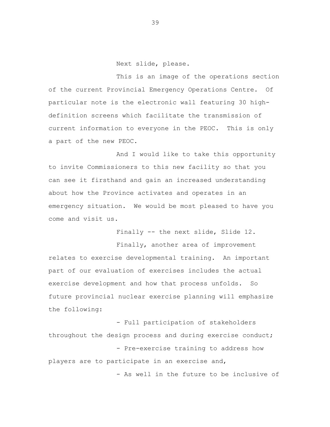Next slide, please.

This is an image of the operations section of the current Provincial Emergency Operations Centre. Of particular note is the electronic wall featuring 30 highdefinition screens which facilitate the transmission of current information to everyone in the PEOC. This is only a part of the new PEOC.

And I would like to take this opportunity to invite Commissioners to this new facility so that you can see it firsthand and gain an increased understanding about how the Province activates and operates in an emergency situation. We would be most pleased to have you come and visit us.

Finally -- the next slide, Slide 12.

Finally, another area of improvement relates to exercise developmental training. An important part of our evaluation of exercises includes the actual exercise development and how that process unfolds. So future provincial nuclear exercise planning will emphasize the following:

- Full participation of stakeholders throughout the design process and during exercise conduct; - Pre-exercise training to address how players are to participate in an exercise and, - As well in the future to be inclusive of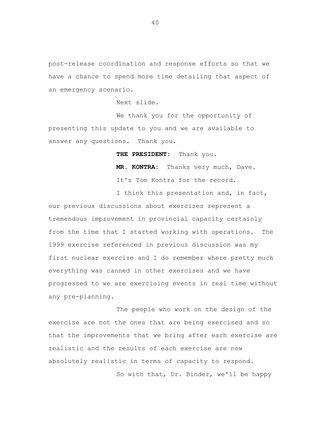post-release coordination and response efforts so that we have a chance to spend more time detailing that aspect of an emergency scenario.

Next slide.

We thank you for the opportunity of presenting this update to you and we are available to answer any questions. Thank you.

**THE PRESIDENT:** Thank you.

**MR. KONTRA:** Thanks very much, Dave. It's Tom Kontra for the record.

I think this presentation and, in fact, our previous discussions about exercises represent a tremendous improvement in provincial capacity certainly from the time that I started working with operations. The 1999 exercise referenced in previous discussion was my first nuclear exercise and I do remember where pretty much everything was canned in other exercises and we have progressed to we are exercising events in real time without any pre-planning.

The people who work on the design of the exercise are not the ones that are being exercised and so that the improvements that we bring after each exercise are realistic and the results of each exercise are now absolutely realistic in terms of capacity to respond.<br>So with that, Dr. Binder, we'll be happy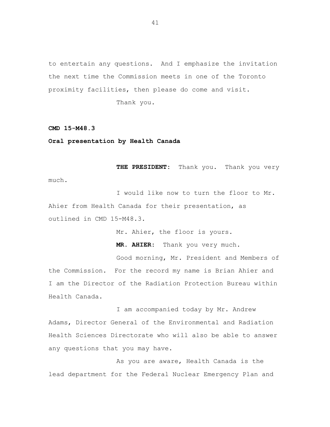to entertain any questions. And I emphasize the invitation the next time the Commission meets in one of the Toronto proximity facilities, then please do come and visit.

Thank you.

**CMD 15-M48.3** 

**Oral presentation by Health Canada** 

**THE PRESIDENT:** Thank you. Thank you very much.

I would like now to turn the floor to Mr. Ahier from Health Canada for their presentation, as outlined in CMD 15-M48.3.

Mr. Ahier, the floor is yours.

**MR. AHIER:** Thank you very much.

Good morning, Mr. President and Members of the Commission. For the record my name is Brian Ahier and I am the Director of the Radiation Protection Bureau within Health Canada.

I am accompanied today by Mr. Andrew Adams, Director General of the Environmental and Radiation Health Sciences Directorate who will also be able to answer any questions that you may have.

As you are aware, Health Canada is the lead department for the Federal Nuclear Emergency Plan and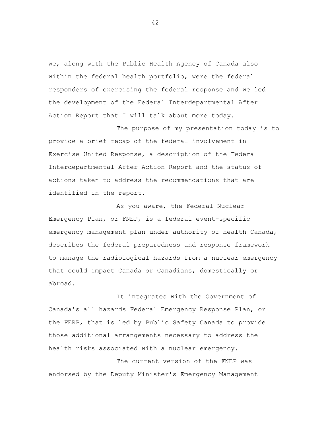we, along with the Public Health Agency of Canada also within the federal health portfolio, were the federal responders of exercising the federal response and we led the development of the Federal Interdepartmental After Action Report that I will talk about more today.

The purpose of my presentation today is to provide a brief recap of the federal involvement in Exercise United Response, a description of the Federal Interdepartmental After Action Report and the status of actions taken to address the recommendations that are identified in the report.

As you aware, the Federal Nuclear Emergency Plan, or FNEP, is a federal event-specific emergency management plan under authority of Health Canada, describes the federal preparedness and response framework to manage the radiological hazards from a nuclear emergency that could impact Canada or Canadians, domestically or abroad.

It integrates with the Government of Canada's all hazards Federal Emergency Response Plan, or the FERP, that is led by Public Safety Canada to provide those additional arrangements necessary to address the health risks associated with a nuclear emergency.

The current version of the FNEP was endorsed by the Deputy Minister's Emergency Management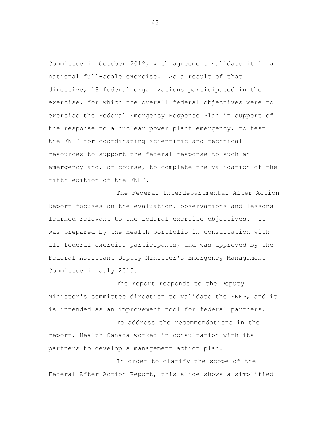Committee in October 2012, with agreement validate it in a national full-scale exercise. As a result of that directive, 18 federal organizations participated in the exercise, for which the overall federal objectives were to exercise the Federal Emergency Response Plan in support of the response to a nuclear power plant emergency, to test the FNEP for coordinating scientific and technical resources to support the federal response to such an emergency and, of course, to complete the validation of the fifth edition of the FNEP.

The Federal Interdepartmental After Action Report focuses on the evaluation, observations and lessons learned relevant to the federal exercise objectives. It was prepared by the Health portfolio in consultation with all federal exercise participants, and was approved by the Federal Assistant Deputy Minister's Emergency Management Committee in July 2015.

The report responds to the Deputy Minister's committee direction to validate the FNEP, and it is intended as an improvement tool for federal partners.

To address the recommendations in the report, Health Canada worked in consultation with its partners to develop a management action plan.

In order to clarify the scope of the Federal After Action Report, this slide shows a simplified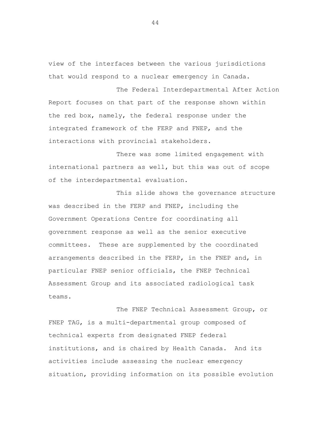view of the interfaces between the various jurisdictions that would respond to a nuclear emergency in Canada.

The Federal Interdepartmental After Action Report focuses on that part of the response shown within the red box, namely, the federal response under the integrated framework of the FERP and FNEP, and the interactions with provincial stakeholders.

There was some limited engagement with international partners as well, but this was out of scope of the interdepartmental evaluation.

This slide shows the governance structure was described in the FERP and FNEP, including the Government Operations Centre for coordinating all government response as well as the senior executive committees. These are supplemented by the coordinated arrangements described in the FERP, in the FNEP and, in particular FNEP senior officials, the FNEP Technical Assessment Group and its associated radiological task teams.

The FNEP Technical Assessment Group, or FNEP TAG, is a multi-departmental group composed of technical experts from designated FNEP federal institutions, and is chaired by Health Canada. And its activities include assessing the nuclear emergency situation, providing information on its possible evolution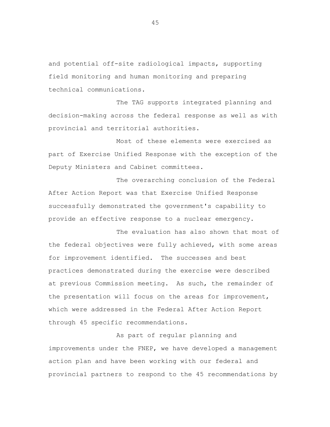and potential off-site radiological impacts, supporting field monitoring and human monitoring and preparing technical communications.

The TAG supports integrated planning and decision-making across the federal response as well as with provincial and territorial authorities.

Most of these elements were exercised as part of Exercise Unified Response with the exception of the Deputy Ministers and Cabinet committees.

The overarching conclusion of the Federal After Action Report was that Exercise Unified Response successfully demonstrated the government's capability to provide an effective response to a nuclear emergency.

The evaluation has also shown that most of the federal objectives were fully achieved, with some areas for improvement identified. The successes and best practices demonstrated during the exercise were described at previous Commission meeting. As such, the remainder of the presentation will focus on the areas for improvement, which were addressed in the Federal After Action Report through 45 specific recommendations.

As part of regular planning and improvements under the FNEP, we have developed a management action plan and have been working with our federal and provincial partners to respond to the 45 recommendations by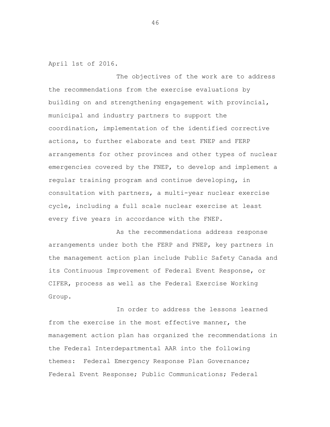April 1st of 2016.

The objectives of the work are to address the recommendations from the exercise evaluations by building on and strengthening engagement with provincial, municipal and industry partners to support the coordination, implementation of the identified corrective actions, to further elaborate and test FNEP and FERP arrangements for other provinces and other types of nuclear emergencies covered by the FNEP, to develop and implement a regular training program and continue developing, in consultation with partners, a multi-year nuclear exercise cycle, including a full scale nuclear exercise at least every five years in accordance with the FNEP.

As the recommendations address response arrangements under both the FERP and FNEP, key partners in the management action plan include Public Safety Canada and its Continuous Improvement of Federal Event Response, or CIFER, process as well as the Federal Exercise Working Group.

In order to address the lessons learned from the exercise in the most effective manner, the management action plan has organized the recommendations in the Federal Interdepartmental AAR into the following themes: Federal Emergency Response Plan Governance; Federal Event Response; Public Communications; Federal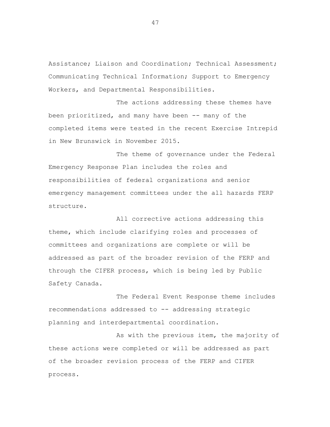Assistance; Liaison and Coordination; Technical Assessment; Communicating Technical Information; Support to Emergency Workers, and Departmental Responsibilities.

The actions addressing these themes have been prioritized, and many have been -- many of the completed items were tested in the recent Exercise Intrepid in New Brunswick in November 2015.

The theme of governance under the Federal Emergency Response Plan includes the roles and responsibilities of federal organizations and senior emergency management committees under the all hazards FERP structure.

All corrective actions addressing this theme, which include clarifying roles and processes of committees and organizations are complete or will be addressed as part of the broader revision of the FERP and through the CIFER process, which is being led by Public Safety Canada.

The Federal Event Response theme includes recommendations addressed to -- addressing strategic planning and interdepartmental coordination.

As with the previous item, the majority of these actions were completed or will be addressed as part of the broader revision process of the FERP and CIFER process.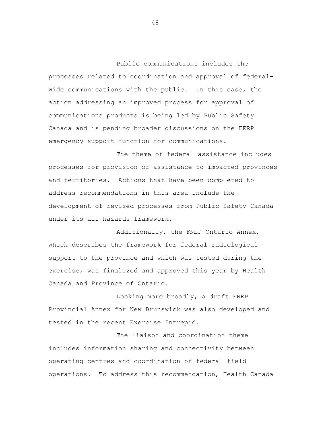Public communications includes the processes related to coordination and approval of federalwide communications with the public. In this case, the action addressing an improved process for approval of communications products is being led by Public Safety Canada and is pending broader discussions on the FERP emergency support function for communications.

The theme of federal assistance includes processes for provision of assistance to impacted provinces and territories. Actions that have been completed to address recommendations in this area include the development of revised processes from Public Safety Canada under its all hazards framework.

Additionally, the FNEP Ontario Annex, which describes the framework for federal radiological support to the province and which was tested during the exercise, was finalized and approved this year by Health Canada and Province of Ontario.

Looking more broadly, a draft FNEP Provincial Annex for New Brunswick was also developed and tested in the recent Exercise Intrepid.

The liaison and coordination theme includes information sharing and connectivity between operating centres and coordination of federal field operations. To address this recommendation, Health Canada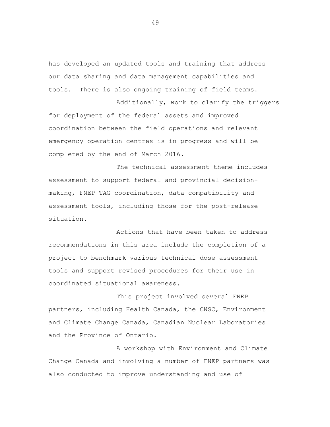has developed an updated tools and training that address our data sharing and data management capabilities and tools. There is also ongoing training of field teams.

Additionally, work to clarify the triggers for deployment of the federal assets and improved coordination between the field operations and relevant emergency operation centres is in progress and will be completed by the end of March 2016.

The technical assessment theme includes assessment to support federal and provincial decisionmaking, FNEP TAG coordination, data compatibility and assessment tools, including those for the post-release situation.

Actions that have been taken to address recommendations in this area include the completion of a project to benchmark various technical dose assessment tools and support revised procedures for their use in coordinated situational awareness.

This project involved several FNEP partners, including Health Canada, the CNSC, Environment and Climate Change Canada, Canadian Nuclear Laboratories and the Province of Ontario.

A workshop with Environment and Climate Change Canada and involving a number of FNEP partners was also conducted to improve understanding and use of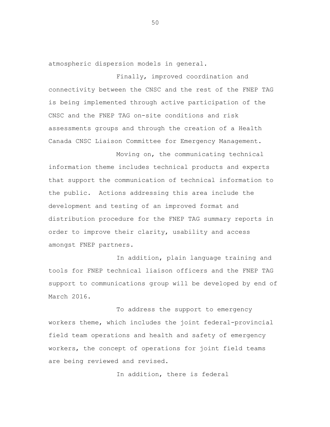atmospheric dispersion models in general.

Finally, improved coordination and connectivity between the CNSC and the rest of the FNEP TAG is being implemented through active participation of the CNSC and the FNEP TAG on-site conditions and risk assessments groups and through the creation of a Health Canada CNSC Liaison Committee for Emergency Management.

Moving on, the communicating technical information theme includes technical products and experts that support the communication of technical information to the public. Actions addressing this area include the development and testing of an improved format and distribution procedure for the FNEP TAG summary reports in order to improve their clarity, usability and access amongst FNEP partners.

In addition, plain language training and tools for FNEP technical liaison officers and the FNEP TAG support to communications group will be developed by end of March 2016.

To address the support to emergency workers theme, which includes the joint federal-provincial field team operations and health and safety of emergency workers, the concept of operations for joint field teams are being reviewed and revised.

In addition, there is federal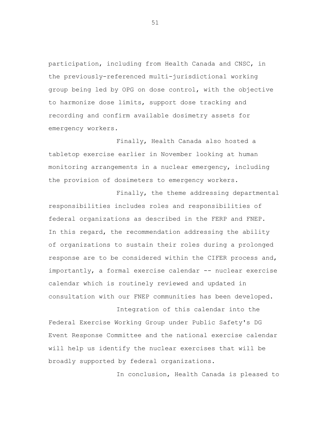participation, including from Health Canada and CNSC, in the previously-referenced multi-jurisdictional working group being led by OPG on dose control, with the objective to harmonize dose limits, support dose tracking and recording and confirm available dosimetry assets for emergency workers.

Finally, Health Canada also hosted a tabletop exercise earlier in November looking at human monitoring arrangements in a nuclear emergency, including the provision of dosimeters to emergency workers.

Finally, the theme addressing departmental responsibilities includes roles and responsibilities of federal organizations as described in the FERP and FNEP. In this regard, the recommendation addressing the ability of organizations to sustain their roles during a prolonged response are to be considered within the CIFER process and, importantly, a formal exercise calendar -- nuclear exercise calendar which is routinely reviewed and updated in consultation with our FNEP communities has been developed.

Integration of this calendar into the Federal Exercise Working Group under Public Safety's DG Event Response Committee and the national exercise calendar will help us identify the nuclear exercises that will be broadly supported by federal organizations.

In conclusion, Health Canada is pleased to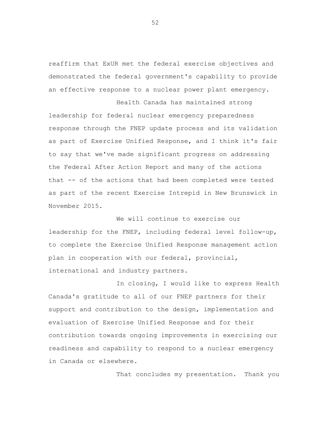reaffirm that ExUR met the federal exercise objectives and demonstrated the federal government's capability to provide an effective response to a nuclear power plant emergency.

Health Canada has maintained strong leadership for federal nuclear emergency preparedness response through the FNEP update process and its validation as part of Exercise Unified Response, and I think it's fair to say that we've made significant progress on addressing the Federal After Action Report and many of the actions that -- of the actions that had been completed were tested as part of the recent Exercise Intrepid in New Brunswick in November 2015.

We will continue to exercise our leadership for the FNEP, including federal level follow-up, to complete the Exercise Unified Response management action plan in cooperation with our federal, provincial, international and industry partners.

In closing, I would like to express Health Canada's gratitude to all of our FNEP partners for their support and contribution to the design, implementation and evaluation of Exercise Unified Response and for their contribution towards ongoing improvements in exercising our readiness and capability to respond to a nuclear emergency in Canada or elsewhere.

That concludes my presentation. Thank you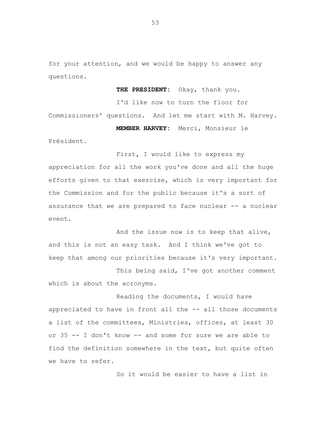for your attention, and we would be happy to answer any questions.

**THE PRESIDENT:** Okay, thank you.

I'd like now to turn the floor for Commissioners' questions. And let me start with M. Harvey.

**MEMBER HARVEY:** Merci, Monsieur le

Président.

First, I would like to express my appreciation for all the work you've done and all the huge efforts given to that exercise, which is very important for the Commission and for the public because it's a sort of assurance that we are prepared to face nuclear -- a nuclear event.

And the issue now is to keep that alive, and this is not an easy task. And I think we've got to keep that among our priorities because it's very important.

This being said, I've got another comment which is about the acronyms.

Reading the documents, I would have appreciated to have in front all the -- all those documents a list of the committees, Ministries, offices, at least 30 or 35 -- I don't know -- and some for sure we are able to find the definition somewhere in the text, but quite often we have to refer.

So it would be easier to have a list in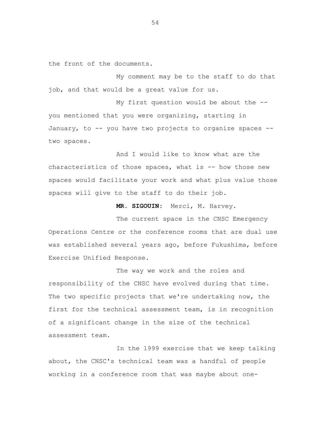the front of the documents.

My comment may be to the staff to do that job, and that would be a great value for us.

two spaces. My first question would be about the - you mentioned that you were organizing, starting in January, to -- you have two projects to organize spaces --

And I would like to know what are the characteristics of those spaces, what is  $-$ - how those new spaces would facilitate your work and what plus value those spaces will give to the staff to do their job.

**MR. SIGOUIN:** Merci, M. Harvey.

The current space in the CNSC Emergency Operations Centre or the conference rooms that are dual use was established several years ago, before Fukushima, before Exercise Unified Response.

The way we work and the roles and responsibility of the CNSC have evolved during that time. The two specific projects that we're undertaking now, the first for the technical assessment team, is in recognition of a significant change in the size of the technical assessment team.

In the 1999 exercise that we keep talking about, the CNSC's technical team was a handful of people working in a conference room that was maybe about one-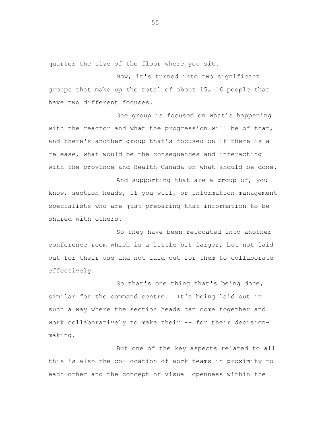quarter the size of the floor where you sit.

Now, it's turned into two significant groups that make up the total of about 15, 16 people that have two different focuses.

One group is focused on what's happening with the reactor and what the progression will be of that, and there's another group that's focused on if there is a release, what would be the consequences and interacting with the province and Health Canada on what should be done.

And supporting that are a group of, you know, section heads, if you will, or information management specialists who are just preparing that information to be shared with others.

So they have been relocated into another conference room which is a little bit larger, but not laid out for their use and not laid out for them to collaborate effectively.

So that's one thing that's being done, similar for the command centre. It's being laid out in such a way where the section heads can come together and work collaboratively to make their -- for their decisionmaking.

But one of the key aspects related to all this is also the co-location of work teams in proximity to each other and the concept of visual openness within the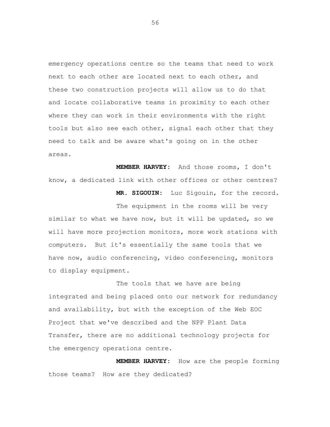emergency operations centre so the teams that need to work next to each other are located next to each other, and these two construction projects will allow us to do that and locate collaborative teams in proximity to each other where they can work in their environments with the right tools but also see each other, signal each other that they need to talk and be aware what's going on in the other areas.

**MEMBER HARVEY:** And those rooms, I don't know, a dedicated link with other offices or other centres? **MR. SIGOUIN:** Luc Sigouin, for the record.

The equipment in the rooms will be very similar to what we have now, but it will be updated, so we will have more projection monitors, more work stations with computers. But it's essentially the same tools that we have now, audio conferencing, video conferencing, monitors to display equipment.

The tools that we have are being integrated and being placed onto our network for redundancy and availability, but with the exception of the Web EOC Project that we've described and the NPP Plant Data Transfer, there are no additional technology projects for the emergency operations centre.

**MEMBER HARVEY:** How are the people forming those teams? How are they dedicated?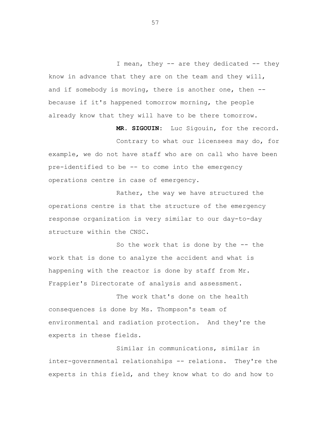I mean, they -- are they dedicated -- they know in advance that they are on the team and they will, and if somebody is moving, there is another one, then - because if it's happened tomorrow morning, the people already know that they will have to be there tomorrow.

**MR. SIGOUIN:** Luc Sigouin, for the record.

Contrary to what our licensees may do, for example, we do not have staff who are on call who have been pre-identified to be -- to come into the emergency operations centre in case of emergency.

Rather, the way we have structured the operations centre is that the structure of the emergency response organization is very similar to our day-to-day structure within the CNSC.

So the work that is done by the -- the work that is done to analyze the accident and what is happening with the reactor is done by staff from Mr. Frappier's Directorate of analysis and assessment.

The work that's done on the health consequences is done by Ms. Thompson's team of environmental and radiation protection. And they're the experts in these fields.

Similar in communications, similar in inter-governmental relationships -- relations. They're the experts in this field, and they know what to do and how to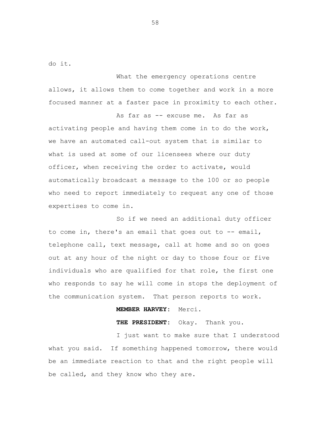do it.

What the emergency operations centre allows, it allows them to come together and work in a more focused manner at a faster pace in proximity to each other.

As far as -- excuse me. As far as activating people and having them come in to do the work, we have an automated call-out system that is similar to what is used at some of our licensees where our duty officer, when receiving the order to activate, would automatically broadcast a message to the 100 or so people who need to report immediately to request any one of those expertises to come in.

So if we need an additional duty officer to come in, there's an email that goes out to  $--$  email, telephone call, text message, call at home and so on goes out at any hour of the night or day to those four or five individuals who are qualified for that role, the first one who responds to say he will come in stops the deployment of the communication system. That person reports to work.

## **MEMBER HARVEY:** Merci.

**THE PRESIDENT:** Okay. Thank you.

I just want to make sure that I understood what you said. If something happened tomorrow, there would be an immediate reaction to that and the right people will be called, and they know who they are.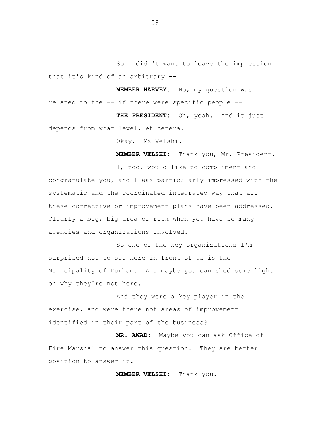So I didn't want to leave the impression that it's kind of an arbitrary --

**MEMBER HARVEY:** No, my question was related to the -- if there were specific people --

**THE PRESIDENT:** Oh, yeah. And it just depends from what level, et cetera.

Okay. Ms Velshi.

**MEMBER VELSHI:** Thank you, Mr. President.

I, too, would like to compliment and congratulate you, and I was particularly impressed with the systematic and the coordinated integrated way that all these corrective or improvement plans have been addressed. Clearly a big, big area of risk when you have so many agencies and organizations involved.

So one of the key organizations I'm surprised not to see here in front of us is the Municipality of Durham. And maybe you can shed some light on why they're not here.

And they were a key player in the exercise, and were there not areas of improvement identified in their part of the business?

**MR. AWAD:** Maybe you can ask Office of Fire Marshal to answer this question. They are better position to answer it.

**MEMBER VELSHI:** Thank you.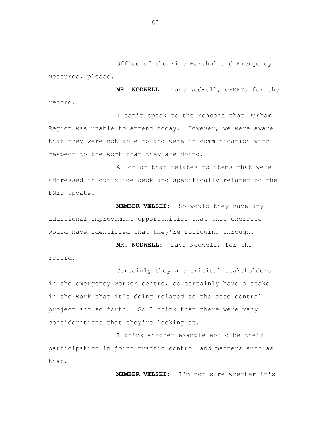Office of the Fire Marshal and Emergency Measures, please.

**MR. NODWELL:** Dave Nodwell, OFMEM, for the record.

I can't speak to the reasons that Durham Region was unable to attend today. However, we were aware that they were not able to and were in communication with respect to the work that they are doing.

A lot of that relates to items that were addressed in our slide deck and specifically related to the FNEP update.

**MEMBER VELSHI:** So would they have any additional improvement opportunities that this exercise would have identified that they're following through?

**MR. NODWELL:** Dave Nodwell, for the record.

Certainly they are critical stakeholders in the emergency worker centre, so certainly have a stake in the work that it's doing related to the dose control project and so forth. So I think that there were many considerations that they're looking at.

I think another example would be their participation in joint traffic control and matters such as that.

**MEMBER VELSHI:** I'm not sure whether it's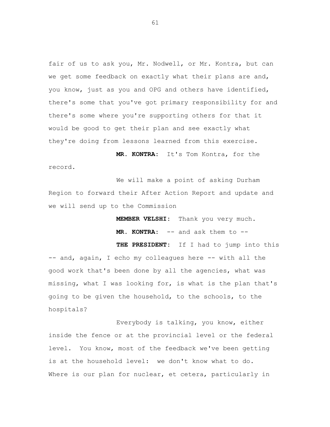fair of us to ask you, Mr. Nodwell, or Mr. Kontra, but can we get some feedback on exactly what their plans are and, you know, just as you and OPG and others have identified, there's some that you've got primary responsibility for and there's some where you're supporting others for that it would be good to get their plan and see exactly what they're doing from lessons learned from this exercise.

**MR. KONTRA:** It's Tom Kontra, for the record.

We will make a point of asking Durham Region to forward their After Action Report and update and we will send up to the Commission

**MEMBER VELSHI:** Thank you very much.

**MR. KONTRA:** -- and ask them to --

**THE PRESIDENT:** If I had to jump into this -- and, again, I echo my colleagues here -- with all the good work that's been done by all the agencies, what was missing, what I was looking for, is what is the plan that's going to be given the household, to the schools, to the hospitals?

Everybody is talking, you know, either inside the fence or at the provincial level or the federal level. You know, most of the feedback we've been getting is at the household level: we don't know what to do. Where is our plan for nuclear, et cetera, particularly in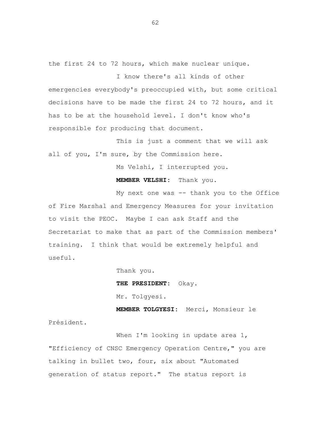the first 24 to 72 hours, which make nuclear unique.

I know there's all kinds of other emergencies everybody's preoccupied with, but some critical decisions have to be made the first 24 to 72 hours, and it has to be at the household level. I don't know who's responsible for producing that document.

This is just a comment that we will ask all of you, I'm sure, by the Commission here.

Ms Velshi, I interrupted you.

**MEMBER VELSHI:** Thank you.

My next one was -- thank you to the Office

of Fire Marshal and Emergency Measures for your invitation to visit the PEOC. Maybe I can ask Staff and the Secretariat to make that as part of the Commission members' training. I think that would be extremely helpful and useful.

Thank you.

**THE PRESIDENT:** Okay.

Mr. Tolgyesi.

**MEMBER TOLGYESI:** Merci, Monsieur le Président.

When I'm looking in update area 1, "Efficiency of CNSC Emergency Operation Centre," you are talking in bullet two, four, six about "Automated generation of status report." The status report is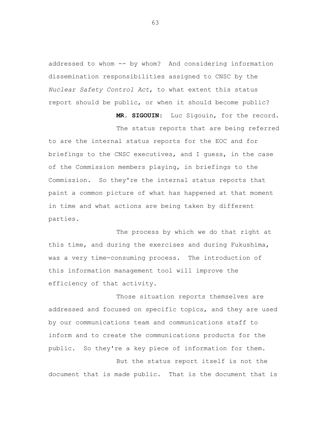addressed to whom -- by whom? And considering information dissemination responsibilities assigned to CNSC by the *Nuclear Safety Control Act*, to what extent this status report should be public, or when it should become public?

**MR. SIGOUIN**: Luc Sigouin, for the record.

The status reports that are being referred to are the internal status reports for the EOC and for briefings to the CNSC executives, and I guess, in the case of the Commission members playing, in briefings to the Commission. So they're the internal status reports that paint a common picture of what has happened at that moment in time and what actions are being taken by different parties.

The process by which we do that right at this time, and during the exercises and during Fukushima, was a very time-consuming process. The introduction of this information management tool will improve the efficiency of that activity.

Those situation reports themselves are addressed and focused on specific topics, and they are used by our communications team and communications staff to inform and to create the communications products for the public. So they're a key piece of information for them.

But the status report itself is not the document that is made public. That is the document that is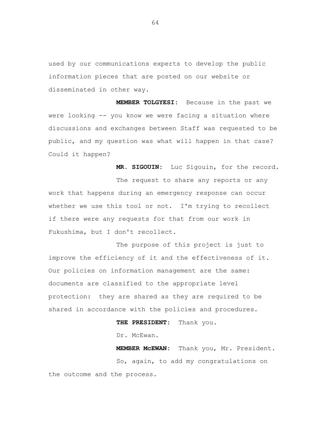used by our communications experts to develop the public information pieces that are posted on our website or disseminated in other way.

**MEMBER TOLGYESI:** Because in the past we were looking -- you know we were facing a situation where discussions and exchanges between Staff was requested to be public, and my question was what will happen in that case? Could it happen?

**MR. SIGOUIN:** Luc Sigouin, for the record.

The request to share any reports or any work that happens during an emergency response can occur whether we use this tool or not. I'm trying to recollect if there were any requests for that from our work in Fukushima, but I don't recollect.

The purpose of this project is just to improve the efficiency of it and the effectiveness of it. Our policies on information management are the same: documents are classified to the appropriate level protection: they are shared as they are required to be shared in accordance with the policies and procedures.

## **THE PRESIDENT:** Thank you.

Dr. McEwan.

**MEMBER McEWAN:** Thank you, Mr. President. So, again, to add my congratulations on the outcome and the process.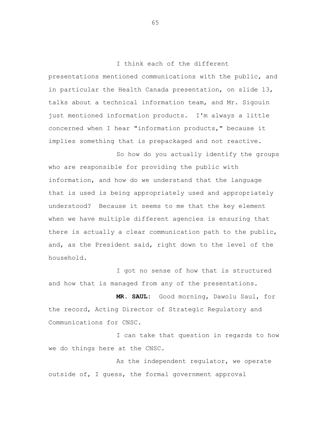I think each of the different presentations mentioned communications with the public, and in particular the Health Canada presentation, on slide 13, talks about a technical information team, and Mr. Sigouin just mentioned information products. I'm always a little concerned when I hear "information products," because it implies something that is prepackaged and not reactive.

So how do you actually identify the groups who are responsible for providing the public with information, and how do we understand that the language that is used is being appropriately used and appropriately understood? Because it seems to me that the key element when we have multiple different agencies is ensuring that there is actually a clear communication path to the public, and, as the President said, right down to the level of the household.

I got no sense of how that is structured and how that is managed from any of the presentations.

**MR. SAUL:** Good morning, Dawolu Saul, for the record, Acting Director of Strategic Regulatory and Communications for CNSC.

I can take that question in regards to how we do things here at the CNSC.

As the independent regulator, we operate outside of, I guess, the formal government approval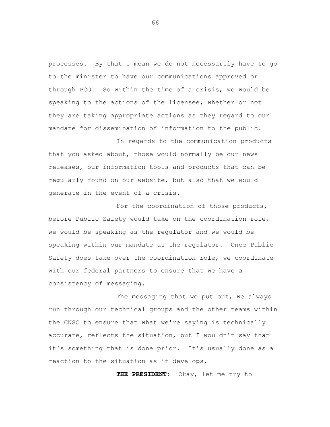processes. By that I mean we do not necessarily have to go to the minister to have our communications approved or through PCO. So within the time of a crisis, we would be speaking to the actions of the licensee, whether or not they are taking appropriate actions as they regard to our mandate for dissemination of information to the public.

In regards to the communication products that you asked about, those would normally be our news releases, our information tools and products that can be regularly found on our website, but also that we would generate in the event of a crisis.

For the coordination of those products, before Public Safety would take on the coordination role, we would be speaking as the regulator and we would be speaking within our mandate as the regulator. Once Public Safety does take over the coordination role, we coordinate with our federal partners to ensure that we have a consistency of messaging.

The messaging that we put out, we always run through our technical groups and the other teams within the CNSC to ensure that what we're saying is technically accurate, reflects the situation, but I wouldn't say that it's something that is done prior. It's usually done as a reaction to the situation as it develops.

**THE PRESIDENT:** Okay, let me try to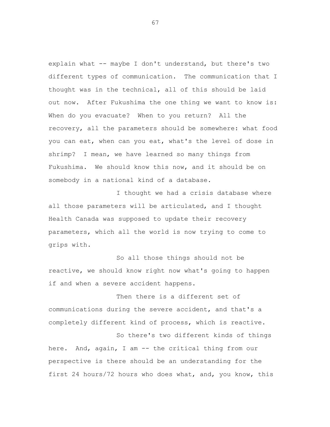explain what -- maybe I don't understand, but there's two different types of communication. The communication that I thought was in the technical, all of this should be laid out now. After Fukushima the one thing we want to know is: When do you evacuate? When to you return? All the recovery, all the parameters should be somewhere: what food you can eat, when can you eat, what's the level of dose in shrimp? I mean, we have learned so many things from Fukushima. We should know this now, and it should be on somebody in a national kind of a database.

I thought we had a crisis database where all those parameters will be articulated, and I thought Health Canada was supposed to update their recovery parameters, which all the world is now trying to come to grips with.

So all those things should not be reactive, we should know right now what's going to happen if and when a severe accident happens.

Then there is a different set of communications during the severe accident, and that's a completely different kind of process, which is reactive.

So there's two different kinds of things here. And, again, I am -- the critical thing from our perspective is there should be an understanding for the first 24 hours/72 hours who does what, and, you know, this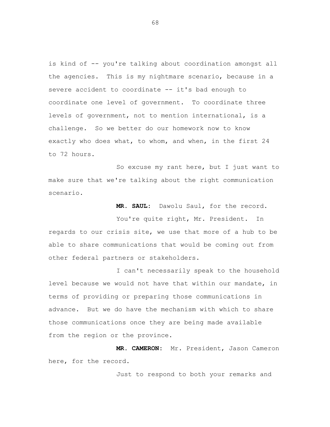is kind of -- you're talking about coordination amongst all the agencies. This is my nightmare scenario, because in a severe accident to coordinate -- it's bad enough to coordinate one level of government. To coordinate three levels of government, not to mention international, is a challenge. So we better do our homework now to know exactly who does what, to whom, and when, in the first 24 to 72 hours.

So excuse my rant here, but I just want to make sure that we're talking about the right communication scenario.

**MR. SAUL:** Dawolu Saul, for the record.

You're quite right, Mr. President. In regards to our crisis site, we use that more of a hub to be able to share communications that would be coming out from other federal partners or stakeholders.

I can't necessarily speak to the household level because we would not have that within our mandate, in terms of providing or preparing those communications in advance. But we do have the mechanism with which to share those communications once they are being made available from the region or the province.

**MR. CAMERON:** Mr. President, Jason Cameron here, for the record.

Just to respond to both your remarks and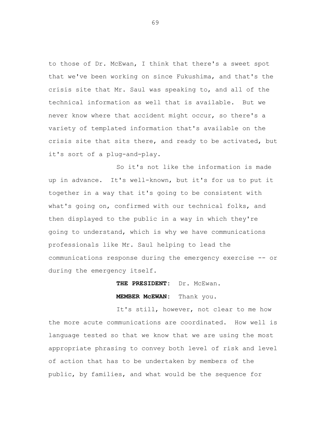to those of Dr. McEwan, I think that there's a sweet spot that we've been working on since Fukushima, and that's the crisis site that Mr. Saul was speaking to, and all of the technical information as well that is available. But we never know where that accident might occur, so there's a variety of templated information that's available on the crisis site that sits there, and ready to be activated, but it's sort of a plug-and-play.

So it's not like the information is made up in advance. It's well-known, but it's for us to put it together in a way that it's going to be consistent with what's going on, confirmed with our technical folks, and then displayed to the public in a way in which they're going to understand, which is why we have communications professionals like Mr. Saul helping to lead the communications response during the emergency exercise -- or during the emergency itself.

> THE PRESIDENT: Dr. McEwan. **MEMBER McEWAN:** Thank you.

It's still, however, not clear to me how the more acute communications are coordinated. How well is language tested so that we know that we are using the most appropriate phrasing to convey both level of risk and level of action that has to be undertaken by members of the public, by families, and what would be the sequence for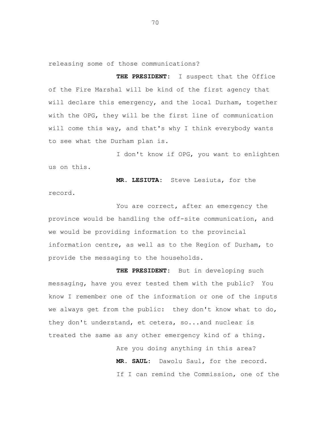releasing some of those communications?

**THE PRESIDENT:** I suspect that the Office of the Fire Marshal will be kind of the first agency that will declare this emergency, and the local Durham, together with the OPG, they will be the first line of communication will come this way, and that's why I think everybody wants to see what the Durham plan is.

I don't know if OPG, you want to enlighten us on this.

**MR. LESIUTA:** Steve Lesiuta, for the record.

You are correct, after an emergency the province would be handling the off-site communication, and we would be providing information to the provincial information centre, as well as to the Region of Durham, to provide the messaging to the households.

**THE PRESIDENT:** But in developing such messaging, have you ever tested them with the public? You know I remember one of the information or one of the inputs we always get from the public: they don't know what to do, they don't understand, et cetera, so...and nuclear is treated the same as any other emergency kind of a thing.

> Are you doing anything in this area? **MR. SAUL:** Dawolu Saul, for the record. If I can remind the Commission, one of the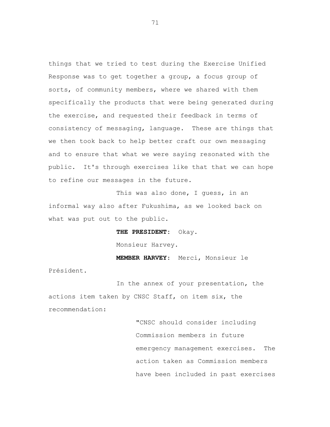things that we tried to test during the Exercise Unified Response was to get together a group, a focus group of sorts, of community members, where we shared with them specifically the products that were being generated during the exercise, and requested their feedback in terms of consistency of messaging, language. These are things that we then took back to help better craft our own messaging and to ensure that what we were saying resonated with the public. It's through exercises like that that we can hope to refine our messages in the future.

This was also done, I guess, in an informal way also after Fukushima, as we looked back on what was put out to the public.

> **THE PRESIDENT:** Okay. Monsieur Harvey.

Président.

**MEMBER HARVEY**: Merci, Monsieur le

In the annex of your presentation, the actions item taken by CNSC Staff, on item six, the recommendation:

> "CNSC should consider including Commission members in future emergency management exercises. The action taken as Commission members have been included in past exercises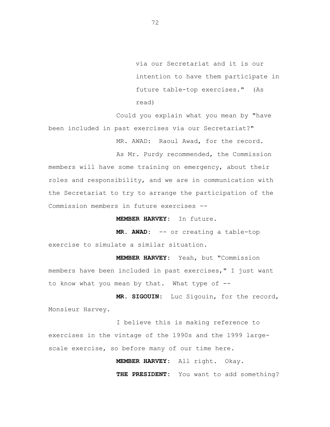via our Secretariat and it is our intention to have them participate in future table-top exercises." (As read)

Could you explain what you mean by "have been included in past exercises via our Secretariat?"

MR. AWAD: Raoul Awad, for the record.

As Mr. Purdy recommended, the Commission members will have some training on emergency, about their roles and responsibility, and we are in communication with the Secretariat to try to arrange the participation of the Commission members in future exercises --

**MEMBER HARVEY:** In future.

**MR. AWAD:** -- or creating a table-top exercise to simulate a similar situation.

**MEMBER HARVEY:** Yeah, but "Commission members have been included in past exercises," I just want to know what you mean by that. What type of --

**MR. SIGOUIN:** Luc Sigouin, for the record, Monsieur Harvey.

I believe this is making reference to exercises in the vintage of the 1990s and the 1999 largescale exercise, so before many of our time here.

**MEMBER HARVEY:** All right. Okay.

**THE PRESIDENT:** You want to add something?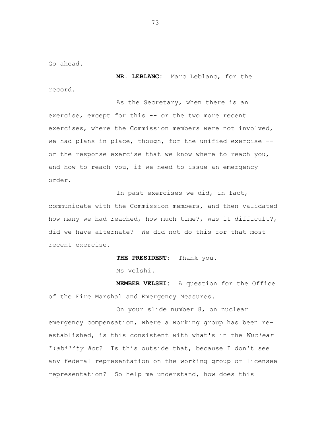Go ahead.

**MR. LEBLANC:** Marc Leblanc, for the record.

As the Secretary, when there is an exercise, except for this -- or the two more recent exercises, where the Commission members were not involved, we had plans in place, though, for the unified exercise - or the response exercise that we know where to reach you, and how to reach you, if we need to issue an emergency order.

In past exercises we did, in fact, communicate with the Commission members, and then validated how many we had reached, how much time?, was it difficult?, did we have alternate? We did not do this for that most recent exercise.

**THE PRESIDENT:** Thank you.

Ms Velshi.

**MEMBER VELSHI:** A question for the Office of the Fire Marshal and Emergency Measures.

On your slide number 8, on nuclear emergency compensation, where a working group has been reestablished, is this consistent with what's in the *Nuclear Liability Act*? Is this outside that, because I don't see any federal representation on the working group or licensee representation? So help me understand, how does this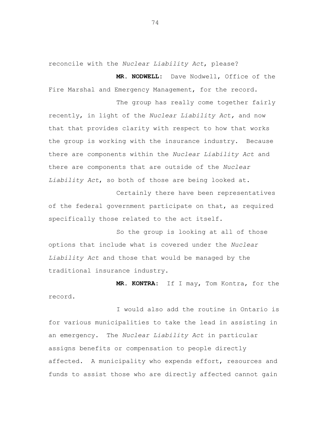reconcile with the *Nuclear Liability Act*, please?

**MR. NODWELL:** Dave Nodwell, Office of the Fire Marshal and Emergency Management, for the record.

The group has really come together fairly recently, in light of the *Nuclear Liability Act,* and now that that provides clarity with respect to how that works the group is working with the insurance industry. Because there are components within the *Nuclear Liability Act* and there are components that are outside of the *Nuclear Liability Act*, so both of those are being looked at.

Certainly there have been representatives of the federal government participate on that, as required specifically those related to the act itself.

So the group is looking at all of those options that include what is covered under the *Nuclear Liability Act* and those that would be managed by the traditional insurance industry.

**MR. KONTRA:** If I may, Tom Kontra, for the record.

I would also add the routine in Ontario is for various municipalities to take the lead in assisting in an emergency. The *Nuclear Liability Act* in particular assigns benefits or compensation to people directly affected. A municipality who expends effort, resources and funds to assist those who are directly affected cannot gain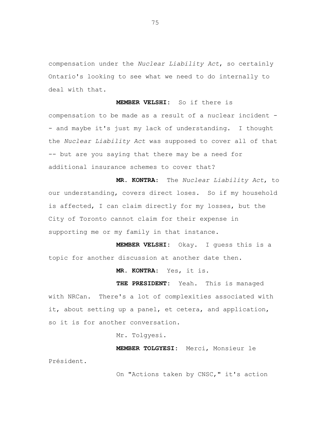compensation under the *Nuclear Liability Act*, so certainly Ontario's looking to see what we need to do internally to deal with that.

**MEMBER VELSHI:** So if there is compensation to be made as a result of a nuclear incident - - and maybe it's just my lack of understanding. I thought the *Nuclear Liability Act* was supposed to cover all of that -- but are you saying that there may be a need for additional insurance schemes to cover that?

**MR. KONTRA**: The *Nuclear Liability Act*, to our understanding, covers direct loses. So if my household is affected, I can claim directly for my losses, but the City of Toronto cannot claim for their expense in supporting me or my family in that instance.

**MEMBER VELSHI:** Okay. I guess this is a topic for another discussion at another date then.

**MR. KONTRA:** Yes, it is.

**THE PRESIDENT:** Yeah. This is managed with NRCan. There's a lot of complexities associated with it, about setting up a panel, et cetera, and application, so it is for another conversation.

Mr. Tolgyesi.

**MEMBER TOLGYESI:** Merci, Monsieur le Président.

On "Actions taken by CNSC," it's action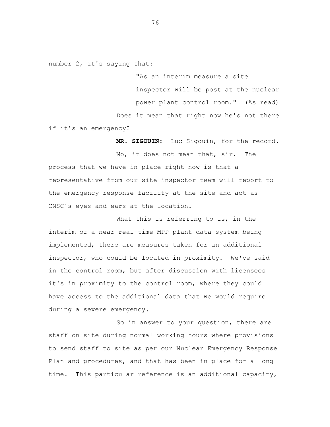number 2, it's saying that:

"As an interim measure a site inspector will be post at the nuclear power plant control room." (As read) Does it mean that right now he's not there if it's an emergency?

**MR. SIGOUIN:** Luc Sigouin, for the record. No, it does not mean that, sir. The process that we have in place right now is that a representative from our site inspector team will report to the emergency response facility at the site and act as CNSC's eyes and ears at the location.

What this is referring to is, in the interim of a near real-time MPP plant data system being implemented, there are measures taken for an additional inspector, who could be located in proximity. We've said in the control room, but after discussion with licensees it's in proximity to the control room, where they could have access to the additional data that we would require during a severe emergency.

So in answer to your question, there are staff on site during normal working hours where provisions to send staff to site as per our Nuclear Emergency Response Plan and procedures, and that has been in place for a long time. This particular reference is an additional capacity,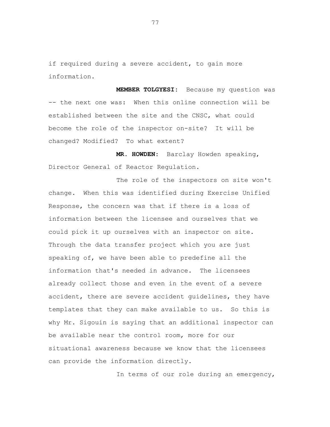if required during a severe accident, to gain more information.

**MEMBER TOLGYESI:** Because my question was -- the next one was: When this online connection will be established between the site and the CNSC, what could become the role of the inspector on-site? It will be changed? Modified? To what extent?

**MR. HOWDEN:** Barclay Howden speaking, Director General of Reactor Regulation.

The role of the inspectors on site won't change. When this was identified during Exercise Unified Response, the concern was that if there is a loss of information between the licensee and ourselves that we could pick it up ourselves with an inspector on site. Through the data transfer project which you are just speaking of, we have been able to predefine all the information that's needed in advance. The licensees already collect those and even in the event of a severe accident, there are severe accident guidelines, they have templates that they can make available to us. So this is why Mr. Sigouin is saying that an additional inspector can be available near the control room, more for our situational awareness because we know that the licensees can provide the information directly.

In terms of our role during an emergency,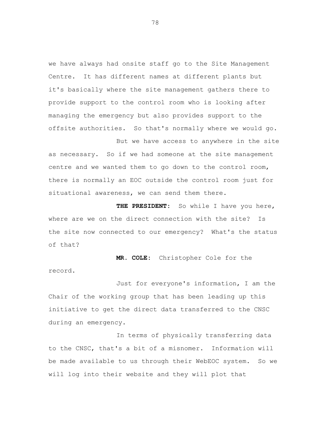we have always had onsite staff go to the Site Management Centre. It has different names at different plants but it's basically where the site management gathers there to provide support to the control room who is looking after managing the emergency but also provides support to the offsite authorities. So that's normally where we would go.

But we have access to anywhere in the site as necessary. So if we had someone at the site management centre and we wanted them to go down to the control room, there is normally an EOC outside the control room just for situational awareness, we can send them there.

**THE PRESIDENT:** So while I have you here, where are we on the direct connection with the site? Is the site now connected to our emergency? What's the status of that?

**MR. COLE:** Christopher Cole for the record.

Just for everyone's information, I am the Chair of the working group that has been leading up this initiative to get the direct data transferred to the CNSC during an emergency.

In terms of physically transferring data to the CNSC, that's a bit of a misnomer. Information will be made available to us through their WebEOC system. So we will log into their website and they will plot that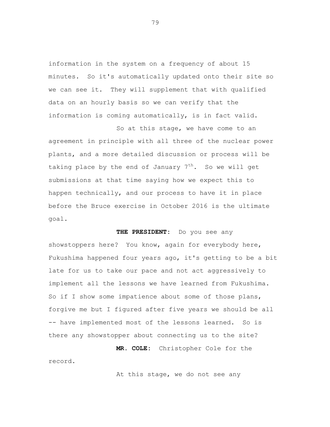information in the system on a frequency of about 15 minutes. So it's automatically updated onto their site so we can see it. They will supplement that with qualified data on an hourly basis so we can verify that the information is coming automatically, is in fact valid.

So at this stage, we have come to an agreement in principle with all three of the nuclear power plants, and a more detailed discussion or process will be taking place by the end of January  $7<sup>th</sup>$ . So we will get submissions at that time saying how we expect this to happen technically, and our process to have it in place before the Bruce exercise in October 2016 is the ultimate goal.

**THE PRESIDENT:** Do you see any showstoppers here? You know, again for everybody here, Fukushima happened four years ago, it's getting to be a bit late for us to take our pace and not act aggressively to implement all the lessons we have learned from Fukushima. So if I show some impatience about some of those plans, forgive me but I figured after five years we should be all -- have implemented most of the lessons learned. So is there any showstopper about connecting us to the site?

**MR. COLE:** Christopher Cole for the record.

At this stage, we do not see any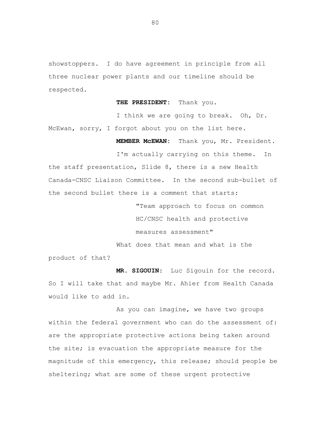showstoppers. I do have agreement in principle from all three nuclear power plants and our timeline should be respected.

**THE PRESIDENT:** Thank you.

I think we are going to break. Oh, Dr. McEwan, sorry, I forgot about you on the list here.

**MEMBER McEWAN:** Thank you, Mr. President.

I'm actually carrying on this theme. In the staff presentation, Slide 8, there is a new Health Canada-CNSC Liaison Committee. In the second sub-bullet of the second bullet there is a comment that starts:

> "Team approach to focus on common HC/CNSC health and protective measures assessment"

What does that mean and what is the

product of that?

**MR. SIGOUIN:** Luc Sigouin for the record. So I will take that and maybe Mr. Ahier from Health Canada would like to add in.

As you can imagine, we have two groups within the federal government who can do the assessment of: are the appropriate protective actions being taken around the site; is evacuation the appropriate measure for the magnitude of this emergency, this release; should people be sheltering; what are some of these urgent protective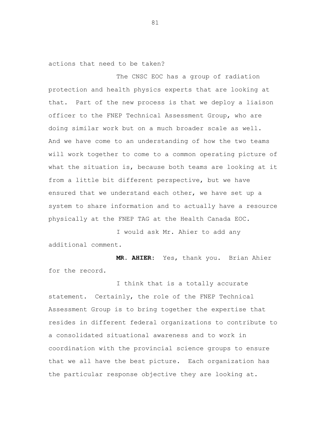actions that need to be taken?

The CNSC EOC has a group of radiation protection and health physics experts that are looking at that. Part of the new process is that we deploy a liaison officer to the FNEP Technical Assessment Group, who are doing similar work but on a much broader scale as well. And we have come to an understanding of how the two teams will work together to come to a common operating picture of what the situation is, because both teams are looking at it from a little bit different perspective, but we have ensured that we understand each other, we have set up a system to share information and to actually have a resource physically at the FNEP TAG at the Health Canada EOC.

I would ask Mr. Ahier to add any additional comment.

**MR. AHIER:** Yes, thank you. Brian Ahier for the record.

I think that is a totally accurate statement. Certainly, the role of the FNEP Technical Assessment Group is to bring together the expertise that resides in different federal organizations to contribute to a consolidated situational awareness and to work in coordination with the provincial science groups to ensure that we all have the best picture. Each organization has the particular response objective they are looking at.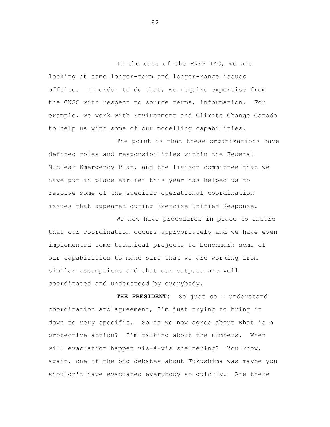In the case of the FNEP TAG, we are looking at some longer-term and longer-range issues offsite. In order to do that, we require expertise from the CNSC with respect to source terms, information. For example, we work with Environment and Climate Change Canada to help us with some of our modelling capabilities.

The point is that these organizations have defined roles and responsibilities within the Federal Nuclear Emergency Plan, and the liaison committee that we have put in place earlier this year has helped us to resolve some of the specific operational coordination issues that appeared during Exercise Unified Response.

We now have procedures in place to ensure that our coordination occurs appropriately and we have even implemented some technical projects to benchmark some of our capabilities to make sure that we are working from similar assumptions and that our outputs are well coordinated and understood by everybody.

**THE PRESIDENT:** So just so I understand coordination and agreement, I'm just trying to bring it down to very specific. So do we now agree about what is a protective action? I'm talking about the numbers. When will evacuation happen vis-à-vis sheltering? You know, again, one of the big debates about Fukushima was maybe you shouldn't have evacuated everybody so quickly. Are there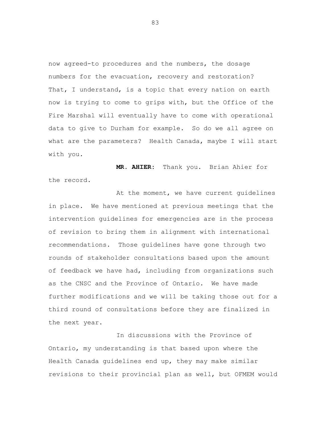now agreed-to procedures and the numbers, the dosage numbers for the evacuation, recovery and restoration? That, I understand, is a topic that every nation on earth now is trying to come to grips with, but the Office of the Fire Marshal will eventually have to come with operational data to give to Durham for example. So do we all agree on what are the parameters? Health Canada, maybe I will start with you.

**MR. AHIER:** Thank you. Brian Ahier for the record.

At the moment, we have current guidelines in place. We have mentioned at previous meetings that the intervention guidelines for emergencies are in the process of revision to bring them in alignment with international recommendations. Those guidelines have gone through two rounds of stakeholder consultations based upon the amount of feedback we have had, including from organizations such as the CNSC and the Province of Ontario. We have made further modifications and we will be taking those out for a third round of consultations before they are finalized in the next year.

In discussions with the Province of Ontario, my understanding is that based upon where the Health Canada guidelines end up, they may make similar revisions to their provincial plan as well, but OFMEM would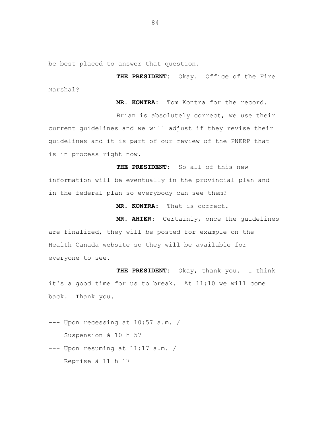be best placed to answer that question.

**THE PRESIDENT:** Okay. Office of the Fire Marshal?

**MR. KONTRA:** Tom Kontra for the record.

Brian is absolutely correct, we use their current guidelines and we will adjust if they revise their guidelines and it is part of our review of the PNERP that is in process right now.

**THE PRESIDENT:** So all of this new information will be eventually in the provincial plan and in the federal plan so everybody can see them?

**MR. KONTRA:** That is correct.

**MR. AHIER:** Certainly, once the guidelines are finalized, they will be posted for example on the Health Canada website so they will be available for everyone to see.

**THE PRESIDENT:** Okay, thank you. I think it's a good time for us to break. At 11:10 we will come back. Thank you.

--- Upon recessing at 10:57 a.m. / Suspension à 10 h 57

--- Upon resuming at 11:17 a.m. / Reprise à 11 h 17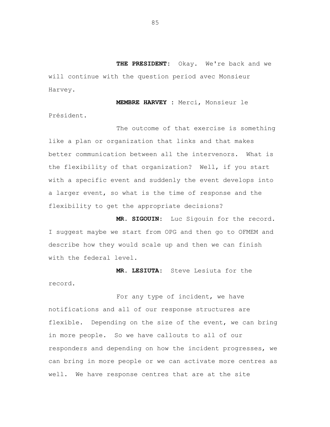**THE PRESIDENT:** Okay. We're back and we will continue with the question period avec Monsieur Harvey.

**MEMBRE HARVEY :** Merci, Monsieur le Président.

The outcome of that exercise is something like a plan or organization that links and that makes better communication between all the intervenors. What is the flexibility of that organization? Well, if you start with a specific event and suddenly the event develops into a larger event, so what is the time of response and the flexibility to get the appropriate decisions?

**MR. SIGOUIN:** Luc Sigouin for the record. I suggest maybe we start from OPG and then go to OFMEM and describe how they would scale up and then we can finish with the federal level.

**MR. LESIUTA:** Steve Lesiuta for the record.

For any type of incident, we have notifications and all of our response structures are flexible. Depending on the size of the event, we can bring in more people. So we have callouts to all of our responders and depending on how the incident progresses, we can bring in more people or we can activate more centres as well. We have response centres that are at the site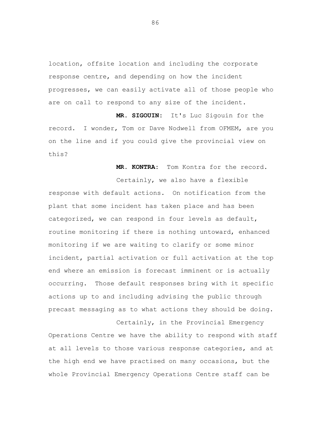location, offsite location and including the corporate response centre, and depending on how the incident progresses, we can easily activate all of those people who are on call to respond to any size of the incident.

**MR. SIGOUIN:** It's Luc Sigouin for the record. I wonder, Tom or Dave Nodwell from OFMEM, are you on the line and if you could give the provincial view on this?

**MR. KONTRA:** Tom Kontra for the record.

Certainly, we also have a flexible response with default actions. On notification from the plant that some incident has taken place and has been categorized, we can respond in four levels as default, routine monitoring if there is nothing untoward, enhanced monitoring if we are waiting to clarify or some minor incident, partial activation or full activation at the top end where an emission is forecast imminent or is actually occurring. Those default responses bring with it specific actions up to and including advising the public through precast messaging as to what actions they should be doing.

Certainly, in the Provincial Emergency Operations Centre we have the ability to respond with staff at all levels to those various response categories, and at the high end we have practised on many occasions, but the whole Provincial Emergency Operations Centre staff can be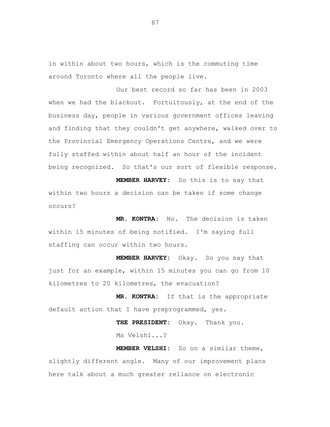in within about two hours, which is the commuting time around Toronto where all the people live.

Our best record so far has been in 2003 when we had the blackout. Fortuitously, at the end of the business day, people in various government offices leaving and finding that they couldn't get anywhere, walked over to the Provincial Emergency Operations Centre, and we were fully staffed within about half an hour of the incident being recognized. So that's our sort of flexible response.

**MEMBER HARVEY:** So this is to say that within two hours a decision can be taken if some change occurs?

**MR. KONTRA:** No. The decision is taken within 15 minutes of being notified. I'm saying full staffing can occur within two hours.

**MEMBER HARVEY:** Okay. So you say that just for an example, within 15 minutes you can go from 10 kilometres to 20 kilometres, the evacuation?

**MR. KONTRA:** If that is the appropriate default action that I have preprogrammed, yes.

> **THE PRESIDENT:** Okay. Thank you. Ms Velshi...?

**MEMBER VELSHI:** So on a similar theme, slightly different angle. Many of our improvement plans here talk about a much greater reliance on electronic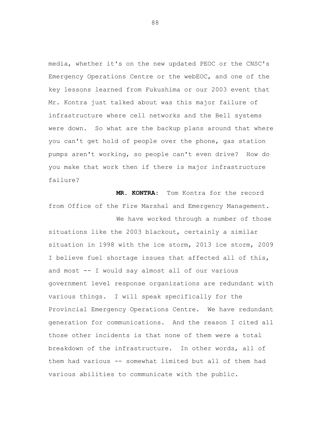media, whether it's on the new updated PEOC or the CNSC's Emergency Operations Centre or the webEOC, and one of the key lessons learned from Fukushima or our 2003 event that Mr. Kontra just talked about was this major failure of infrastructure where cell networks and the Bell systems were down. So what are the backup plans around that where you can't get hold of people over the phone, gas station pumps aren't working, so people can't even drive? How do you make that work then if there is major infrastructure failure?

**MR. KONTRA:** Tom Kontra for the record from Office of the Fire Marshal and Emergency Management.

We have worked through a number of those situations like the 2003 blackout, certainly a similar situation in 1998 with the ice storm, 2013 ice storm, 2009 I believe fuel shortage issues that affected all of this, and most -- I would say almost all of our various government level response organizations are redundant with various things. I will speak specifically for the Provincial Emergency Operations Centre. We have redundant generation for communications. And the reason I cited all those other incidents is that none of them were a total breakdown of the infrastructure. In other words, all of them had various -- somewhat limited but all of them had various abilities to communicate with the public.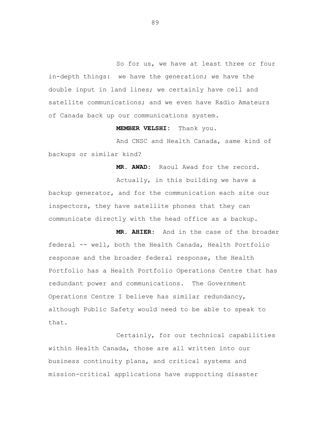So for us, we have at least three or four in-depth things: we have the generation; we have the double input in land lines; we certainly have cell and satellite communications; and we even have Radio Amateurs of Canada back up our communications system.

**MEMBER VELSHI:** Thank you.

And CNSC and Health Canada, same kind of backups or similar kind?

**MR. AWAD:** Raoul Awad for the record.

Actually, in this building we have a backup generator, and for the communication each site our inspectors, they have satellite phones that they can communicate directly with the head office as a backup.

**MR. AHIER:** And in the case of the broader federal -- well, both the Health Canada, Health Portfolio response and the broader federal response, the Health Portfolio has a Health Portfolio Operations Centre that has redundant power and communications. The Government Operations Centre I believe has similar redundancy, although Public Safety would need to be able to speak to that.

Certainly, for our technical capabilities within Health Canada, those are all written into our business continuity plans, and critical systems and mission-critical applications have supporting disaster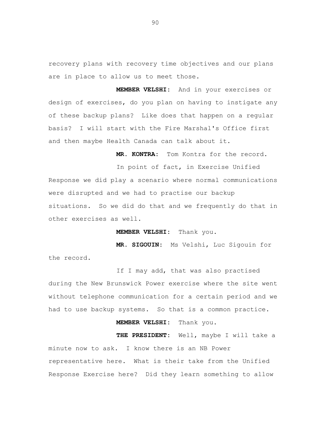recovery plans with recovery time objectives and our plans are in place to allow us to meet those.

**MEMBER VELSHI:** And in your exercises or design of exercises, do you plan on having to instigate any of these backup plans? Like does that happen on a regular basis? I will start with the Fire Marshal's Office first and then maybe Health Canada can talk about it.

**MR. KONTRA:** Tom Kontra for the record.

In point of fact, in Exercise Unified Response we did play a scenario where normal communications were disrupted and we had to practise our backup situations. So we did do that and we frequently do that in other exercises as well.

**MEMBER VELSHI:** Thank you.

**MR. SIGOUIN:** Ms Velshi, Luc Sigouin for the record.

If I may add, that was also practised during the New Brunswick Power exercise where the site went without telephone communication for a certain period and we had to use backup systems. So that is a common practice.

**MEMBER VELSHI:** Thank you.

**THE PRESIDENT:** Well, maybe I will take a minute now to ask. I know there is an NB Power representative here. What is their take from the Unified Response Exercise here? Did they learn something to allow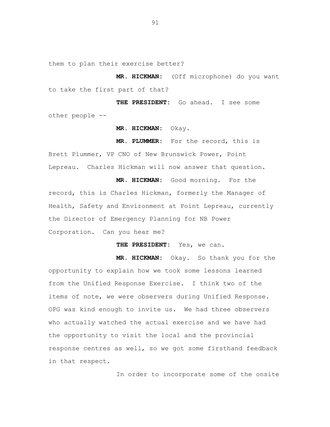them to plan their exercise better?

**MR. HICKMAN:** (Off microphone) do you want to take the first part of that?

**THE PRESIDENT:** Go ahead. I see some other people --

**MR. HICKMAN:** Okay.

**MR. PLUMMER:** For the record, this is Brett Plummer, VP CNO of New Brunswick Power, Point Lepreau. Charles Hickman will now answer that question.

**MR. HICKMAN:** Good morning. For the record, this is Charles Hickman, formerly the Manager of Health, Safety and Environment at Point Lepreau, currently the Director of Emergency Planning for NB Power Corporation. Can you hear me?

**THE PRESIDENT:** Yes, we can.

**MR. HICKMAN:** Okay. So thank you for the opportunity to explain how we took some lessons learned from the Unified Response Exercise. I think two of the items of note, we were observers during Unified Response. OPG was kind enough to invite us. We had three observers who actually watched the actual exercise and we have had the opportunity to visit the local and the provincial response centres as well, so we got some firsthand feedback in that respect.

In order to incorporate some of the onsite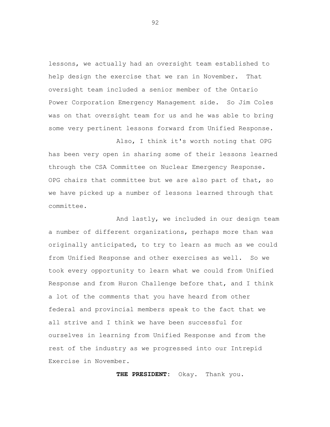lessons, we actually had an oversight team established to help design the exercise that we ran in November. That oversight team included a senior member of the Ontario Power Corporation Emergency Management side. So Jim Coles was on that oversight team for us and he was able to bring some very pertinent lessons forward from Unified Response.

Also, I think it's worth noting that OPG has been very open in sharing some of their lessons learned through the CSA Committee on Nuclear Emergency Response. OPG chairs that committee but we are also part of that, so we have picked up a number of lessons learned through that committee.

And lastly, we included in our design team a number of different organizations, perhaps more than was originally anticipated, to try to learn as much as we could from Unified Response and other exercises as well. So we took every opportunity to learn what we could from Unified Response and from Huron Challenge before that, and I think a lot of the comments that you have heard from other federal and provincial members speak to the fact that we all strive and I think we have been successful for ourselves in learning from Unified Response and from the rest of the industry as we progressed into our Intrepid Exercise in November.

**THE PRESIDENT:** Okay. Thank you.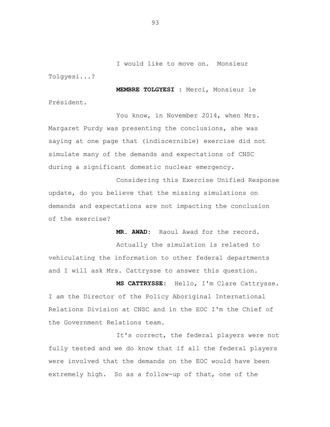I would like to move on. Monsieur Tolgyesi...?

**MEMBRE TOLGYESI :** Merci, Monsieur le Président.

You know, in November 2014, when Mrs. Margaret Purdy was presenting the conclusions, she was saying at one page that (indiscernible) exercise did not simulate many of the demands and expectations of CNSC during a significant domestic nuclear emergency.

Considering this Exercise Unified Response update, do you believe that the missing simulations on demands and expectations are not impacting the conclusion of the exercise?

**MR. AWAD:** Raoul Awad for the record.

Actually the simulation is related to vehiculating the information to other federal departments and I will ask Mrs. Cattrysse to answer this question.

**MS CATTRYSSE:** Hello, I'm Clare Cattrysse. I am the Director of the Policy Aboriginal International Relations Division at CNSC and in the EOC I'm the Chief of the Government Relations team.

It's correct, the federal players were not fully tested and we do know that if all the federal players were involved that the demands on the EOC would have been extremely high. So as a follow-up of that, one of the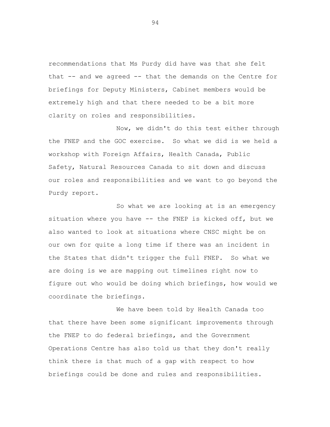recommendations that Ms Purdy did have was that she felt that -- and we agreed -- that the demands on the Centre for briefings for Deputy Ministers, Cabinet members would be extremely high and that there needed to be a bit more clarity on roles and responsibilities.

Now, we didn't do this test either through the FNEP and the GOC exercise. So what we did is we held a workshop with Foreign Affairs, Health Canada, Public Safety, Natural Resources Canada to sit down and discuss our roles and responsibilities and we want to go beyond the Purdy report.

So what we are looking at is an emergency situation where you have -- the FNEP is kicked off, but we also wanted to look at situations where CNSC might be on our own for quite a long time if there was an incident in the States that didn't trigger the full FNEP. So what we are doing is we are mapping out timelines right now to figure out who would be doing which briefings, how would we coordinate the briefings.

We have been told by Health Canada too that there have been some significant improvements through the FNEP to do federal briefings, and the Government Operations Centre has also told us that they don't really think there is that much of a gap with respect to how briefings could be done and rules and responsibilities.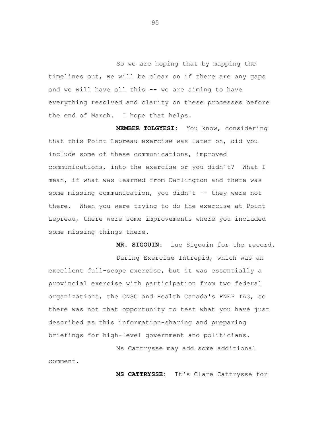So we are hoping that by mapping the timelines out, we will be clear on if there are any gaps and we will have all this -- we are aiming to have everything resolved and clarity on these processes before the end of March. I hope that helps.

**MEMBER TOLGYESI:** You know, considering that this Point Lepreau exercise was later on, did you include some of these communications, improved communications, into the exercise or you didn't? What I mean, if what was learned from Darlington and there was some missing communication, you didn't -- they were not there. When you were trying to do the exercise at Point Lepreau, there were some improvements where you included some missing things there.

**MR. SIGOUIN:** Luc Sigouin for the record. During Exercise Intrepid, which was an excellent full-scope exercise, but it was essentially a provincial exercise with participation from two federal organizations, the CNSC and Health Canada's FNEP TAG, so there was not that opportunity to test what you have just described as this information-sharing and preparing briefings for high-level government and politicians.

Ms Cattrysse may add some additional comment.

**MS CATTRYSSE:** It's Clare Cattrysse for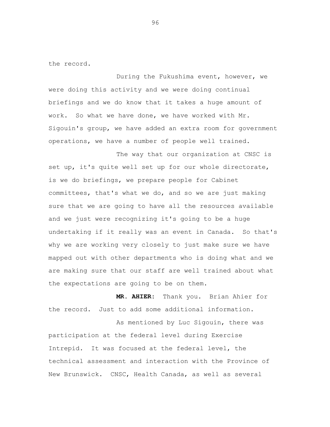the record.

During the Fukushima event, however, we were doing this activity and we were doing continual briefings and we do know that it takes a huge amount of work. So what we have done, we have worked with Mr. Sigouin's group, we have added an extra room for government operations, we have a number of people well trained.

The way that our organization at CNSC is set up, it's quite well set up for our whole directorate, is we do briefings, we prepare people for Cabinet committees, that's what we do, and so we are just making sure that we are going to have all the resources available and we just were recognizing it's going to be a huge undertaking if it really was an event in Canada. So that's why we are working very closely to just make sure we have mapped out with other departments who is doing what and we are making sure that our staff are well trained about what the expectations are going to be on them.

**MR. AHIER:** Thank you. Brian Ahier for the record. Just to add some additional information.

As mentioned by Luc Sigouin, there was participation at the federal level during Exercise Intrepid. It was focused at the federal level, the technical assessment and interaction with the Province of New Brunswick. CNSC, Health Canada, as well as several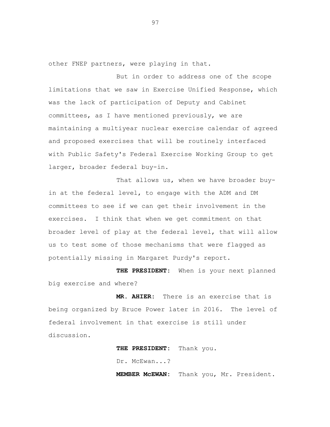other FNEP partners, were playing in that.

But in order to address one of the scope limitations that we saw in Exercise Unified Response, which was the lack of participation of Deputy and Cabinet committees, as I have mentioned previously, we are maintaining a multiyear nuclear exercise calendar of agreed and proposed exercises that will be routinely interfaced with Public Safety's Federal Exercise Working Group to get larger, broader federal buy-in.

That allows us, when we have broader buyin at the federal level, to engage with the ADM and DM committees to see if we can get their involvement in the exercises. I think that when we get commitment on that broader level of play at the federal level, that will allow us to test some of those mechanisms that were flagged as potentially missing in Margaret Purdy's report.

**THE PRESIDENT:** When is your next planned big exercise and where?

**MR. AHIER:** There is an exercise that is being organized by Bruce Power later in 2016. The level of federal involvement in that exercise is still under discussion.

> **THE PRESIDENT:** Thank you. Dr. McEwan...? **MEMBER McEWAN:** Thank you, Mr. President.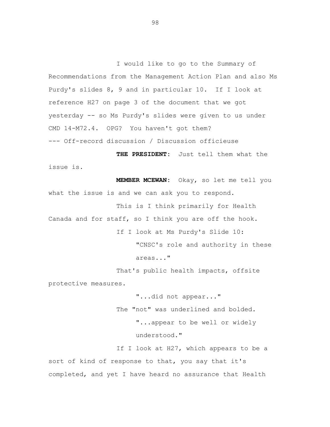I would like to go to the Summary of Recommendations from the Management Action Plan and also Ms Purdy's slides 8, 9 and in particular 10. If I look at reference H27 on page 3 of the document that we got yesterday -- so Ms Purdy's slides were given to us under CMD 14-M72.4. OPG? You haven't got them? --- Off-record discussion / Discussion officieuse

**THE PRESIDENT:** Just tell them what the issue is.

**MEMBER MCEWAN:** Okay, so let me tell you what the issue is and we can ask you to respond. This is I think primarily for Health Canada and for staff, so I think you are off the hook. If I look at Ms Purdy's Slide 10: "CNSC's role and authority in these areas..." That's public health impacts, offsite

protective measures.

"...did not appear..." The "not" was underlined and bolded. "...appear to be well or widely understood."

If I look at H27, which appears to be a sort of kind of response to that, you say that it's completed, and yet I have heard no assurance that Health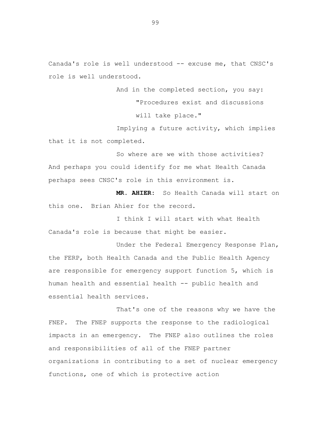Canada's role is well understood -- excuse me, that CNSC's role is well understood.

> And in the completed section, you say: "Procedures exist and discussions will take place."

Implying a future activity, which implies that it is not completed.

So where are we with those activities? And perhaps you could identify for me what Health Canada perhaps sees CNSC's role in this environment is.

**MR. AHIER:** So Health Canada will start on this one. Brian Ahier for the record.

I think I will start with what Health Canada's role is because that might be easier.

Under the Federal Emergency Response Plan, the FERP, both Health Canada and the Public Health Agency are responsible for emergency support function 5, which is human health and essential health -- public health and essential health services.

That's one of the reasons why we have the FNEP. The FNEP supports the response to the radiological impacts in an emergency. The FNEP also outlines the roles and responsibilities of all of the FNEP partner organizations in contributing to a set of nuclear emergency functions, one of which is protective action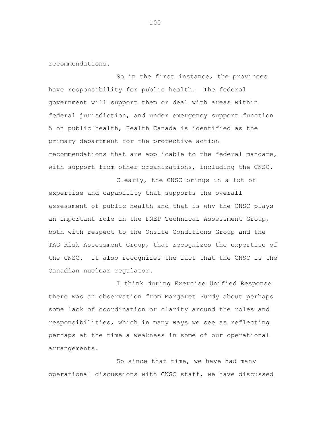recommendations.

So in the first instance, the provinces have responsibility for public health. The federal government will support them or deal with areas within federal jurisdiction, and under emergency support function 5 on public health, Health Canada is identified as the primary department for the protective action recommendations that are applicable to the federal mandate, with support from other organizations, including the CNSC.

Clearly, the CNSC brings in a lot of expertise and capability that supports the overall assessment of public health and that is why the CNSC plays an important role in the FNEP Technical Assessment Group, both with respect to the Onsite Conditions Group and the TAG Risk Assessment Group, that recognizes the expertise of the CNSC. It also recognizes the fact that the CNSC is the Canadian nuclear regulator.

I think during Exercise Unified Response there was an observation from Margaret Purdy about perhaps some lack of coordination or clarity around the roles and responsibilities, which in many ways we see as reflecting perhaps at the time a weakness in some of our operational arrangements.

So since that time, we have had many operational discussions with CNSC staff, we have discussed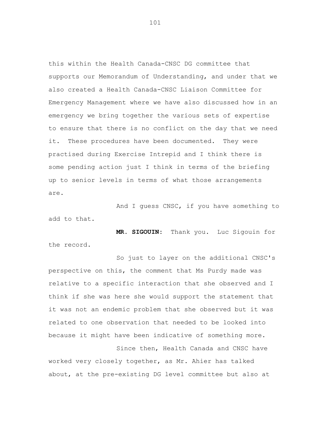this within the Health Canada-CNSC DG committee that supports our Memorandum of Understanding, and under that we also created a Health Canada-CNSC Liaison Committee for Emergency Management where we have also discussed how in an emergency we bring together the various sets of expertise to ensure that there is no conflict on the day that we need it. These procedures have been documented. They were practised during Exercise Intrepid and I think there is some pending action just I think in terms of the briefing up to senior levels in terms of what those arrangements are.

And I guess CNSC, if you have something to add to that.

**MR. SIGOUIN:** Thank you. Luc Sigouin for the record.

So just to layer on the additional CNSC's perspective on this, the comment that Ms Purdy made was relative to a specific interaction that she observed and I think if she was here she would support the statement that it was not an endemic problem that she observed but it was related to one observation that needed to be looked into because it might have been indicative of something more.

Since then, Health Canada and CNSC have worked very closely together, as Mr. Ahier has talked about, at the pre-existing DG level committee but also at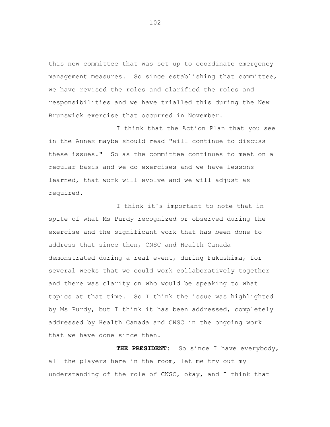this new committee that was set up to coordinate emergency management measures. So since establishing that committee, we have revised the roles and clarified the roles and responsibilities and we have trialled this during the New Brunswick exercise that occurred in November.

I think that the Action Plan that you see in the Annex maybe should read "will continue to discuss these issues." So as the committee continues to meet on a regular basis and we do exercises and we have lessons learned, that work will evolve and we will adjust as required.

I think it's important to note that in spite of what Ms Purdy recognized or observed during the exercise and the significant work that has been done to address that since then, CNSC and Health Canada demonstrated during a real event, during Fukushima, for several weeks that we could work collaboratively together and there was clarity on who would be speaking to what topics at that time. So I think the issue was highlighted by Ms Purdy, but I think it has been addressed, completely addressed by Health Canada and CNSC in the ongoing work that we have done since then.

**THE PRESIDENT:** So since I have everybody, all the players here in the room, let me try out my understanding of the role of CNSC, okay, and I think that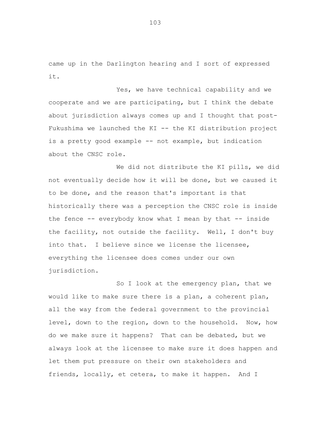came up in the Darlington hearing and I sort of expressed it.

Yes, we have technical capability and we cooperate and we are participating, but I think the debate about jurisdiction always comes up and I thought that post-Fukushima we launched the KI -- the KI distribution project is a pretty good example -- not example, but indication about the CNSC role.

We did not distribute the KI pills, we did not eventually decide how it will be done, but we caused it to be done, and the reason that's important is that historically there was a perception the CNSC role is inside the fence  $-$ - everybody know what I mean by that  $-$ - inside the facility, not outside the facility. Well, I don't buy into that. I believe since we license the licensee, everything the licensee does comes under our own jurisdiction.

So I look at the emergency plan, that we would like to make sure there is a plan, a coherent plan, all the way from the federal government to the provincial level, down to the region, down to the household. Now, how do we make sure it happens? That can be debated, but we always look at the licensee to make sure it does happen and let them put pressure on their own stakeholders and friends, locally, et cetera, to make it happen. And I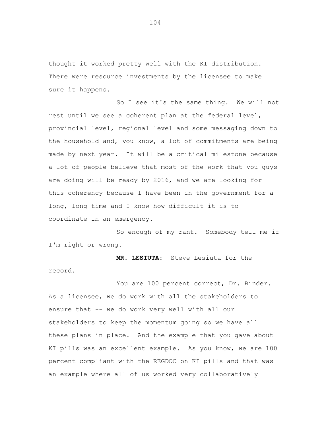thought it worked pretty well with the KI distribution. There were resource investments by the licensee to make sure it happens.

So I see it's the same thing. We will not rest until we see a coherent plan at the federal level, provincial level, regional level and some messaging down to the household and, you know, a lot of commitments are being made by next year. It will be a critical milestone because a lot of people believe that most of the work that you guys are doing will be ready by 2016, and we are looking for this coherency because I have been in the government for a long, long time and I know how difficult it is to coordinate in an emergency.

So enough of my rant. Somebody tell me if I'm right or wrong.

**MR. LESIUTA:** Steve Lesiuta for the record.

You are 100 percent correct, Dr. Binder. As a licensee, we do work with all the stakeholders to ensure that -- we do work very well with all our stakeholders to keep the momentum going so we have all these plans in place. And the example that you gave about KI pills was an excellent example. As you know, we are 100 percent compliant with the REGDOC on KI pills and that was an example where all of us worked very collaboratively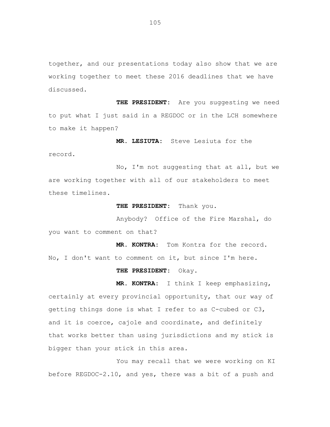together, and our presentations today also show that we are working together to meet these 2016 deadlines that we have discussed.

**THE PRESIDENT:** Are you suggesting we need to put what I just said in a REGDOC or in the LCH somewhere to make it happen?

**MR. LESIUTA:** Steve Lesiuta for the record.

No, I'm not suggesting that at all, but we are working together with all of our stakeholders to meet these timelines.

**THE PRESIDENT:** Thank you.

Anybody? Office of the Fire Marshal, do you want to comment on that?

**MR. KONTRA:** Tom Kontra for the record. No, I don't want to comment on it, but since I'm here.

**THE PRESIDENT:** Okay.

**MR. KONTRA:** I think I keep emphasizing, certainly at every provincial opportunity, that our way of getting things done is what I refer to as C-cubed or C3, and it is coerce, cajole and coordinate, and definitely that works better than using jurisdictions and my stick is bigger than your stick in this area.

You may recall that we were working on KI before REGDOC-2.10, and yes, there was a bit of a push and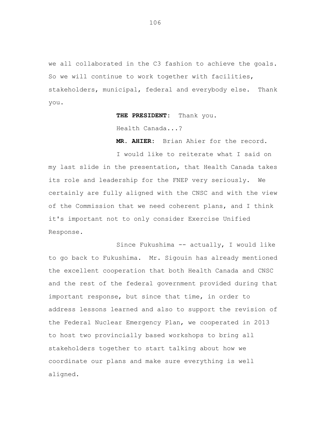we all collaborated in the C3 fashion to achieve the goals. So we will continue to work together with facilities, stakeholders, municipal, federal and everybody else. Thank you.

**THE PRESIDENT:** Thank you.

Health Canada...?

**MR. AHIER:** Brian Ahier for the record.

I would like to reiterate what I said on my last slide in the presentation, that Health Canada takes its role and leadership for the FNEP very seriously. We certainly are fully aligned with the CNSC and with the view of the Commission that we need coherent plans, and I think it's important not to only consider Exercise Unified Response.

Since Fukushima -- actually, I would like to go back to Fukushima. Mr. Sigouin has already mentioned the excellent cooperation that both Health Canada and CNSC and the rest of the federal government provided during that important response, but since that time, in order to address lessons learned and also to support the revision of the Federal Nuclear Emergency Plan, we cooperated in 2013 to host two provincially based workshops to bring all stakeholders together to start talking about how we coordinate our plans and make sure everything is well aligned.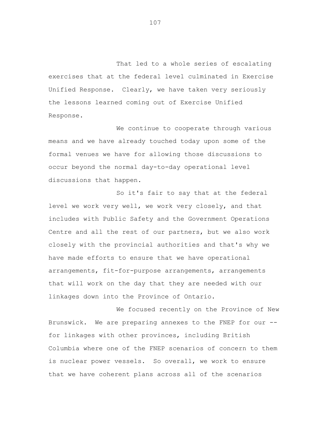That led to a whole series of escalating exercises that at the federal level culminated in Exercise Unified Response. Clearly, we have taken very seriously the lessons learned coming out of Exercise Unified Response.

We continue to cooperate through various means and we have already touched today upon some of the formal venues we have for allowing those discussions to occur beyond the normal day-to-day operational level discussions that happen.

So it's fair to say that at the federal level we work very well, we work very closely, and that includes with Public Safety and the Government Operations Centre and all the rest of our partners, but we also work closely with the provincial authorities and that's why we have made efforts to ensure that we have operational arrangements, fit-for-purpose arrangements, arrangements that will work on the day that they are needed with our linkages down into the Province of Ontario.

We focused recently on the Province of New Brunswick. We are preparing annexes to the FNEP for our - for linkages with other provinces, including British Columbia where one of the FNEP scenarios of concern to them is nuclear power vessels. So overall, we work to ensure that we have coherent plans across all of the scenarios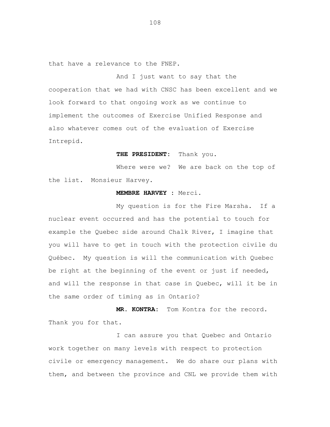that have a relevance to the FNEP.

And I just want to say that the cooperation that we had with CNSC has been excellent and we look forward to that ongoing work as we continue to implement the outcomes of Exercise Unified Response and also whatever comes out of the evaluation of Exercise Intrepid.

## **THE PRESIDENT:** Thank you.

Where were we? We are back on the top of the list. Monsieur Harvey.

# **MEMBRE HARVEY :** Merci.

My question is for the Fire Marsha. If a nuclear event occurred and has the potential to touch for example the Quebec side around Chalk River, I imagine that you will have to get in touch with the protection civile du Québec. My question is will the communication with Quebec be right at the beginning of the event or just if needed, and will the response in that case in Quebec, will it be in the same order of timing as in Ontario?

**MR. KONTRA:** Tom Kontra for the record. Thank you for that.

I can assure you that Quebec and Ontario work together on many levels with respect to protection civile or emergency management. We do share our plans with them, and between the province and CNL we provide them with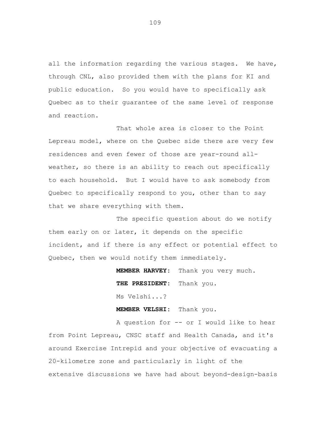all the information regarding the various stages. We have, through CNL, also provided them with the plans for KI and public education. So you would have to specifically ask Quebec as to their guarantee of the same level of response and reaction.

That whole area is closer to the Point Lepreau model, where on the Quebec side there are very few residences and even fewer of those are year-round allweather, so there is an ability to reach out specifically to each household. But I would have to ask somebody from Quebec to specifically respond to you, other than to say that we share everything with them.

The specific question about do we notify them early on or later, it depends on the specific incident, and if there is any effect or potential effect to Quebec, then we would notify them immediately.

> **MEMBER HARVEY:** Thank you very much. **THE PRESIDENT:** Thank you. Ms Velshi...?

**MEMBER VELSHI:** Thank you.

A question for -- or I would like to hear from Point Lepreau, CNSC staff and Health Canada, and it's around Exercise Intrepid and your objective of evacuating a 20-kilometre zone and particularly in light of the extensive discussions we have had about beyond-design-basis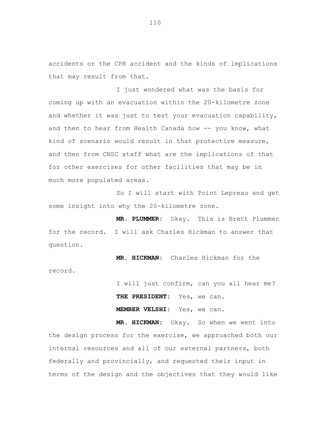accidents or the CPR accident and the kinds of implications that may result from that.

I just wondered what was the basis for coming up with an evacuation within the 20-kilometre zone and whether it was just to test your evacuation capability, and then to hear from Health Canada how -- you know, what kind of scenario would result in that protective measure, and then from CNSC staff what are the implications of that for other exercises for other facilities that may be in much more populated areas.

So I will start with Point Lepreau and get some insight into why the 20-kilometre zone.

**MR. PLUMMER:** Okay. This is Brett Plummer for the record. I will ask Charles Hickman to answer that question.

**MR. HICKMAN:** Charles Hickman for the record.

> I will just confirm, can you all hear me? **THE PRESIDENT:** Yes, we can. **MEMBER VELSHI:** Yes, we can.

**MR. HICKMAN:** Okay. So when we went into the design process for the exercise, we approached both our internal resources and all of our external partners, both federally and provincially, and requested their input in terms of the design and the objectives that they would like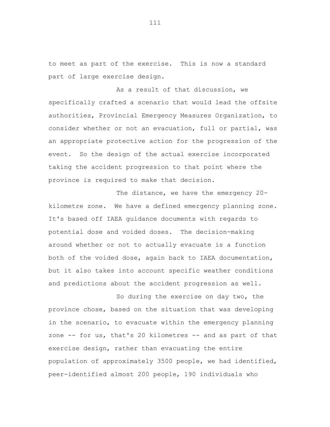to meet as part of the exercise. This is now a standard part of large exercise design.

As a result of that discussion, we specifically crafted a scenario that would lead the offsite authorities, Provincial Emergency Measures Organization, to consider whether or not an evacuation, full or partial, was an appropriate protective action for the progression of the event. So the design of the actual exercise incorporated taking the accident progression to that point where the province is required to make that decision.

The distance, we have the emergency 20 kilometre zone. We have a defined emergency planning zone. It's based off IAEA guidance documents with regards to potential dose and voided doses. The decision-making around whether or not to actually evacuate is a function both of the voided dose, again back to IAEA documentation, but it also takes into account specific weather conditions and predictions about the accident progression as well.

So during the exercise on day two, the province chose, based on the situation that was developing in the scenario, to evacuate within the emergency planning zone -- for us, that's 20 kilometres -- and as part of that exercise design, rather than evacuating the entire population of approximately 3500 people, we had identified, peer-identified almost 200 people, 190 individuals who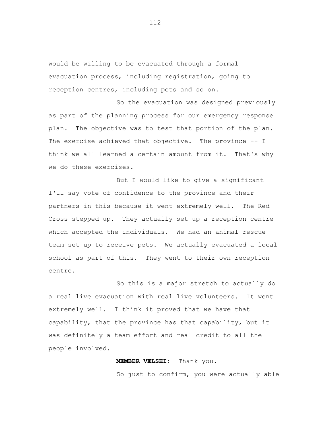would be willing to be evacuated through a formal evacuation process, including registration, going to reception centres, including pets and so on.

So the evacuation was designed previously as part of the planning process for our emergency response plan. The objective was to test that portion of the plan. The exercise achieved that objective. The province -- I think we all learned a certain amount from it. That's why we do these exercises.

But I would like to give a significant I'll say vote of confidence to the province and their partners in this because it went extremely well. The Red Cross stepped up. They actually set up a reception centre which accepted the individuals. We had an animal rescue team set up to receive pets. We actually evacuated a local school as part of this. They went to their own reception centre.

So this is a major stretch to actually do a real live evacuation with real live volunteers. It went extremely well. I think it proved that we have that capability, that the province has that capability, but it was definitely a team effort and real credit to all the people involved.

## **MEMBER VELSHI:** Thank you.

So just to confirm, you were actually able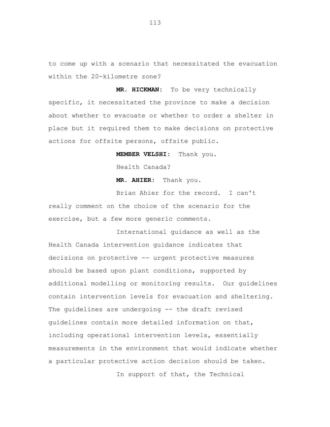to come up with a scenario that necessitated the evacuation within the 20-kilometre zone?

**MR. HICKMAN:** To be very technically specific, it necessitated the province to make a decision about whether to evacuate or whether to order a shelter in place but it required them to make decisions on protective actions for offsite persons, offsite public.

**MEMBER VELSHI:** Thank you.

Health Canada?

**MR. AHIER:** Thank you.

Brian Ahier for the record. I can't really comment on the choice of the scenario for the exercise, but a few more generic comments.

International guidance as well as the Health Canada intervention guidance indicates that decisions on protective -- urgent protective measures should be based upon plant conditions, supported by additional modelling or monitoring results. Our guidelines contain intervention levels for evacuation and sheltering. The guidelines are undergoing -- the draft revised guidelines contain more detailed information on that, including operational intervention levels, essentially measurements in the environment that would indicate whether a particular protective action decision should be taken. In support of that, the Technical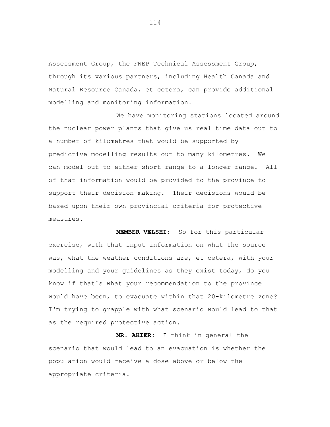Assessment Group, the FNEP Technical Assessment Group, through its various partners, including Health Canada and Natural Resource Canada, et cetera, can provide additional modelling and monitoring information.

We have monitoring stations located around the nuclear power plants that give us real time data out to a number of kilometres that would be supported by predictive modelling results out to many kilometres. We can model out to either short range to a longer range. All of that information would be provided to the province to support their decision-making. Their decisions would be based upon their own provincial criteria for protective measures.

**MEMBER VELSHI:** So for this particular exercise, with that input information on what the source was, what the weather conditions are, et cetera, with your modelling and your guidelines as they exist today, do you know if that's what your recommendation to the province would have been, to evacuate within that 20-kilometre zone? I'm trying to grapple with what scenario would lead to that as the required protective action.

**MR. AHIER:** I think in general the scenario that would lead to an evacuation is whether the population would receive a dose above or below the appropriate criteria.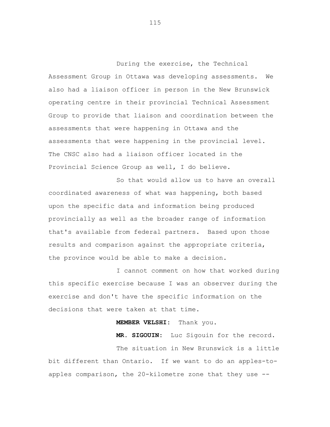During the exercise, the Technical Assessment Group in Ottawa was developing assessments. We also had a liaison officer in person in the New Brunswick operating centre in their provincial Technical Assessment Group to provide that liaison and coordination between the assessments that were happening in Ottawa and the assessments that were happening in the provincial level. The CNSC also had a liaison officer located in the Provincial Science Group as well, I do believe.

So that would allow us to have an overall coordinated awareness of what was happening, both based upon the specific data and information being produced provincially as well as the broader range of information that's available from federal partners. Based upon those results and comparison against the appropriate criteria, the province would be able to make a decision.

I cannot comment on how that worked during this specific exercise because I was an observer during the exercise and don't have the specific information on the decisions that were taken at that time.

#### **MEMBER VELSHI:** Thank you.

**MR. SIGOUIN:** Luc Sigouin for the record.

The situation in New Brunswick is a little bit different than Ontario. If we want to do an apples-toapples comparison, the 20-kilometre zone that they use --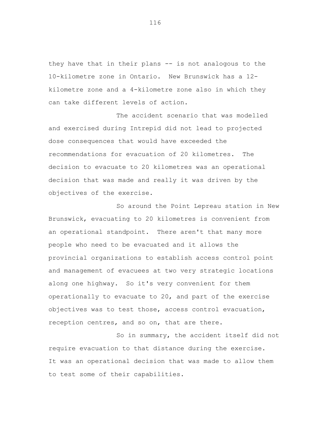they have that in their plans -- is not analogous to the 10-kilometre zone in Ontario. New Brunswick has a 12 kilometre zone and a 4-kilometre zone also in which they can take different levels of action.

The accident scenario that was modelled and exercised during Intrepid did not lead to projected dose consequences that would have exceeded the recommendations for evacuation of 20 kilometres. The decision to evacuate to 20 kilometres was an operational decision that was made and really it was driven by the objectives of the exercise.

So around the Point Lepreau station in New Brunswick, evacuating to 20 kilometres is convenient from an operational standpoint. There aren't that many more people who need to be evacuated and it allows the provincial organizations to establish access control point and management of evacuees at two very strategic locations along one highway. So it's very convenient for them operationally to evacuate to 20, and part of the exercise objectives was to test those, access control evacuation, reception centres, and so on, that are there.

So in summary, the accident itself did not require evacuation to that distance during the exercise. It was an operational decision that was made to allow them to test some of their capabilities.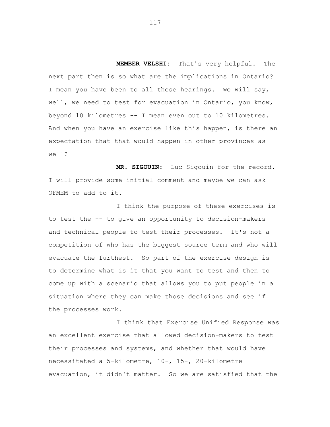**MEMBER VELSHI:** That's very helpful. The next part then is so what are the implications in Ontario? I mean you have been to all these hearings. We will say, well, we need to test for evacuation in Ontario, you know, beyond 10 kilometres -- I mean even out to 10 kilometres. And when you have an exercise like this happen, is there an expectation that that would happen in other provinces as well?

**MR. SIGOUIN:** Luc Sigouin for the record. I will provide some initial comment and maybe we can ask OFMEM to add to it.

I think the purpose of these exercises is to test the -- to give an opportunity to decision-makers and technical people to test their processes. It's not a competition of who has the biggest source term and who will evacuate the furthest. So part of the exercise design is to determine what is it that you want to test and then to come up with a scenario that allows you to put people in a situation where they can make those decisions and see if the processes work.

I think that Exercise Unified Response was an excellent exercise that allowed decision-makers to test their processes and systems, and whether that would have necessitated a 5-kilometre, 10-, 15-, 20-kilometre evacuation, it didn't matter. So we are satisfied that the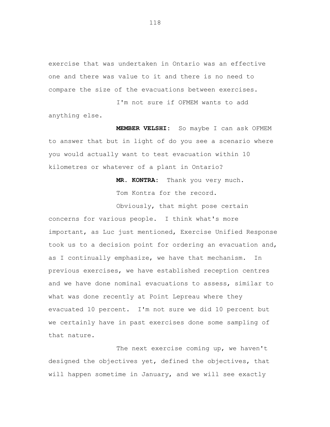exercise that was undertaken in Ontario was an effective one and there was value to it and there is no need to compare the size of the evacuations between exercises.

I'm not sure if OFMEM wants to add anything else.

**MEMBER VELSHI:** So maybe I can ask OFMEM to answer that but in light of do you see a scenario where you would actually want to test evacuation within 10 kilometres or whatever of a plant in Ontario?

> **MR. KONTRA:** Thank you very much. Tom Kontra for the record.

Obviously, that might pose certain concerns for various people. I think what's more important, as Luc just mentioned, Exercise Unified Response took us to a decision point for ordering an evacuation and, as I continually emphasize, we have that mechanism. In previous exercises, we have established reception centres and we have done nominal evacuations to assess, similar to what was done recently at Point Lepreau where they evacuated 10 percent. I'm not sure we did 10 percent but we certainly have in past exercises done some sampling of that nature.

The next exercise coming up, we haven't designed the objectives yet, defined the objectives, that will happen sometime in January, and we will see exactly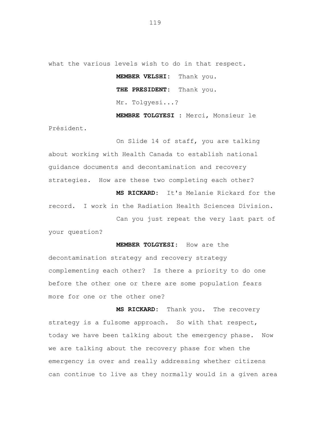what the various levels wish to do in that respect.

**MEMBER VELSHI:** Thank you. **THE PRESIDENT:** Thank you. Mr. Tolgyesi...?

**MEMBRE TOLGYESI :** Merci, Monsieur le Président.

On Slide 14 of staff, you are talking about working with Health Canada to establish national guidance documents and decontamination and recovery strategies. How are these two completing each other?

**MS RICKARD:** It's Melanie Rickard for the record. I work in the Radiation Health Sciences Division.

Can you just repeat the very last part of your question?

**MEMBER TOLGYESI:** How are the decontamination strategy and recovery strategy complementing each other? Is there a priority to do one before the other one or there are some population fears more for one or the other one?

**MS RICKARD:** Thank you. The recovery strategy is a fulsome approach. So with that respect, today we have been talking about the emergency phase. Now we are talking about the recovery phase for when the emergency is over and really addressing whether citizens can continue to live as they normally would in a given area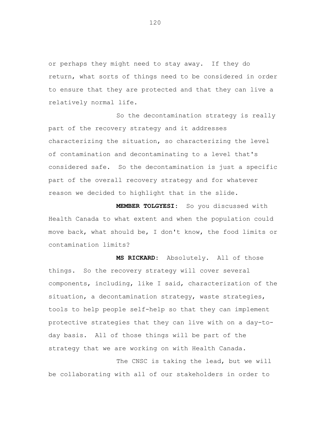or perhaps they might need to stay away. If they do return, what sorts of things need to be considered in order to ensure that they are protected and that they can live a relatively normal life.

So the decontamination strategy is really part of the recovery strategy and it addresses characterizing the situation, so characterizing the level of contamination and decontaminating to a level that's considered safe. So the decontamination is just a specific part of the overall recovery strategy and for whatever reason we decided to highlight that in the slide.

**MEMBER TOLGYESI:** So you discussed with Health Canada to what extent and when the population could move back, what should be, I don't know, the food limits or contamination limits?

**MS RICKARD:** Absolutely. All of those things. So the recovery strategy will cover several components, including, like I said, characterization of the situation, a decontamination strategy, waste strategies, tools to help people self-help so that they can implement protective strategies that they can live with on a day-today basis. All of those things will be part of the strategy that we are working on with Health Canada.

The CNSC is taking the lead, but we will be collaborating with all of our stakeholders in order to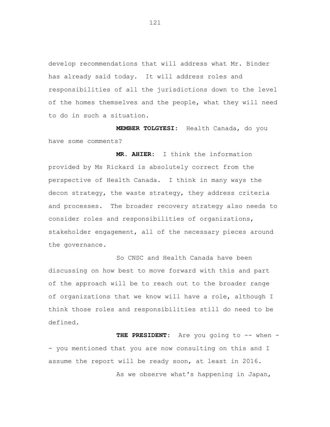develop recommendations that will address what Mr. Binder has already said today. It will address roles and responsibilities of all the jurisdictions down to the level of the homes themselves and the people, what they will need to do in such a situation.

**MEMBER TOLGYESI:** Health Canada, do you have some comments?

**MR. AHIER:** I think the information provided by Ms Rickard is absolutely correct from the perspective of Health Canada. I think in many ways the decon strategy, the waste strategy, they address criteria and processes. The broader recovery strategy also needs to consider roles and responsibilities of organizations, stakeholder engagement, all of the necessary pieces around the governance.

So CNSC and Health Canada have been discussing on how best to move forward with this and part of the approach will be to reach out to the broader range of organizations that we know will have a role, although I think those roles and responsibilities still do need to be defined.

THE PRESIDENT: Are you going to -- when -- you mentioned that you are now consulting on this and I assume the report will be ready soon, at least in 2016. As we observe what's happening in Japan,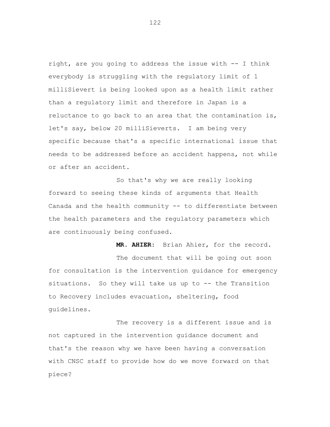right, are you going to address the issue with -- I think everybody is struggling with the regulatory limit of 1 milliSievert is being looked upon as a health limit rather than a regulatory limit and therefore in Japan is a reluctance to go back to an area that the contamination is, let's say, below 20 milliSieverts. I am being very specific because that's a specific international issue that needs to be addressed before an accident happens, not while or after an accident.

So that's why we are really looking forward to seeing these kinds of arguments that Health Canada and the health community -- to differentiate between the health parameters and the regulatory parameters which are continuously being confused.

**MR. AHIER:** Brian Ahier, for the record. The document that will be going out soon for consultation is the intervention guidance for emergency situations. So they will take us up to -- the Transition to Recovery includes evacuation, sheltering, food guidelines.

The recovery is a different issue and is not captured in the intervention guidance document and that's the reason why we have been having a conversation with CNSC staff to provide how do we move forward on that piece?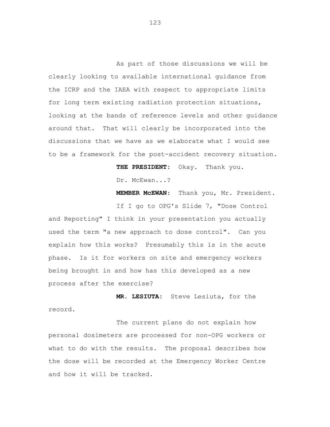As part of those discussions we will be clearly looking to available international guidance from the ICRP and the IAEA with respect to appropriate limits for long term existing radiation protection situations, looking at the bands of reference levels and other guidance around that. That will clearly be incorporated into the discussions that we have as we elaborate what I would see to be a framework for the post-accident recovery situation.

**THE PRESIDENT:** Okay. Thank you.

Dr. McEwan...?

**MEMBER McEWAN**: Thank you, Mr. President.

If I go to OPG's Slide 7, "Dose Control and Reporting" I think in your presentation you actually used the term "a new approach to dose control". Can you explain how this works? Presumably this is in the acute phase. Is it for workers on site and emergency workers being brought in and how has this developed as a new process after the exercise?

**MR. LESIUTA:** Steve Lesiuta, for the record.

The current plans do not explain how personal dosimeters are processed for non-OPG workers or what to do with the results. The proposal describes how the dose will be recorded at the Emergency Worker Centre and how it will be tracked.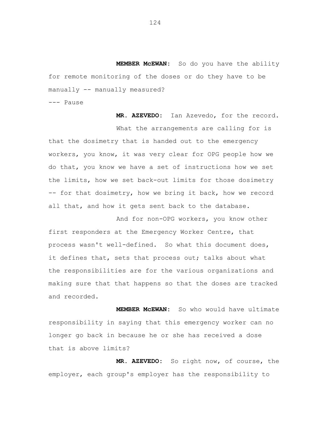**MEMBER McEWAN:** So do you have the ability for remote monitoring of the doses or do they have to be manually -- manually measured?

--- Pause

**MR. AZEVEDO:** Ian Azevedo, for the record. What the arrangements are calling for is that the dosimetry that is handed out to the emergency workers, you know, it was very clear for OPG people how we do that, you know we have a set of instructions how we set the limits, how we set back-out limits for those dosimetry -- for that dosimetry, how we bring it back, how we record all that, and how it gets sent back to the database.

And for non-OPG workers, you know other first responders at the Emergency Worker Centre, that process wasn't well-defined. So what this document does, it defines that, sets that process out; talks about what the responsibilities are for the various organizations and making sure that that happens so that the doses are tracked and recorded.

**MEMBER McEWAN:** So who would have ultimate responsibility in saying that this emergency worker can no longer go back in because he or she has received a dose that is above limits?

**MR. AZEVEDO:** So right now, of course, the employer, each group's employer has the responsibility to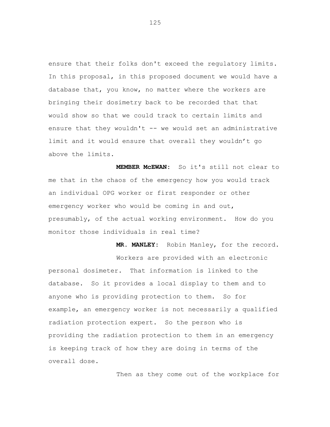ensure that their folks don't exceed the regulatory limits. In this proposal, in this proposed document we would have a database that, you know, no matter where the workers are bringing their dosimetry back to be recorded that that would show so that we could track to certain limits and ensure that they wouldn't -- we would set an administrative limit and it would ensure that overall they wouldn't go above the limits.

**MEMBER McEWAN:** So it's still not clear to me that in the chaos of the emergency how you would track an individual OPG worker or first responder or other emergency worker who would be coming in and out, presumably, of the actual working environment. How do you monitor those individuals in real time?

**MR. MANLEY:** Robin Manley, for the record. Workers are provided with an electronic personal dosimeter. That information is linked to the database. So it provides a local display to them and to anyone who is providing protection to them. So for example, an emergency worker is not necessarily a qualified radiation protection expert. So the person who is providing the radiation protection to them in an emergency is keeping track of how they are doing in terms of the overall dose.

Then as they come out of the workplace for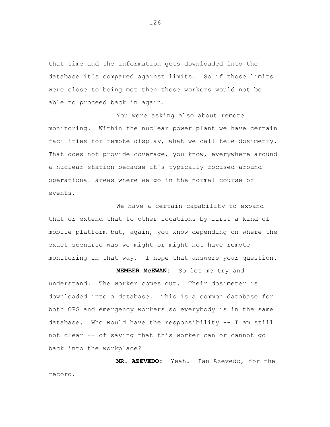that time and the information gets downloaded into the database it's compared against limits. So if those limits were close to being met then those workers would not be able to proceed back in again.

You were asking also about remote monitoring. Within the nuclear power plant we have certain facilities for remote display, what we call tele-dosimetry. That does not provide coverage, you know, everywhere around a nuclear station because it's typically focused around operational areas where we go in the normal course of events.

We have a certain capability to expand that or extend that to other locations by first a kind of mobile platform but, again, you know depending on where the exact scenario was we might or might not have remote monitoring in that way. I hope that answers your question.

**MEMBER McEWAN:** So let me try and

understand. The worker comes out. Their dosimeter is downloaded into a database. This is a common database for both OPG and emergency workers so everybody is in the same database. Who would have the responsibility -- I am still not clear -- of saying that this worker can or cannot go back into the workplace?

**MR. AZEVEDO:** Yeah. Ian Azevedo, for the record.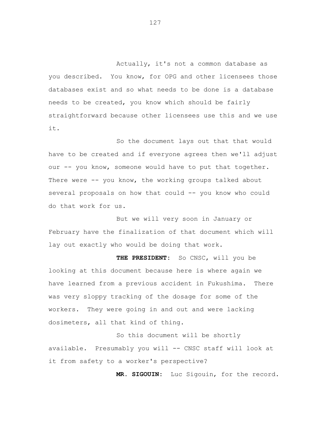Actually, it's not a common database as you described. You know, for OPG and other licensees those databases exist and so what needs to be done is a database needs to be created, you know which should be fairly straightforward because other licensees use this and we use it.

So the document lays out that that would have to be created and if everyone agrees then we'll adjust our -- you know, someone would have to put that together. There were -- you know, the working groups talked about several proposals on how that could -- you know who could do that work for us.

But we will very soon in January or February have the finalization of that document which will lay out exactly who would be doing that work.

**THE PRESIDENT:** So CNSC, will you be looking at this document because here is where again we have learned from a previous accident in Fukushima. There was very sloppy tracking of the dosage for some of the workers. They were going in and out and were lacking dosimeters, all that kind of thing.

So this document will be shortly available. Presumably you will -- CNSC staff will look at it from safety to a worker's perspective?

**MR. SIGOUIN:** Luc Sigouin, for the record.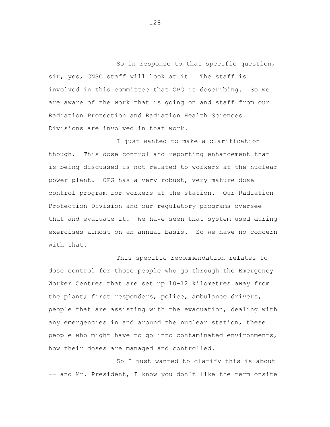So in response to that specific question, sir, yes, CNSC staff will look at it. The staff is involved in this committee that OPG is describing. So we are aware of the work that is going on and staff from our Radiation Protection and Radiation Health Sciences Divisions are involved in that work.

I just wanted to make a clarification though. This dose control and reporting enhancement that is being discussed is not related to workers at the nuclear power plant. OPG has a very robust, very mature dose control program for workers at the station. Our Radiation Protection Division and our regulatory programs oversee that and evaluate it. We have seen that system used during exercises almost on an annual basis. So we have no concern with that.

This specific recommendation relates to dose control for those people who go through the Emergency Worker Centres that are set up 10-12 kilometres away from the plant; first responders, police, ambulance drivers, people that are assisting with the evacuation, dealing with any emergencies in and around the nuclear station, these people who might have to go into contaminated environments, how their doses are managed and controlled.

So I just wanted to clarify this is about -- and Mr. President, I know you don't like the term onsite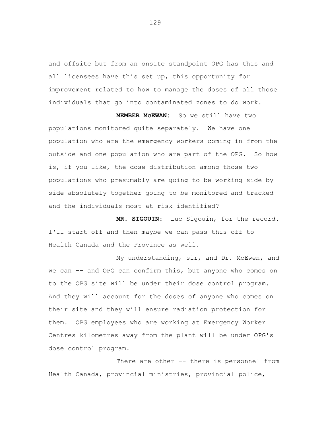and offsite but from an onsite standpoint OPG has this and all licensees have this set up, this opportunity for improvement related to how to manage the doses of all those individuals that go into contaminated zones to do work.

**MEMBER McEWAN:** So we still have two populations monitored quite separately. We have one population who are the emergency workers coming in from the outside and one population who are part of the OPG. So how is, if you like, the dose distribution among those two populations who presumably are going to be working side by side absolutely together going to be monitored and tracked and the individuals most at risk identified?

**MR. SIGOUIN:** Luc Sigouin, for the record. I'll start off and then maybe we can pass this off to Health Canada and the Province as well.

My understanding, sir, and Dr. McEwen, and we can -- and OPG can confirm this, but anyone who comes on to the OPG site will be under their dose control program. And they will account for the doses of anyone who comes on their site and they will ensure radiation protection for them. OPG employees who are working at Emergency Worker Centres kilometres away from the plant will be under OPG's dose control program.

There are other -- there is personnel from Health Canada, provincial ministries, provincial police,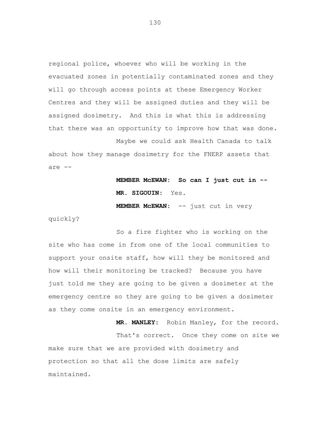regional police, whoever who will be working in the evacuated zones in potentially contaminated zones and they will go through access points at these Emergency Worker Centres and they will be assigned duties and they will be assigned dosimetry. And this is what this is addressing that there was an opportunity to improve how that was done.

Maybe we could ask Health Canada to talk about how they manage dosimetry for the FNERP assets that are --

> **MEMBER McEWAN: So can I just cut in -- MR. SIGOUIN:** Yes.

**MEMBER McEWAN:** -- just cut in very

quickly?

So a fire fighter who is working on the site who has come in from one of the local communities to support your onsite staff, how will they be monitored and how will their monitoring be tracked? Because you have just told me they are going to be given a dosimeter at the emergency centre so they are going to be given a dosimeter as they come onsite in an emergency environment.

**MR. MANLEY:** Robin Manley, for the record. That's correct. Once they come on site we make sure that we are provided with dosimetry and protection so that all the dose limits are safely maintained.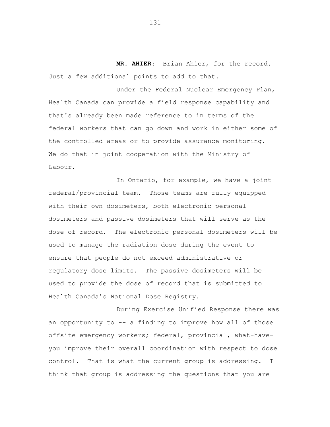**MR. AHIER**: Brian Ahier, for the record. Just a few additional points to add to that.

Under the Federal Nuclear Emergency Plan, Health Canada can provide a field response capability and that's already been made reference to in terms of the federal workers that can go down and work in either some of the controlled areas or to provide assurance monitoring. We do that in joint cooperation with the Ministry of Labour.

In Ontario, for example, we have a joint federal/provincial team. Those teams are fully equipped with their own dosimeters, both electronic personal dosimeters and passive dosimeters that will serve as the dose of record. The electronic personal dosimeters will be used to manage the radiation dose during the event to ensure that people do not exceed administrative or regulatory dose limits. The passive dosimeters will be used to provide the dose of record that is submitted to Health Canada's National Dose Registry.

During Exercise Unified Response there was an opportunity to -- a finding to improve how all of those offsite emergency workers; federal, provincial, what-haveyou improve their overall coordination with respect to dose control. That is what the current group is addressing. I think that group is addressing the questions that you are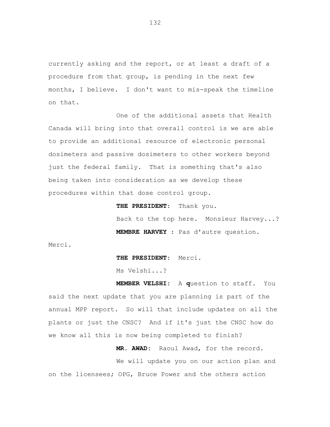currently asking and the report, or at least a draft of a procedure from that group, is pending in the next few months, I believe. I don't want to mis-speak the timeline on that.

One of the additional assets that Health Canada will bring into that overall control is we are able to provide an additional resource of electronic personal dosimeters and passive dosimeters to other workers beyond just the federal family. That is something that's also being taken into consideration as we develop these procedures within that dose control group.

**THE PRESIDENT**: Thank you.

Back to the top here. Monsieur Harvey...? **MEMBRE HARVEY** : Pas d'autre question.

Merci.

**THE PRESIDENT**: Merci.

Ms Velshi...?

**MEMBER VELSHI:** A **q**uestion to staff. You said the next update that you are planning is part of the annual MPP report. So will that include updates on all the plants or just the CNSC? And if it's just the CNSC how do we know all this is now being completed to finish?

**MR. AWAD:** Raoul Awad, for the record.

We will update you on our action plan and on the licensees; OPG, Bruce Power and the others action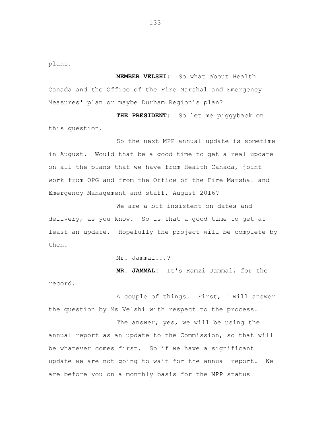plans.

**MEMBER VELSHI**: So what about Health Canada and the Office of the Fire Marshal and Emergency Measures' plan or maybe Durham Region's plan?

**THE PRESIDENT**: So let me piggyback on this question.

So the next MPP annual update is sometime in August. Would that be a good time to get a real update on all the plans that we have from Health Canada, joint work from OPG and from the Office of the Fire Marshal and Emergency Management and staff, August 2016?

We are a bit insistent on dates and delivery, as you know. So is that a good time to get at least an update. Hopefully the project will be complete by then.

Mr. Jammal...?

**MR. JAMMAL:** It's Ramzi Jammal, for the

record.

A couple of things. First, I will answer the question by Ms Velshi with respect to the process.

The answer; yes, we will be using the annual report as an update to the Commission, so that will be whatever comes first. So if we have a significant update we are not going to wait for the annual report. We are before you on a monthly basis for the NPP status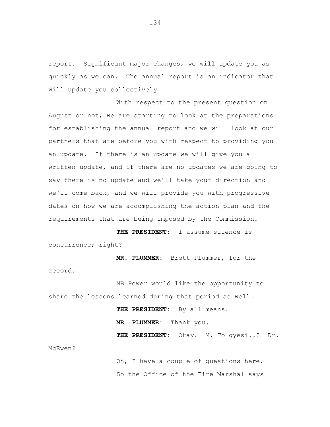report. Significant major changes, we will update you as quickly as we can. The annual report is an indicator that will update you collectively.

With respect to the present question on August or not, we are starting to look at the preparations for establishing the annual report and we will look at our partners that are before you with respect to providing you an update. If there is an update we will give you a written update, and if there are no updates we are going to say there is no update and we'll take your direction and we'll come back, and we will provide you with progressive dates on how we are accomplishing the action plan and the requirements that are being imposed by the Commission.

**THE PRESIDENT:** I assume silence is concurrence; right?

**MR. PLUMMER:** Brett Plummer, for the record.

NB Power would like the opportunity to share the lessons learned during that period as well.

> **THE PRESIDENT:** By all means. **MR. PLUMMER:** Thank you. **THE PRESIDENT:** Okay. M. Tolgyesi..? Dr.

McEwen?

Oh, I have a couple of questions here. So the Office of the Fire Marshal says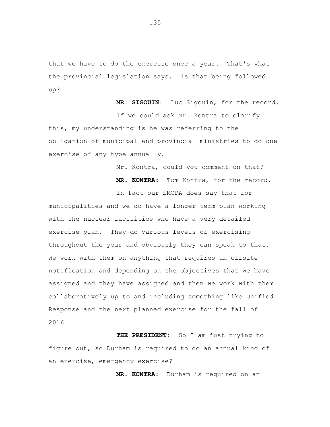that we have to do the exercise once a year. That's what the provincial legislation says. Is that being followed up?

**MR. SIGOUIN**: Luc Sigouin, for the record.

If we could ask Mr. Kontra to clarify this, my understanding is he was referring to the obligation of municipal and provincial ministries to do one exercise of any type annually.

Mr. Kontra, could you comment on that?

**MR. KONTRA:** Tom Kontra, for the record.

In fact our EMCPA does say that for municipalities and we do have a longer term plan working with the nuclear facilities who have a very detailed exercise plan. They do various levels of exercising throughout the year and obviously they can speak to that. We work with them on anything that requires an offsite notification and depending on the objectives that we have assigned and they have assigned and then we work with them collaboratively up to and including something like Unified Response and the next planned exercise for the fall of 2016.

**THE PRESIDENT:** So I am just trying to figure out, so Durham is required to do an annual kind of an exercise, emergency exercise?

**MR. KONTRA**: Durham is required on an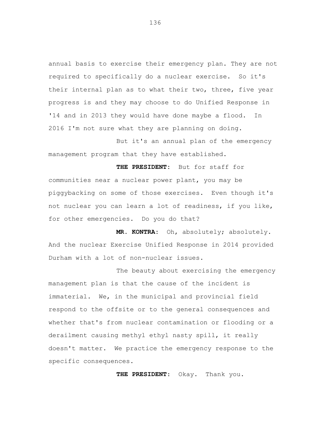annual basis to exercise their emergency plan. They are not required to specifically do a nuclear exercise. So it's their internal plan as to what their two, three, five year progress is and they may choose to do Unified Response in '14 and in 2013 they would have done maybe a flood. In 2016 I'm not sure what they are planning on doing.

But it's an annual plan of the emergency management program that they have established.

**THE PRESIDENT:** But for staff for communities near a nuclear power plant, you may be piggybacking on some of those exercises. Even though it's not nuclear you can learn a lot of readiness, if you like, for other emergencies. Do you do that?

**MR. KONTRA:** Oh, absolutely; absolutely. And the nuclear Exercise Unified Response in 2014 provided Durham with a lot of non-nuclear issues.

The beauty about exercising the emergency management plan is that the cause of the incident is immaterial. We, in the municipal and provincial field respond to the offsite or to the general consequences and whether that's from nuclear contamination or flooding or a derailment causing methyl ethyl nasty spill, it really doesn't matter. We practice the emergency response to the specific consequences.

**THE PRESIDENT**: Okay. Thank you.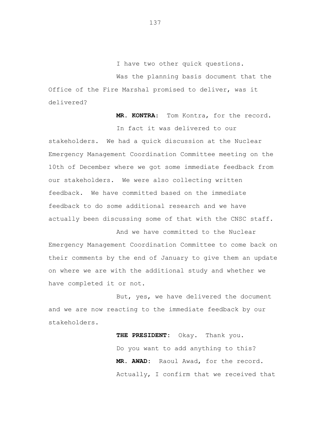I have two other quick questions.

Was the planning basis document that the Office of the Fire Marshal promised to deliver, was it delivered?

**MR. KONTRA**: Tom Kontra, for the record.

In fact it was delivered to our stakeholders. We had a quick discussion at the Nuclear Emergency Management Coordination Committee meeting on the 10th of December where we got some immediate feedback from our stakeholders. We were also collecting written feedback. We have committed based on the immediate feedback to do some additional research and we have actually been discussing some of that with the CNSC staff.

And we have committed to the Nuclear Emergency Management Coordination Committee to come back on their comments by the end of January to give them an update on where we are with the additional study and whether we have completed it or not.

But, yes, we have delivered the document and we are now reacting to the immediate feedback by our stakeholders.

> **THE PRESIDENT:** Okay. Thank you. Do you want to add anything to this? **MR. AWAD:** Raoul Awad, for the record. Actually, I confirm that we received that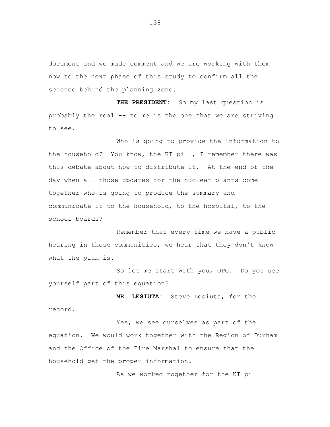document and we made comment and we are working with them now to the next phase of this study to confirm all the science behind the planning zone.

**THE PRESIDENT:** So my last question is probably the real -- to me is the one that we are striving to see.

Who is going to provide the information to the household? You know, the KI pill, I remember there was this debate about how to distribute it. At the end of the day when all those updates for the nuclear plants come together who is going to produce the summary and communicate it to the household, to the hospital, to the school boards?

Remember that every time we have a public hearing in those communities, we hear that they don't know what the plan is.

So let me start with you, OPG. Do you see yourself part of this equation?

**MR. LESIUTA:** Steve Lesiuta, for the record.

Yes, we see ourselves as part of the equation. We would work together with the Region of Durham and the Office of the Fire Marshal to ensure that the household get the proper information.

As we worked together for the KI pill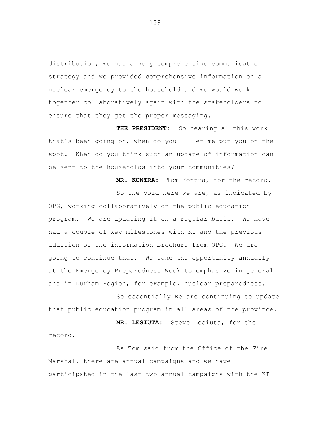distribution, we had a very comprehensive communication strategy and we provided comprehensive information on a nuclear emergency to the household and we would work together collaboratively again with the stakeholders to ensure that they get the proper messaging.

**THE PRESIDENT:** So hearing al this work that's been going on, when do you -- let me put you on the spot. When do you think such an update of information can be sent to the households into your communities?

> **MR. KONTRA:** Tom Kontra, for the record. So the void here we are, as indicated by

OPG, working collaboratively on the public education program. We are updating it on a regular basis. We have had a couple of key milestones with KI and the previous addition of the information brochure from OPG. We are going to continue that. We take the opportunity annually at the Emergency Preparedness Week to emphasize in general and in Durham Region, for example, nuclear preparedness.

So essentially we are continuing to update that public education program in all areas of the province.

**MR. LESIUTA**: Steve Lesiuta, for the

As Tom said from the Office of the Fire Marshal, there are annual campaigns and we have participated in the last two annual campaigns with the KI

record.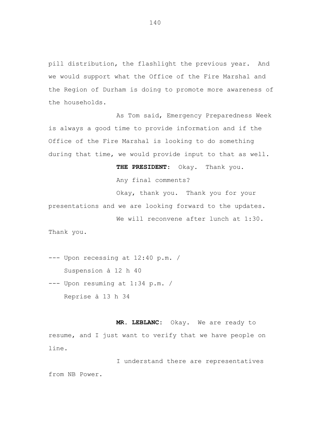pill distribution, the flashlight the previous year. And we would support what the Office of the Fire Marshal and the Region of Durham is doing to promote more awareness of the households.

As Tom said, Emergency Preparedness Week is always a good time to provide information and if the Office of the Fire Marshal is looking to do something during that time, we would provide input to that as well.

**THE PRESIDENT**: Okay. Thank you**.**

Any final comments?

Okay, thank you. Thank you for your presentations and we are looking forward to the updates.

We will reconvene after lunch at 1:30. Thank you.

--- Upon recessing at 12:40 p.m. / Suspension à 12 h 40

--- Upon resuming at 1:34 p.m. / Reprise à 13 h 34

**MR. LEBLANC:** Okay. We are ready to resume, and I just want to verify that we have people on line.

I understand there are representatives from NB Power.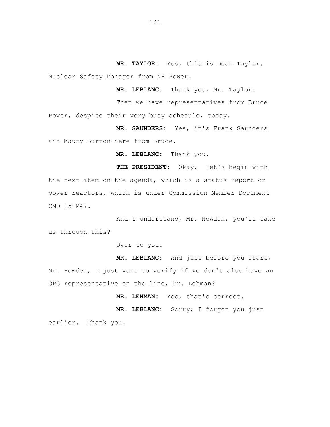**MR. TAYLOR:** Yes, this is Dean Taylor, Nuclear Safety Manager from NB Power.

**MR. LEBLANC:** Thank you, Mr. Taylor.

Then we have representatives from Bruce Power, despite their very busy schedule, today.

**MR. SAUNDERS:** Yes, it's Frank Saunders and Maury Burton here from Bruce.

**MR. LEBLANC:** Thank you.

**THE PRESIDENT:** Okay. Let's begin with the next item on the agenda, which is a status report on power reactors, which is under Commission Member Document CMD 15-M47.

And I understand, Mr. Howden, you'll take us through this?

Over to you.

**MR. LEBLANC:** And just before you start, Mr. Howden, I just want to verify if we don't also have an OPG representative on the line, Mr. Lehman?

**MR. LEHMAN:** Yes, that's correct.

**MR. LEBLANC:** Sorry; I forgot you just earlier. Thank you.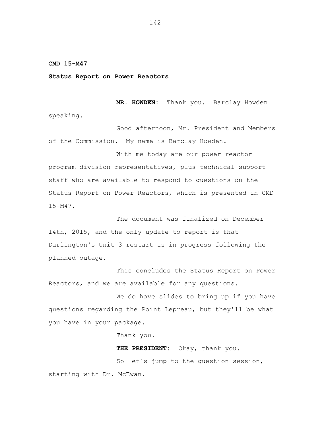## **CMD 15-M47**

## **Status Report on Power Reactors**

**MR. HOWDEN:** Thank you. Barclay Howden speaking.

Good afternoon, Mr. President and Members of the Commission. My name is Barclay Howden.

With me today are our power reactor program division representatives, plus technical support staff who are available to respond to questions on the Status Report on Power Reactors, which is presented in CMD 15-M47.

The document was finalized on December 14th, 2015, and the only update to report is that Darlington's Unit 3 restart is in progress following the planned outage.

This concludes the Status Report on Power Reactors, and we are available for any questions.

We do have slides to bring up if you have questions regarding the Point Lepreau, but they'll be what you have in your package.

Thank you.

**THE PRESIDENT:** Okay, thank you. So let`s jump to the question session, starting with Dr. McEwan.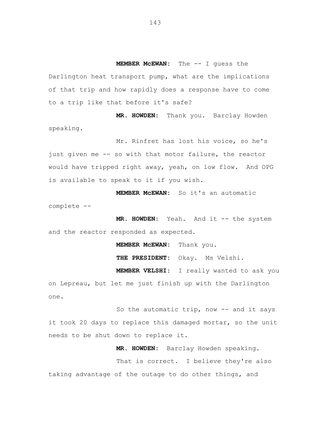**MEMBER McEWAN:** The -- I guess the Darlington heat transport pump, what are the implications of that trip and how rapidly does a response have to come to a trip like that before it's safe?

**MR. HOWDEN:** Thank you. Barclay Howden speaking.

Mr. Rinfret has lost his voice, so he's just given me -- so with that motor failure, the reactor would have tripped right away, yeah, on low flow. And OPG is available to speak to it if you wish.

**MEMBER McEWAN:** So it's an automatic complete --

**MR. HOWDEN:** Yeah. And it -- the system and the reactor responded as expected.

**MEMBER McEWAN:** Thank you.

**THE PRESIDENT:** Okay. Ms Velshi.

**MEMBER VELSHI:** I really wanted to ask you on Lepreau, but let me just finish up with the Darlington one.

So the automatic trip, now -- and it says it took 20 days to replace this damaged mortar, so the unit needs to be shut down to replace it.

**MR. HOWDEN:** Barclay Howden speaking.

That is correct. I believe they're also taking advantage of the outage to do other things, and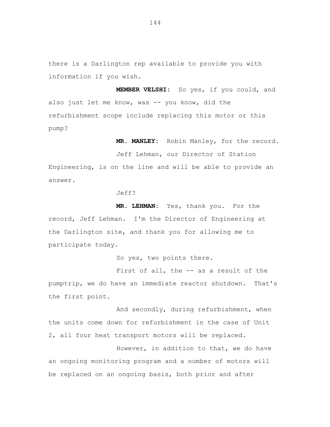there is a Darlington rep available to provide you with information if you wish.

**MEMBER VELSHI:** So yes, if you could, and also just let me know, was -- you know, did the refurbishment scope include replacing this motor or this pump?

**MR. MANLEY:** Robin Manley, for the record.

Jeff Lehman, our Director of Station Engineering, is on the line and will be able to provide an answer.

Jeff?

**MR. LEHMAN:** Yes, thank you. For the record, Jeff Lehman. I'm the Director of Engineering at the Darlington site, and thank you for allowing me to participate today.

So yes, two points there.

First of all, the -- as a result of the pumptrip, we do have an immediate reactor shutdown. That's the first point.

And secondly, during refurbishment, when the units come down for refurbishment in the case of Unit 2, all four heat transport motors will be replaced.

However, in addition to that, we do have an ongoing monitoring program and a number of motors will be replaced on an ongoing basis, both prior and after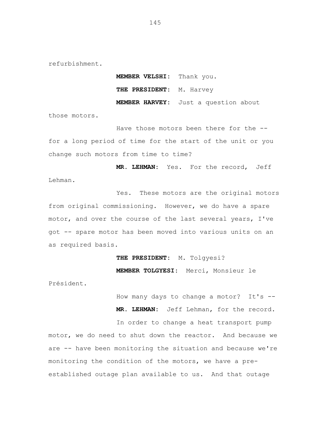refurbishment.

**MEMBER VELSHI:** Thank you. THE PRESIDENT: M. Harvey **MEMBER HARVEY:** Just a question about

those motors.

Have those motors been there for the -for a long period of time for the start of the unit or you change such motors from time to time?

**MR. LEHMAN:** Yes. For the record, Jeff Lehman.

Yes. These motors are the original motors from original commissioning. However, we do have a spare motor, and over the course of the last several years, I've got -- spare motor has been moved into various units on an as required basis.

**THE PRESIDENT:** M. Tolgyesi?

**MEMBER TOLGYESI:** Merci, Monsieur le

Président.

How many days to change a motor? It's --

**MR. LEHMAN:** Jeff Lehman, for the record.

In order to change a heat transport pump motor, we do need to shut down the reactor. And because we are -- have been monitoring the situation and because we're monitoring the condition of the motors, we have a preestablished outage plan available to us. And that outage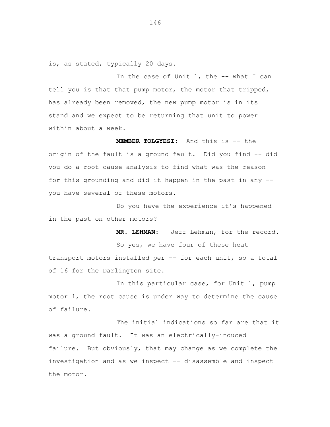is, as stated, typically 20 days.

In the case of Unit 1, the -- what I can tell you is that that pump motor, the motor that tripped, has already been removed, the new pump motor is in its stand and we expect to be returning that unit to power within about a week.

**MEMBER TOLGYESI:** And this is -- the origin of the fault is a ground fault. Did you find -- did you do a root cause analysis to find what was the reason for this grounding and did it happen in the past in any - you have several of these motors.

Do you have the experience it's happened in the past on other motors?

**MR. LEHMAN:** Jeff Lehman, for the record. So yes, we have four of these heat transport motors installed per -- for each unit, so a total of 16 for the Darlington site.

In this particular case, for Unit 1, pump motor 1, the root cause is under way to determine the cause of failure.

The initial indications so far are that it was a ground fault. It was an electrically-induced failure. But obviously, that may change as we complete the investigation and as we inspect -- disassemble and inspect the motor.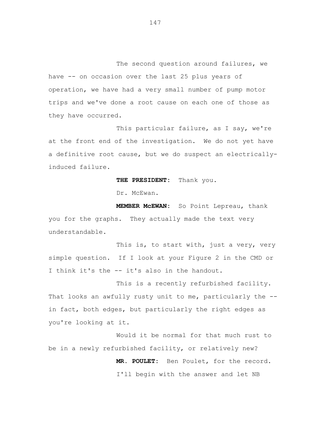The second question around failures, we have -- on occasion over the last 25 plus years of operation, we have had a very small number of pump motor trips and we've done a root cause on each one of those as they have occurred.

This particular failure, as I say, we're at the front end of the investigation. We do not yet have a definitive root cause, but we do suspect an electricallyinduced failure.

**THE PRESIDENT:** Thank you.

Dr. McEwan.

**MEMBER McEWAN:** So Point Lepreau, thank you for the graphs. They actually made the text very understandable.

This is, to start with, just a very, very simple question. If I look at your Figure 2 in the CMD or I think it's the -- it's also in the handout.

This is a recently refurbished facility. That looks an awfully rusty unit to me, particularly the -in fact, both edges, but particularly the right edges as you're looking at it.

Would it be normal for that much rust to be in a newly refurbished facility, or relatively new?

> **MR. POULET:** Ben Poulet, for the record. I'll begin with the answer and let NB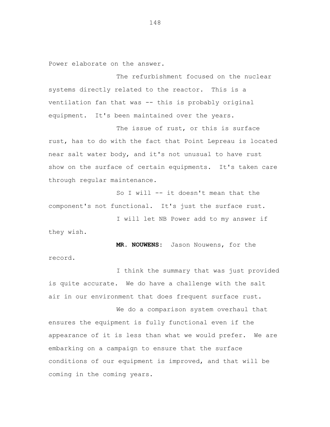Power elaborate on the answer.

The refurbishment focused on the nuclear systems directly related to the reactor. This is a ventilation fan that was -- this is probably original equipment. It's been maintained over the years.

The issue of rust, or this is surface rust, has to do with the fact that Point Lepreau is located near salt water body, and it's not unusual to have rust show on the surface of certain equipments. It's taken care through regular maintenance.

So I will -- it doesn't mean that the component's not functional. It's just the surface rust.

I will let NB Power add to my answer if they wish.

**MR. NOUWENS:** Jason Nouwens, for the record.

I think the summary that was just provided is quite accurate. We do have a challenge with the salt air in our environment that does frequent surface rust.

We do a comparison system overhaul that ensures the equipment is fully functional even if the appearance of it is less than what we would prefer. We are embarking on a campaign to ensure that the surface conditions of our equipment is improved, and that will be coming in the coming years.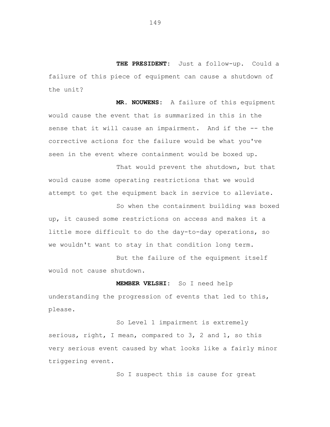**THE PRESIDENT:** Just a follow-up. Could a failure of this piece of equipment can cause a shutdown of the unit?

**MR. NOUWENS:** A failure of this equipment would cause the event that is summarized in this in the sense that it will cause an impairment. And if the -- the corrective actions for the failure would be what you've seen in the event where containment would be boxed up.

That would prevent the shutdown, but that would cause some operating restrictions that we would attempt to get the equipment back in service to alleviate.

So when the containment building was boxed up, it caused some restrictions on access and makes it a little more difficult to do the day-to-day operations, so we wouldn't want to stay in that condition long term.

But the failure of the equipment itself would not cause shutdown.

**MEMBER VELSHI:** So I need help understanding the progression of events that led to this, please.

So Level 1 impairment is extremely serious, right, I mean, compared to 3, 2 and 1, so this very serious event caused by what looks like a fairly minor triggering event.

So I suspect this is cause for great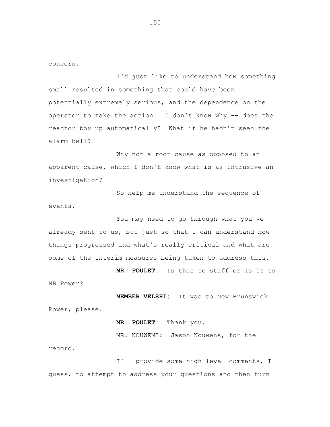concern.

I'd just like to understand how something small resulted in something that could have been potentially extremely serious, and the dependence on the operator to take the action. I don't know why -- does the reactor box up automatically? What if he hadn't seen the alarm bell?

Why not a root cause as opposed to an apparent cause, which I don't know what is as intrusive an investigation?

So help me understand the sequence of events.

You may need to go through what you've already sent to us, but just so that I can understand how things progressed and what's really critical and what are some of the interim measures being taken to address this.

**MR. POULET:** Is this to staff or is it to NB Power?

**MEMBER VELSHI:** It was to New Brunswick Power, please.

**MR. POULET:** Thank you.

MR. NOUWENS: Jason Nouwens, for the record.

I'll provide some high level comments, I guess, to attempt to address your questions and then turn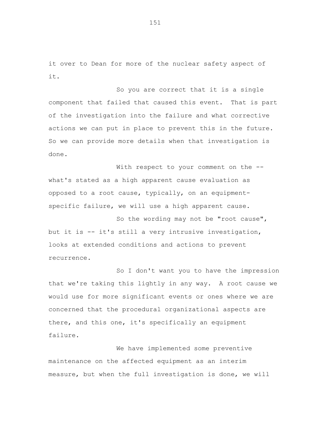it over to Dean for more of the nuclear safety aspect of it.

So you are correct that it is a single component that failed that caused this event. That is part of the investigation into the failure and what corrective actions we can put in place to prevent this in the future. So we can provide more details when that investigation is done.

With respect to your comment on the -what's stated as a high apparent cause evaluation as opposed to a root cause, typically, on an equipmentspecific failure, we will use a high apparent cause.

So the wording may not be "root cause", but it is -- it's still a very intrusive investigation, looks at extended conditions and actions to prevent recurrence.

So I don't want you to have the impression that we're taking this lightly in any way. A root cause we would use for more significant events or ones where we are concerned that the procedural organizational aspects are there, and this one, it's specifically an equipment failure.

We have implemented some preventive maintenance on the affected equipment as an interim measure, but when the full investigation is done, we will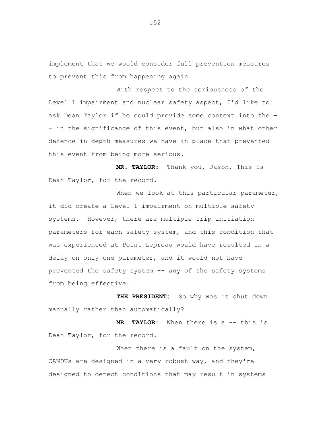implement that we would consider full prevention measures to prevent this from happening again.

With respect to the seriousness of the Level 1 impairment and nuclear safety aspect, I'd like to ask Dean Taylor if he could provide some context into the - - in the significance of this event, but also in what other defence in depth measures we have in place that prevented this event from being more serious.

**MR. TAYLOR:** Thank you, Jason. This is Dean Taylor, for the record.

When we look at this particular parameter, it did create a Level 1 impairment on multiple safety systems. However, there are multiple trip initiation parameters for each safety system, and this condition that was experienced at Point Lepreau would have resulted in a delay on only one parameter, and it would not have prevented the safety system -- any of the safety systems from being effective.

**THE PRESIDENT:** So why was it shut down manually rather than automatically?

**MR. TAYLOR:** When there is a -- this is Dean Taylor, for the record.

When there is a fault on the system, CANDUs are designed in a very robust way, and they're designed to detect conditions that may result in systems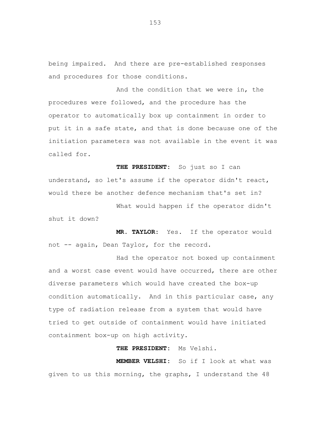being impaired. And there are pre-established responses and procedures for those conditions.

And the condition that we were in, the procedures were followed, and the procedure has the operator to automatically box up containment in order to put it in a safe state, and that is done because one of the initiation parameters was not available in the event it was called for.

**THE PRESIDENT:** So just so I can understand, so let's assume if the operator didn't react, would there be another defence mechanism that's set in?

What would happen if the operator didn't shut it down?

**MR. TAYLOR:** Yes. If the operator would not -- again, Dean Taylor, for the record.

Had the operator not boxed up containment and a worst case event would have occurred, there are other diverse parameters which would have created the box-up condition automatically. And in this particular case, any type of radiation release from a system that would have tried to get outside of containment would have initiated containment box-up on high activity.

**THE PRESIDENT:** Ms Velshi.

**MEMBER VELSHI:** So if I look at what was given to us this morning, the graphs, I understand the 48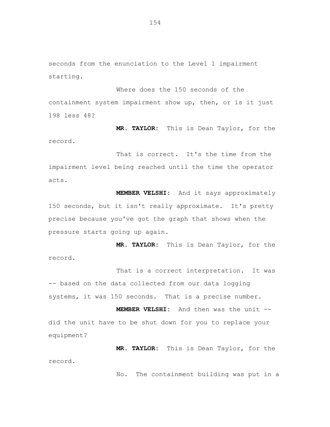seconds from the enunciation to the Level 1 impairment starting.

Where does the 150 seconds of the containment system impairment show up, then, or is it just 198 less 48?

**MR. TAYLOR:** This is Dean Taylor, for the record.

That is correct. It's the time from the impairment level being reached until the time the operator acts.

**MEMBER VELSHI:** And it says approximately 150 seconds, but it isn't really approximate. It's pretty precise because you've got the graph that shows when the pressure starts going up again.

**MR. TAYLOR:** This is Dean Taylor, for the record.

That is a correct interpretation. It was -- based on the data collected from our data logging systems, it was 150 seconds. That is a precise number.

**MEMBER VELSHI:** And then was the unit - did the unit have to be shut down for you to replace your equipment?

**MR. TAYLOR:** This is Dean Taylor, for the record.

No. The containment building was put in a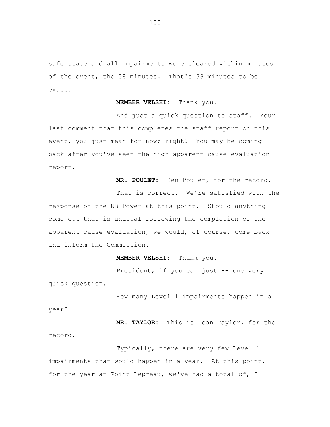safe state and all impairments were cleared within minutes of the event, the 38 minutes. That's 38 minutes to be exact.

**MEMBER VELSHI:** Thank you.

And just a quick question to staff. Your last comment that this completes the staff report on this event, you just mean for now; right? You may be coming back after you've seen the high apparent cause evaluation report.

**MR. POULET:** Ben Poulet, for the record.

That is correct. We're satisfied with the response of the NB Power at this point. Should anything come out that is unusual following the completion of the apparent cause evaluation, we would, of course, come back and inform the Commission.

**MEMBER VELSHI:** Thank you.

President, if you can just -- one very quick question.

How many Level 1 impairments happen in a

year?

**MR. TAYLOR:** This is Dean Taylor, for the record.

Typically, there are very few Level 1 impairments that would happen in a year. At this point, for the year at Point Lepreau, we've had a total of, I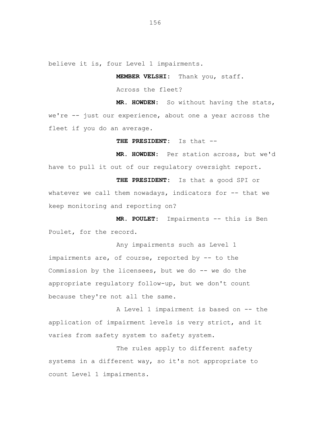believe it is, four Level 1 impairments.

**MEMBER VELSHI:** Thank you, staff.

Across the fleet?

**MR. HOWDEN:** So without having the stats, we're -- just our experience, about one a year across the fleet if you do an average.

**THE PRESIDENT:** Is that --

**MR. HOWDEN:** Per station across, but we'd have to pull it out of our regulatory oversight report.

**THE PRESIDENT:** Is that a good SPI or whatever we call them nowadays, indicators for -- that we keep monitoring and reporting on?

**MR. POULET:** Impairments -- this is Ben Poulet, for the record.

Any impairments such as Level 1 impairments are, of course, reported by -- to the Commission by the licensees, but we do  $-$ - we do the appropriate regulatory follow-up, but we don't count because they're not all the same.

A Level 1 impairment is based on -- the application of impairment levels is very strict, and it varies from safety system to safety system.

The rules apply to different safety systems in a different way, so it's not appropriate to count Level 1 impairments.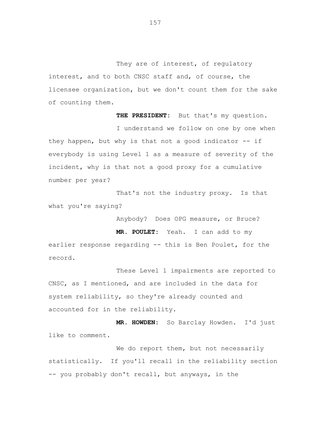They are of interest, of requiatory interest, and to both CNSC staff and, of course, the licensee organization, but we don't count them for the sake of counting them.

**THE PRESIDENT:** But that's my question.

I understand we follow on one by one when they happen, but why is that not a good indicator  $-$  if everybody is using Level 1 as a measure of severity of the incident, why is that not a good proxy for a cumulative number per year?

That's not the industry proxy. Is that what you're saying?

Anybody? Does OPG measure, or Bruce?

**MR. POULET:** Yeah. I can add to my earlier response regarding -- this is Ben Poulet, for the record.

These Level 1 impairments are reported to CNSC, as I mentioned, and are included in the data for system reliability, so they're already counted and accounted for in the reliability.

**MR. HOWDEN:** So Barclay Howden. I'd just like to comment.

We do report them, but not necessarily statistically. If you'll recall in the reliability section -- you probably don't recall, but anyways, in the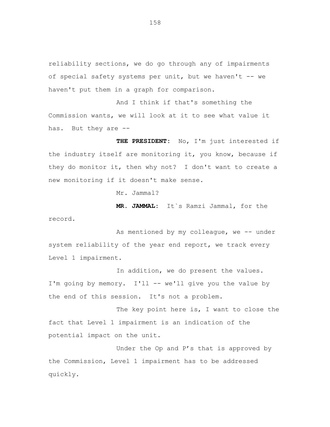reliability sections, we do go through any of impairments of special safety systems per unit, but we haven't -- we haven't put them in a graph for comparison.

And I think if that's something the Commission wants, we will look at it to see what value it has. But they are --

**THE PRESIDENT:** No, I'm just interested if the industry itself are monitoring it, you know, because if they do monitor it, then why not? I don't want to create a new monitoring if it doesn't make sense.

Mr. Jammal?

record.

**MR. JAMMAL:** It`s Ramzi Jammal, for the

As mentioned by my colleague, we -- under system reliability of the year end report, we track every Level 1 impairment.

In addition, we do present the values. I'm going by memory. I'll -- we'll give you the value by the end of this session. It's not a problem.

The key point here is, I want to close the fact that Level 1 impairment is an indication of the potential impact on the unit.

Under the Op and P's that is approved by the Commission, Level 1 impairment has to be addressed quickly.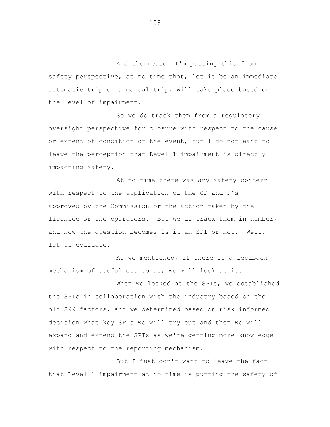And the reason I'm putting this from safety perspective, at no time that, let it be an immediate automatic trip or a manual trip, will take place based on the level of impairment.

So we do track them from a regulatory oversight perspective for closure with respect to the cause or extent of condition of the event, but I do not want to leave the perception that Level 1 impairment is directly impacting safety.

At no time there was any safety concern with respect to the application of the OP and P's approved by the Commission or the action taken by the licensee or the operators. But we do track them in number, and now the question becomes is it an SPI or not. Well, let us evaluate.

As we mentioned, if there is a feedback mechanism of usefulness to us, we will look at it.

When we looked at the SPIs, we established the SPIs in collaboration with the industry based on the old S99 factors, and we determined based on risk informed decision what key SPIs we will try out and then we will expand and extend the SPIs as we're getting more knowledge with respect to the reporting mechanism.

But I just don't want to leave the fact that Level 1 impairment at no time is putting the safety of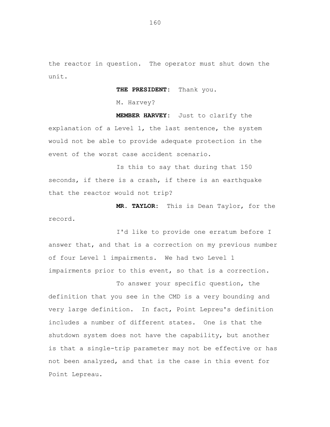the reactor in question. The operator must shut down the unit.

**THE PRESIDENT:** Thank you.

M. Harvey?

**MEMBER HARVEY:** Just to clarify the explanation of a Level 1, the last sentence, the system would not be able to provide adequate protection in the event of the worst case accident scenario.

Is this to say that during that 150 seconds, if there is a crash, if there is an earthquake that the reactor would not trip?

**MR. TAYLOR:** This is Dean Taylor, for the record.

I'd like to provide one erratum before I answer that, and that is a correction on my previous number of four Level 1 impairments. We had two Level 1 impairments prior to this event, so that is a correction.

To answer your specific question, the definition that you see in the CMD is a very bounding and very large definition. In fact, Point Lepreu's definition includes a number of different states. One is that the shutdown system does not have the capability, but another is that a single-trip parameter may not be effective or has not been analyzed, and that is the case in this event for Point Lepreau.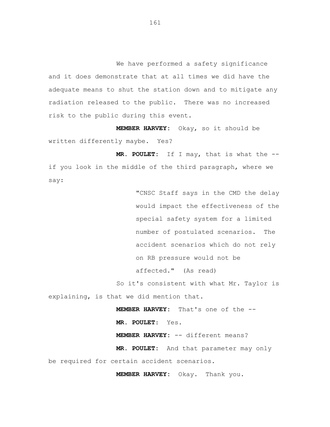We have performed a safety significance and it does demonstrate that at all times we did have the adequate means to shut the station down and to mitigate any radiation released to the public. There was no increased risk to the public during this event.

**MEMBER HARVEY:** Okay, so it should be written differently maybe. Yes?

**MR. POULET:** If I may, that is what the - if you look in the middle of the third paragraph, where we say:

> "CNSC Staff says in the CMD the delay would impact the effectiveness of the special safety system for a limited number of postulated scenarios. The accident scenarios which do not rely on RB pressure would not be affected." (As read)

So it's consistent with what Mr. Taylor is explaining, is that we did mention that.

**MEMBER HARVEY:** That's one of the --

**MR. POULET**: Yes.

**MEMBER HARVEY:** -- different means?

**MR. POULET:** And that parameter may only be required for certain accident scenarios.

**MEMBER HARVEY:** Okay. Thank you.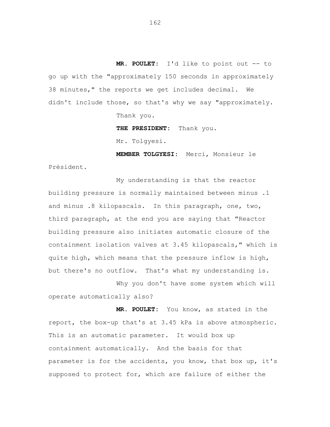**MR. POULET:** I'd like to point out -- to go up with the "approximately 150 seconds in approximately 38 minutes," the reports we get includes decimal. We didn't include those, so that's why we say "approximately.

Thank you.

**THE PRESIDENT:** Thank you.

Mr. Tolgyesi.

**MEMBER TOLGYESI:** Merci, Monsieur le Président.

My understanding is that the reactor building pressure is normally maintained between minus .1 and minus .8 kilopascals. In this paragraph, one, two, third paragraph, at the end you are saying that "Reactor building pressure also initiates automatic closure of the containment isolation valves at 3.45 kilopascals," which is quite high, which means that the pressure inflow is high, but there's no outflow. That's what my understanding is.

Why you don't have some system which will operate automatically also?

**MR. POULET:** You know, as stated in the report, the box-up that's at 3.45 kPa is above atmospheric. This is an automatic parameter. It would box up containment automatically. And the basis for that parameter is for the accidents, you know, that box up, it's supposed to protect for, which are failure of either the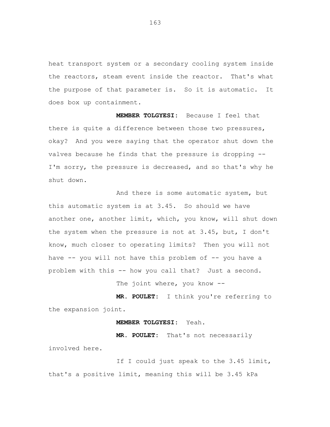heat transport system or a secondary cooling system inside the reactors, steam event inside the reactor. That's what the purpose of that parameter is. So it is automatic. It does box up containment.

**MEMBER TOLGYESI:** Because I feel that there is quite a difference between those two pressures, okay? And you were saying that the operator shut down the valves because he finds that the pressure is dropping -- I'm sorry, the pressure is decreased, and so that's why he shut down.

And there is some automatic system, but this automatic system is at 3.45. So should we have another one, another limit, which, you know, will shut down the system when the pressure is not at 3.45, but, I don't know, much closer to operating limits? Then you will not have -- you will not have this problem of -- you have a problem with this -- how you call that? Just a second.

The joint where, you know --

**MR. POULET:** I think you're referring to the expansion joint.

#### **MEMBER TOLGYESI:** Yeah.

**MR. POULET:** That's not necessarily involved here.

If I could just speak to the 3.45 limit, that's a positive limit, meaning this will be 3.45 kPa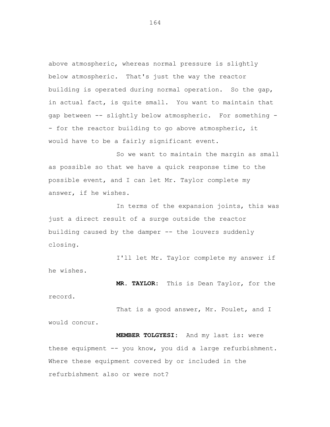above atmospheric, whereas normal pressure is slightly below atmospheric. That's just the way the reactor building is operated during normal operation. So the gap, in actual fact, is quite small. You want to maintain that gap between -- slightly below atmospheric. For something - - for the reactor building to go above atmospheric, it would have to be a fairly significant event.

So we want to maintain the margin as small as possible so that we have a quick response time to the possible event, and I can let Mr. Taylor complete my answer, if he wishes.

In terms of the expansion joints, this was just a direct result of a surge outside the reactor building caused by the damper -- the louvers suddenly closing.

I'll let Mr. Taylor complete my answer if he wishes.

**MR. TAYLOR:** This is Dean Taylor, for the record.

That is a good answer, Mr. Poulet, and I would concur.

**MEMBER TOLGYESI:** And my last is: were these equipment -- you know, you did a large refurbishment. Where these equipment covered by or included in the refurbishment also or were not?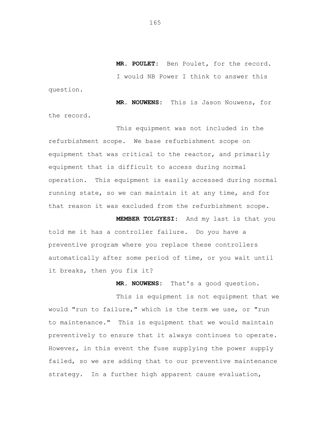**MR. POULET:** Ben Poulet, for the record. I would NB Power I think to answer this question.

**MR. NOUWENS:** This is Jason Nouwens, for the record.

This equipment was not included in the refurbishment scope. We base refurbishment scope on equipment that was critical to the reactor, and primarily equipment that is difficult to access during normal operation. This equipment is easily accessed during normal running state, so we can maintain it at any time, and for that reason it was excluded from the refurbishment scope.

**MEMBER TOLGYESI:** And my last is that you told me it has a controller failure. Do you have a preventive program where you replace these controllers automatically after some period of time, or you wait until it breaks, then you fix it?

**MR. NOUWENS:** That's a good question.

This is equipment is not equipment that we would "run to failure," which is the term we use, or "run to maintenance." This is equipment that we would maintain preventively to ensure that it always continues to operate. However, in this event the fuse supplying the power supply failed, so we are adding that to our preventive maintenance strategy. In a further high apparent cause evaluation,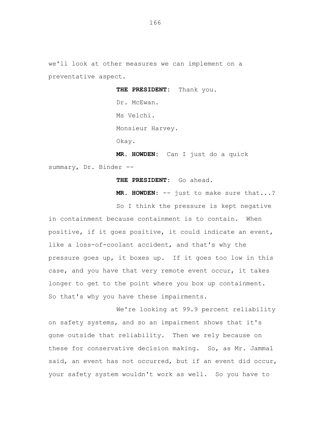we'll look at other measures we can implement on a preventative aspect.

> **THE PRESIDENT:** Thank you. Dr. McEwan. Ms Velchi. Monsieur Harvey. Okay.

**MR. HOWDEN:** Can I just do a quick summary, Dr. Binder --

**THE PRESIDENT:** Go ahead.

**MR. HOWDEN:** -- just to make sure that...?

So I think the pressure is kept negative in containment because containment is to contain. When positive, if it goes positive, it could indicate an event, like a loss-of-coolant accident, and that's why the pressure goes up, it boxes up. If it goes too low in this case, and you have that very remote event occur, it takes longer to get to the point where you box up containment. So that's why you have these impairments.

We're looking at 99.9 percent reliability on safety systems, and so an impairment shows that it's gone outside that reliability. Then we rely because on these for conservative decision making. So, as Mr. Jammal said, an event has not occurred, but if an event did occur, your safety system wouldn't work as well. So you have to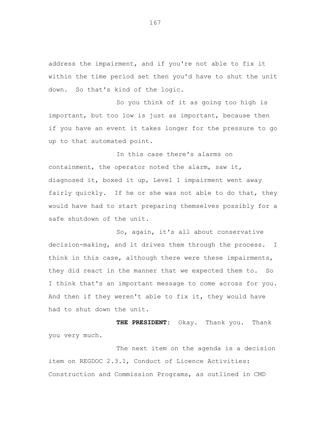address the impairment, and if you're not able to fix it within the time period set then you'd have to shut the unit down. So that's kind of the logic.

So you think of it as going too high is important, but too low is just as important, because then if you have an event it takes longer for the pressure to go up to that automated point.

In this case there's alarms on containment, the operator noted the alarm, saw it, diagnosed it, boxed it up, Level 1 impairment went away fairly quickly. If he or she was not able to do that, they would have had to start preparing themselves possibly for a safe shutdown of the unit.

So, again, it's all about conservative decision-making, and it drives them through the process. I think in this case, although there were these impairments, they did react in the manner that we expected them to. So I think that's an important message to come across for you. And then if they weren't able to fix it, they would have had to shut down the unit.

**THE PRESIDENT:** Okay. Thank you. Thank you very much.

The next item on the agenda is a decision item on REGDOC 2.3.1, Conduct of Licence Activities: Construction and Commission Programs, as outlined in CMD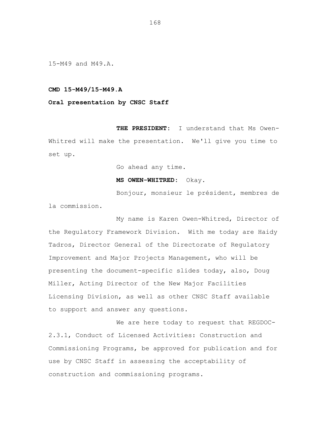15-M49 and M49.A.

# **CMD 15-M49/15-M49.A**

## **Oral presentation by CNSC Staff**

**THE PRESIDENT:** I understand that Ms Owen-Whitred will make the presentation. We'll give you time to set up.

Go ahead any time.

#### **MS OWEN-WHITRED:** Okay.

Bonjour, monsieur le président, membres de la commission.

My name is Karen Owen-Whitred, Director of the Regulatory Framework Division. With me today are Haidy Tadros, Director General of the Directorate of Regulatory Improvement and Major Projects Management, who will be presenting the document-specific slides today, also, Doug Miller, Acting Director of the New Major Facilities Licensing Division, as well as other CNSC Staff available to support and answer any questions.

We are here today to request that REGDOC-2.3.1, Conduct of Licensed Activities: Construction and Commissioning Programs, be approved for publication and for use by CNSC Staff in assessing the acceptability of construction and commissioning programs.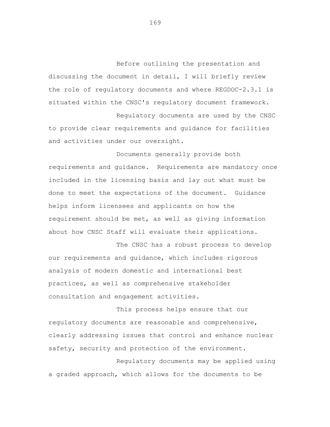Before outlining the presentation and discussing the document in detail, I will briefly review the role of regulatory documents and where REGDOC-2.3.1 is situated within the CNSC's regulatory document framework.

Regulatory documents are used by the CNSC to provide clear requirements and guidance for facilities and activities under our oversight.

Documents generally provide both requirements and guidance. Requirements are mandatory once included in the licensing basis and lay out what must be done to meet the expectations of the document. Guidance helps inform licensees and applicants on how the requirement should be met, as well as giving information about how CNSC Staff will evaluate their applications.

The CNSC has a robust process to develop our requirements and guidance, which includes rigorous analysis of modern domestic and international best practices, as well as comprehensive stakeholder consultation and engagement activities.

This process helps ensure that our regulatory documents are reasonable and comprehensive, clearly addressing issues that control and enhance nuclear safety, security and protection of the environment.

Regulatory documents may be applied using a graded approach, which allows for the documents to be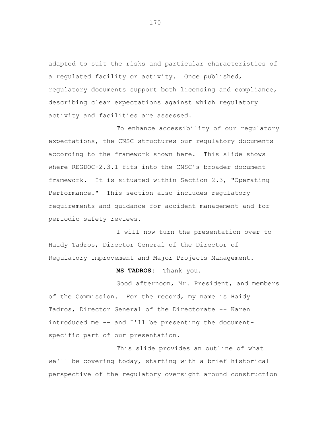adapted to suit the risks and particular characteristics of a regulated facility or activity. Once published, regulatory documents support both licensing and compliance, describing clear expectations against which regulatory activity and facilities are assessed.

To enhance accessibility of our regulatory expectations, the CNSC structures our regulatory documents according to the framework shown here. This slide shows where REGDOC-2.3.1 fits into the CNSC's broader document framework. It is situated within Section 2.3, "Operating Performance." This section also includes regulatory requirements and guidance for accident management and for periodic safety reviews.

I will now turn the presentation over to Haidy Tadros, Director General of the Director of Regulatory Improvement and Major Projects Management.

## **MS TADROS:** Thank you.

Good afternoon, Mr. President, and members of the Commission. For the record, my name is Haidy Tadros, Director General of the Directorate -- Karen introduced me -- and I'll be presenting the documentspecific part of our presentation.

This slide provides an outline of what we'll be covering today, starting with a brief historical perspective of the regulatory oversight around construction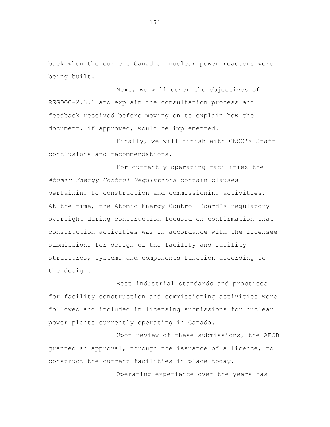back when the current Canadian nuclear power reactors were being built.

Next, we will cover the objectives of REGDOC-2.3.1 and explain the consultation process and feedback received before moving on to explain how the document, if approved, would be implemented.

Finally, we will finish with CNSC's Staff conclusions and recommendations.

For currently operating facilities the *Atomic Energy Control Regulations* contain clauses pertaining to construction and commissioning activities. At the time, the Atomic Energy Control Board's regulatory oversight during construction focused on confirmation that construction activities was in accordance with the licensee submissions for design of the facility and facility structures, systems and components function according to the design.

Best industrial standards and practices for facility construction and commissioning activities were followed and included in licensing submissions for nuclear power plants currently operating in Canada.

Upon review of these submissions, the AECB granted an approval, through the issuance of a licence, to construct the current facilities in place today.

Operating experience over the years has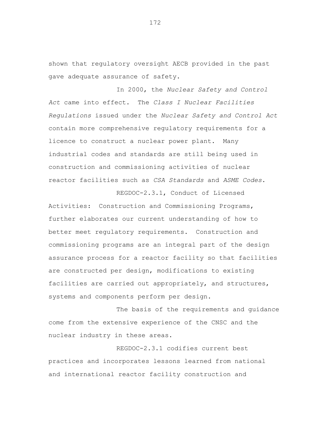shown that regulatory oversight AECB provided in the past gave adequate assurance of safety.

In 2000, the *Nuclear Safety and Control Act* came into effect. The *Class I Nuclear Facilities Regulations* issued under the *Nuclear Safety and Control Act*  contain more comprehensive regulatory requirements for a licence to construct a nuclear power plant. Many industrial codes and standards are still being used in construction and commissioning activities of nuclear reactor facilities such as *CSA Standards* and *ASME Codes*.

Activities: Construction and Commissioning Programs, further elaborates our current understanding of how to better meet regulatory requirements. Construction and commissioning programs are an integral part of the design assurance process for a reactor facility so that facilities are constructed per design, modifications to existing facilities are carried out appropriately, and structures, systems and components perform per design.

REGDOC-2.3.1, Conduct of Licensed

The basis of the requirements and guidance come from the extensive experience of the CNSC and the nuclear industry in these areas.

REGDOC-2.3.1 codifies current best practices and incorporates lessons learned from national and international reactor facility construction and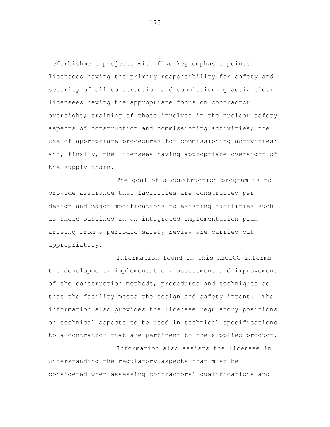refurbishment projects with five key emphasis points: licensees having the primary responsibility for safety and security of all construction and commissioning activities; licensees having the appropriate focus on contractor oversight; training of those involved in the nuclear safety aspects of construction and commissioning activities; the use of appropriate procedures for commissioning activities; and, finally, the licensees having appropriate oversight of the supply chain.

The goal of a construction program is to provide assurance that facilities are constructed per design and major modifications to existing facilities such as those outlined in an integrated implementation plan arising from a periodic safety review are carried out appropriately.

Information found in this REGDOC informs the development, implementation, assessment and improvement of the construction methods, procedures and techniques so that the facility meets the design and safety intent. The information also provides the licensee regulatory positions on technical aspects to be used in technical specifications to a contractor that are pertinent to the supplied product. Information also assists the licensee in

understanding the regulatory aspects that must be considered when assessing contractors' qualifications and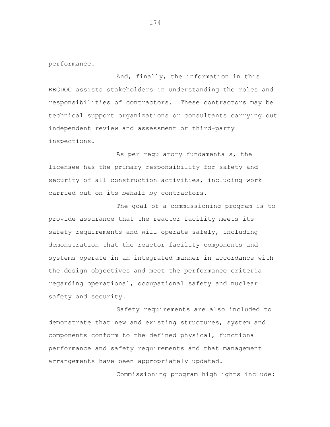performance.

And, finally, the information in this REGDOC assists stakeholders in understanding the roles and responsibilities of contractors. These contractors may be technical support organizations or consultants carrying out independent review and assessment or third-party inspections.

As per regulatory fundamentals, the licensee has the primary responsibility for safety and security of all construction activities, including work carried out on its behalf by contractors.

The goal of a commissioning program is to provide assurance that the reactor facility meets its safety requirements and will operate safely, including demonstration that the reactor facility components and systems operate in an integrated manner in accordance with the design objectives and meet the performance criteria regarding operational, occupational safety and nuclear safety and security.

Safety requirements are also included to demonstrate that new and existing structures, system and components conform to the defined physical, functional performance and safety requirements and that management arrangements have been appropriately updated.

Commissioning program highlights include: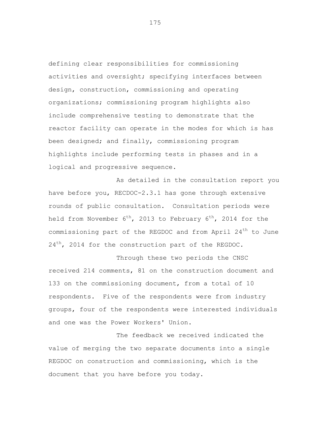defining clear responsibilities for commissioning activities and oversight; specifying interfaces between design, construction, commissioning and operating organizations; commissioning program highlights also include comprehensive testing to demonstrate that the reactor facility can operate in the modes for which is has been designed; and finally, commissioning program highlights include performing tests in phases and in a logical and progressive sequence.

As detailed in the consultation report you have before you, RECDOC-2.3.1 has gone through extensive rounds of public consultation. Consultation periods were held from November  $6^{th}$ , 2013 to February  $6^{th}$ , 2014 for the commissioning part of the REGDOC and from April  $24<sup>th</sup>$  to June  $24<sup>th</sup>$ , 2014 for the construction part of the REGDOC.

Through these two periods the CNSC received 214 comments, 81 on the construction document and 133 on the commissioning document, from a total of 10 respondents. Five of the respondents were from industry groups, four of the respondents were interested individuals and one was the Power Workers' Union.

The feedback we received indicated the value of merging the two separate documents into a single REGDOC on construction and commissioning, which is the document that you have before you today.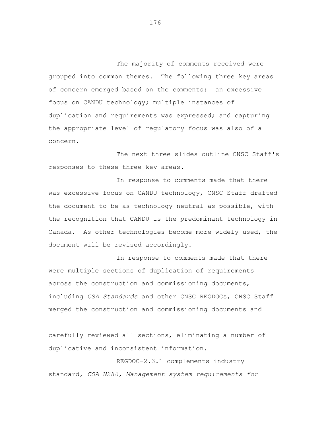The majority of comments received were grouped into common themes. The following three key areas of concern emerged based on the comments: an excessive focus on CANDU technology; multiple instances of duplication and requirements was expressed; and capturing the appropriate level of regulatory focus was also of a concern.

The next three slides outline CNSC Staff's responses to these three key areas.

In response to comments made that there was excessive focus on CANDU technology, CNSC Staff drafted the document to be as technology neutral as possible, with the recognition that CANDU is the predominant technology in Canada. As other technologies become more widely used, the document will be revised accordingly.

In response to comments made that there were multiple sections of duplication of requirements across the construction and commissioning documents, including *CSA Standards* and other CNSC REGDOCs, CNSC Staff merged the construction and commissioning documents and

carefully reviewed all sections, eliminating a number of duplicative and inconsistent information.

REGDOC-2.3.1 complements industry standard, *CSA N286, Management system requirements for*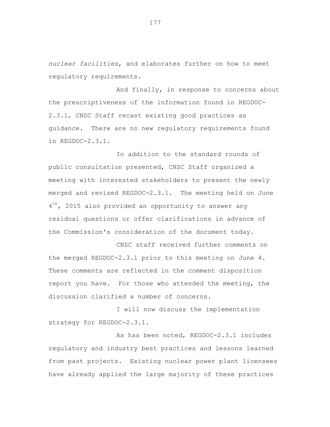*nuclear facilities*, and elaborates further on how to meet regulatory requirements.

And finally, in response to concerns about the prescriptiveness of the information found in REGDOC-2.3.1, CNSC Staff recast existing good practices as guidance. There are no new regulatory requirements found in REGDOC-2.3.1.

In addition to the standard rounds of public consultation presented, CNSC Staff organized a meeting with interested stakeholders to present the newly merged and revised REGDOC-2.3.1. The meeting held on June 4<sup>th</sup>, 2015 also provided an opportunity to answer any residual questions or offer clarifications in advance of the Commission's consideration of the document today.

CNSC staff received further comments on the merged REGDOC-2.3.1 prior to this meeting on June 4. These comments are reflected in the comment disposition report you have. For those who attended the meeting, the discussion clarified a number of concerns.

I will now discuss the implementation strategy for REGDOC-2.3.1.

As has been noted, REGDOC-2.3.1 includes regulatory and industry best practices and lessons learned from past projects. Existing nuclear power plant licensees have already applied the large majority of these practices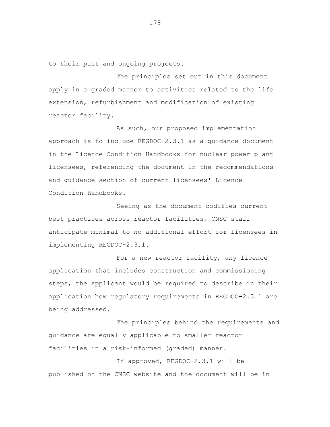to their past and ongoing projects.

The principles set out in this document apply in a graded manner to activities related to the life extension, refurbishment and modification of existing reactor facility.

As such, our proposed implementation approach is to include REGDOC-2.3.1 as a guidance document in the Licence Condition Handbooks for nuclear power plant licensees, referencing the document in the recommendations and guidance section of current licensees' Licence Condition Handbooks.

Seeing as the document codifies current best practices across reactor facilities, CNSC staff anticipate minimal to no additional effort for licensees in implementing REGDOC-2.3.1.

For a new reactor facility, any licence application that includes construction and commissioning steps, the applicant would be required to describe in their application how regulatory requirements in REGDOC-2.3.1 are being addressed.

The principles behind the requirements and guidance are equally applicable to smaller reactor facilities in a risk-informed (graded) manner.

If approved, REGDOC-2.3.1 will be published on the CNSC website and the document will be in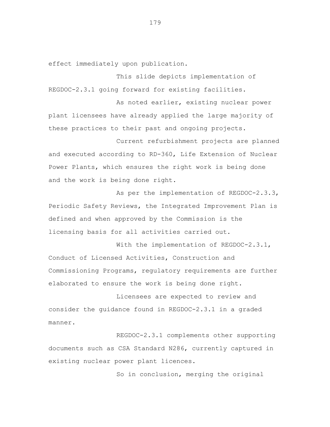effect immediately upon publication.

This slide depicts implementation of REGDOC-2.3.1 going forward for existing facilities.

As noted earlier, existing nuclear power plant licensees have already applied the large majority of these practices to their past and ongoing projects.

Current refurbishment projects are planned and executed according to RD-360, Life Extension of Nuclear Power Plants, which ensures the right work is being done and the work is being done right.

As per the implementation of REGDOC-2.3.3, Periodic Safety Reviews, the Integrated Improvement Plan is defined and when approved by the Commission is the licensing basis for all activities carried out.

With the implementation of REGDOC-2.3.1, Conduct of Licensed Activities, Construction and Commissioning Programs, regulatory requirements are further elaborated to ensure the work is being done right.

Licensees are expected to review and consider the guidance found in REGDOC-2.3.1 in a graded manner.

REGDOC-2.3.1 complements other supporting documents such as CSA Standard N286, currently captured in existing nuclear power plant licences.

So in conclusion, merging the original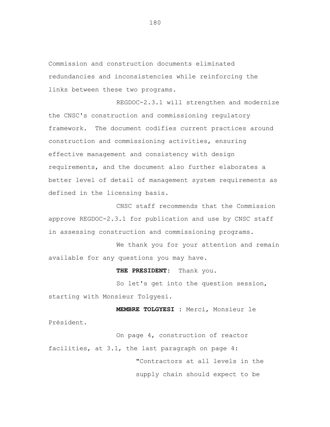Commission and construction documents eliminated redundancies and inconsistencies while reinforcing the links between these two programs.

REGDOC-2.3.1 will strengthen and modernize the CNSC's construction and commissioning regulatory framework. The document codifies current practices around construction and commissioning activities, ensuring effective management and consistency with design requirements, and the document also further elaborates a better level of detail of management system requirements as defined in the licensing basis.

CNSC staff recommends that the Commission approve REGDOC-2.3.1 for publication and use by CNSC staff in assessing construction and commissioning programs.

We thank you for your attention and remain available for any questions you may have.

**THE PRESIDENT:** Thank you.

So let's get into the question session, starting with Monsieur Tolgyesi.

**MEMBRE TOLGYESI :** Merci, Monsieur le Président.

On page 4, construction of reactor facilities, at 3.1, the last paragraph on page 4: "Contractors at all levels in the supply chain should expect to be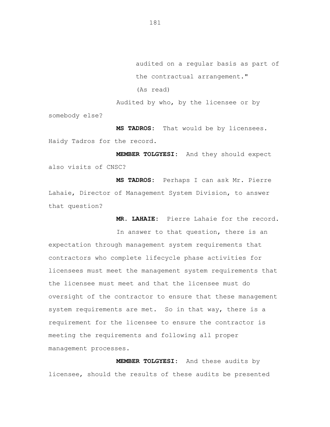audited on a regular basis as part of the contractual arrangement." (As read) Audited by who, by the licensee or by

somebody else?

**MS TADROS:** That would be by licensees. Haidy Tadros for the record.

**MEMBER TOLGYESI:** And they should expect also visits of CNSC?

**MS TADROS:** Perhaps I can ask Mr. Pierre Lahaie, Director of Management System Division, to answer that question?

**MR. LAHAIE:** Pierre Lahaie for the record.

In answer to that question, there is an expectation through management system requirements that contractors who complete lifecycle phase activities for licensees must meet the management system requirements that the licensee must meet and that the licensee must do oversight of the contractor to ensure that these management system requirements are met. So in that way, there is a requirement for the licensee to ensure the contractor is meeting the requirements and following all proper management processes.

**MEMBER TOLGYESI:** And these audits by licensee, should the results of these audits be presented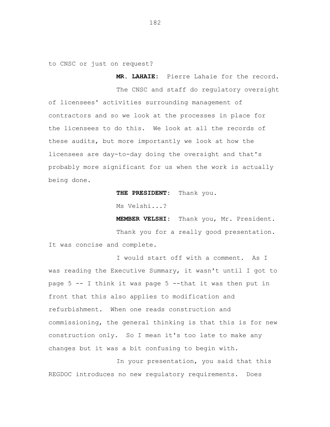to CNSC or just on request?

The CNSC and staff do regulatory oversight of licensees' activities surrounding management of contractors and so we look at the processes in place for the licensees to do this. We look at all the records of these audits, but more importantly we look at how the licensees are day-to-day doing the oversight and that's probably more significant for us when the work is actually being done.

**THE PRESIDENT:** Thank you.

Ms Velshi...?

**MEMBER VELSHI:** Thank you, Mr. President.

**MR. LAHAIE:** Pierre Lahaie for the record.

Thank you for a really good presentation. It was concise and complete.

I would start off with a comment. As I was reading the Executive Summary, it wasn't until I got to page 5 -- I think it was page 5 --that it was then put in front that this also applies to modification and refurbishment. When one reads construction and commissioning, the general thinking is that this is for new construction only. So I mean it's too late to make any changes but it was a bit confusing to begin with.

In your presentation, you said that this REGDOC introduces no new regulatory requirements. Does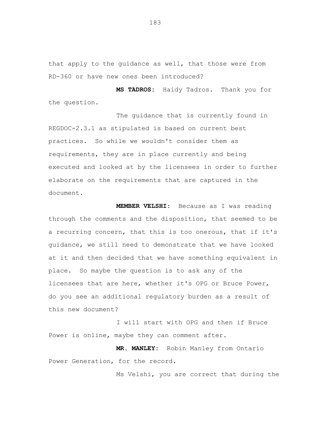that apply to the guidance as well, that those were from RD-360 or have new ones been introduced?

**MS TADROS:** Haidy Tadros. Thank you for the question.

The guidance that is currently found in REGDOC-2.3.1 as stipulated is based on current best practices. So while we wouldn't consider them as requirements, they are in place currently and being executed and looked at by the licensees in order to further elaborate on the requirements that are captured in the document.

**MEMBER VELSHI:** Because as I was reading through the comments and the disposition, that seemed to be a recurring concern, that this is too onerous, that if it's guidance, we still need to demonstrate that we have looked at it and then decided that we have something equivalent in place. So maybe the question is to ask any of the licensees that are here, whether it's OPG or Bruce Power, do you see an additional regulatory burden as a result of this new document?

I will start with OPG and then if Bruce Power is online, maybe they can comment after.

**MR. MANLEY:** Robin Manley from Ontario Power Generation, for the record.

Ms Velshi, you are correct that during the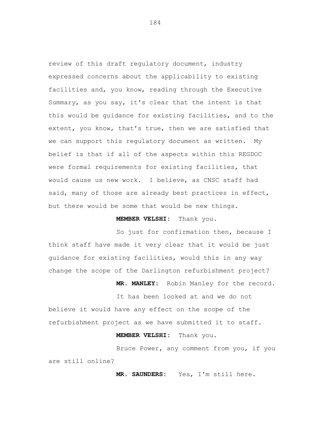review of this draft regulatory document, industry expressed concerns about the applicability to existing facilities and, you know, reading through the Executive Summary, as you say, it's clear that the intent is that this would be guidance for existing facilities, and to the extent, you know, that's true, then we are satisfied that we can support this regulatory document as written. My belief is that if all of the aspects within this REGDOC were formal requirements for existing facilities, that would cause us new work. I believe, as CNSC staff had said, many of those are already best practices in effect, but there would be some that would be new things.

## **MEMBER VELSHI:** Thank you.

So just for confirmation then, because I think staff have made it very clear that it would be just guidance for existing facilities, would this in any way change the scope of the Darlington refurbishment project?

**MR. MANLEY:** Robin Manley for the record.

It has been looked at and we do not believe it would have any effect on the scope of the refurbishment project as we have submitted it to staff.

## **MEMBER VELSHI:** Thank you.

Bruce Power, any comment from you, if you are still online?

**MR. SAUNDERS:** Yes, I'm still here.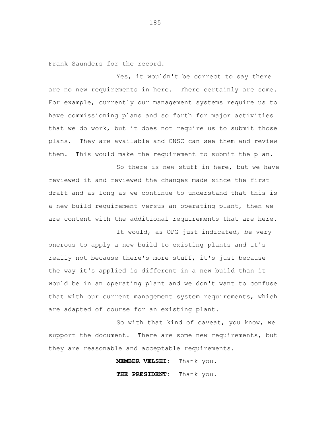Frank Saunders for the record.

Yes, it wouldn't be correct to say there are no new requirements in here. There certainly are some. For example, currently our management systems require us to have commissioning plans and so forth for major activities that we do work, but it does not require us to submit those plans. They are available and CNSC can see them and review them. This would make the requirement to submit the plan.

So there is new stuff in here, but we have reviewed it and reviewed the changes made since the first draft and as long as we continue to understand that this is a new build requirement versus an operating plant, then we are content with the additional requirements that are here. It would, as OPG just indicated, be very

onerous to apply a new build to existing plants and it's really not because there's more stuff, it's just because the way it's applied is different in a new build than it would be in an operating plant and we don't want to confuse that with our current management system requirements, which are adapted of course for an existing plant.

So with that kind of caveat, you know, we support the document. There are some new requirements, but they are reasonable and acceptable requirements.

> **MEMBER VELSHI:** Thank you. **THE PRESIDENT:** Thank you.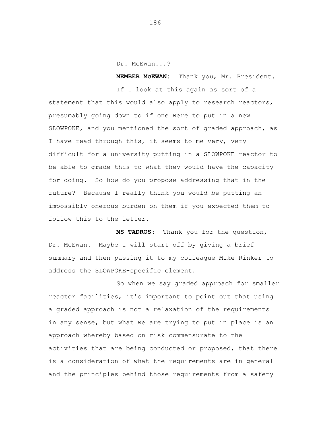Dr. McEwan...?

**MEMBER McEWAN:** Thank you, Mr. President.

If I look at this again as sort of a statement that this would also apply to research reactors, presumably going down to if one were to put in a new SLOWPOKE, and you mentioned the sort of graded approach, as I have read through this, it seems to me very, very difficult for a university putting in a SLOWPOKE reactor to be able to grade this to what they would have the capacity for doing. So how do you propose addressing that in the future? Because I really think you would be putting an impossibly onerous burden on them if you expected them to follow this to the letter.

**MS TADROS:** Thank you for the question, Dr. McEwan. Maybe I will start off by giving a brief summary and then passing it to my colleague Mike Rinker to address the SLOWPOKE-specific element.

So when we say graded approach for smaller reactor facilities, it's important to point out that using a graded approach is not a relaxation of the requirements in any sense, but what we are trying to put in place is an approach whereby based on risk commensurate to the activities that are being conducted or proposed, that there is a consideration of what the requirements are in general and the principles behind those requirements from a safety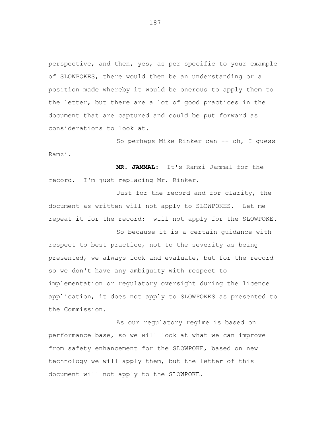perspective, and then, yes, as per specific to your example of SLOWPOKES, there would then be an understanding or a position made whereby it would be onerous to apply them to the letter, but there are a lot of good practices in the document that are captured and could be put forward as considerations to look at.

So perhaps Mike Rinker can -- oh, I guess Ramzi.

**MR. JAMMAL:** It's Ramzi Jammal for the record. I'm just replacing Mr. Rinker.

Just for the record and for clarity, the document as written will not apply to SLOWPOKES. Let me repeat it for the record: will not apply for the SLOWPOKE.

So because it is a certain guidance with respect to best practice, not to the severity as being presented, we always look and evaluate, but for the record so we don't have any ambiguity with respect to implementation or regulatory oversight during the licence application, it does not apply to SLOWPOKES as presented to the Commission.

As our regulatory regime is based on performance base, so we will look at what we can improve from safety enhancement for the SLOWPOKE, based on new technology we will apply them, but the letter of this document will not apply to the SLOWPOKE.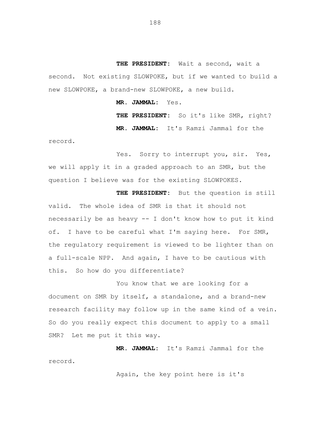**THE PRESIDENT:** Wait a second, wait a second. Not existing SLOWPOKE, but if we wanted to build a new SLOWPOKE, a brand-new SLOWPOKE, a new build.

**MR. JAMMAL:** Yes.

**THE PRESIDENT:** So it's like SMR, right? **MR. JAMMAL:** It's Ramzi Jammal for the

record.

Yes. Sorry to interrupt you, sir. Yes, we will apply it in a graded approach to an SMR, but the question I believe was for the existing SLOWPOKES.

**THE PRESIDENT:** But the question is still valid. The whole idea of SMR is that it should not necessarily be as heavy -- I don't know how to put it kind of. I have to be careful what I'm saying here. For SMR, the regulatory requirement is viewed to be lighter than on a full-scale NPP. And again, I have to be cautious with this. So how do you differentiate?

You know that we are looking for a document on SMR by itself, a standalone, and a brand-new research facility may follow up in the same kind of a vein. So do you really expect this document to apply to a small SMR? Let me put it this way.

**MR. JAMMAL:** It's Ramzi Jammal for the record.

Again, the key point here is it's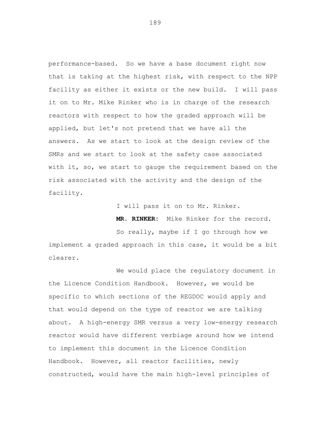performance-based. So we have a base document right now that is taking at the highest risk, with respect to the NPP facility as either it exists or the new build. I will pass it on to Mr. Mike Rinker who is in charge of the research reactors with respect to how the graded approach will be applied, but let's not pretend that we have all the answers. As we start to look at the design review of the SMRs and we start to look at the safety case associated with it, so, we start to gauge the requirement based on the risk associated with the activity and the design of the facility.

I will pass it on to Mr. Rinker.

**MR. RINKER:** Mike Rinker for the record.

So really, maybe if I go through how we implement a graded approach in this case, it would be a bit clearer.

We would place the regulatory document in the Licence Condition Handbook. However, we would be specific to which sections of the REGDOC would apply and that would depend on the type of reactor we are talking about. A high-energy SMR versus a very low-energy research reactor would have different verbiage around how we intend to implement this document in the Licence Condition Handbook. However, all reactor facilities, newly constructed, would have the main high-level principles of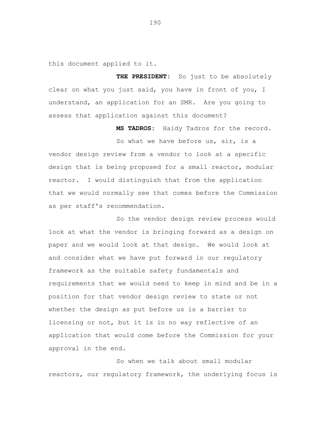this document applied to it.

**THE PRESIDENT:** So just to be absolutely clear on what you just said, you have in front of you, I understand, an application for an SMR. Are you going to assess that application against this document?

**MS TADROS:** Haidy Tadros for the record.

So what we have before us, sir, is a vendor design review from a vendor to look at a specific design that is being proposed for a small reactor, modular reactor. I would distinguish that from the application that we would normally see that comes before the Commission as per staff's recommendation.

So the vendor design review process would look at what the vendor is bringing forward as a design on paper and we would look at that design. We would look at and consider what we have put forward in our regulatory framework as the suitable safety fundamentals and requirements that we would need to keep in mind and be in a position for that vendor design review to state or not whether the design as put before us is a barrier to licensing or not, but it is in no way reflective of an application that would come before the Commission for your approval in the end.

So when we talk about small modular reactors, our regulatory framework, the underlying focus is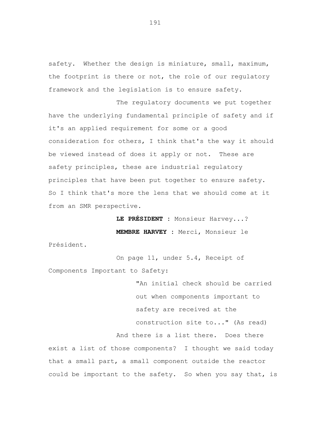safety. Whether the design is miniature, small, maximum, the footprint is there or not, the role of our regulatory framework and the legislation is to ensure safety.

The regulatory documents we put together have the underlying fundamental principle of safety and if it's an applied requirement for some or a good consideration for others, I think that's the way it should be viewed instead of does it apply or not. These are safety principles, these are industrial regulatory principles that have been put together to ensure safety. So I think that's more the lens that we should come at it from an SMR perspective.

> **LE PRÉSIDENT :** Monsieur Harvey...? **MEMBRE HARVEY :** Merci, Monsieur le

Président.

On page 11, under 5.4, Receipt of Components Important to Safety:

> "An initial check should be carried out when components important to safety are received at the

construction site to..." (As read)

And there is a list there. Does there

exist a list of those components? I thought we said today that a small part, a small component outside the reactor could be important to the safety. So when you say that, is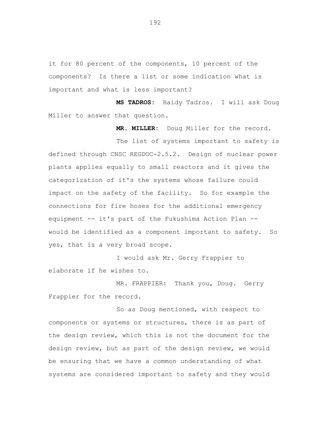it for 80 percent of the components, 10 percent of the components? Is there a list or some indication what is important and what is less important?

**MS TADROS:** Haidy Tadros. I will ask Doug Miller to answer that question.

**MR. MILLER:** Doug Miller for the record.

The list of systems important to safety is defined through CNSC REGDOC-2.5.2. Design of nuclear power plants applies equally to small reactors and it gives the categorization of it's the systems whose failure could impact on the safety of the facility. So for example the connections for fire hoses for the additional emergency equipment -- it's part of the Fukushima Action Plan - would be identified as a component important to safety. So yes, that is a very broad scope.

I would ask Mr. Gerry Frappier to elaborate if he wishes to.

MR. FRAPPIER: Thank you, Doug. Gerry Frappier for the record.

So as Doug mentioned, with respect to components or systems or structures, there is as part of the design review, which this is not the document for the design review, but as part of the design review, we would be ensuring that we have a common understanding of what systems are considered important to safety and they would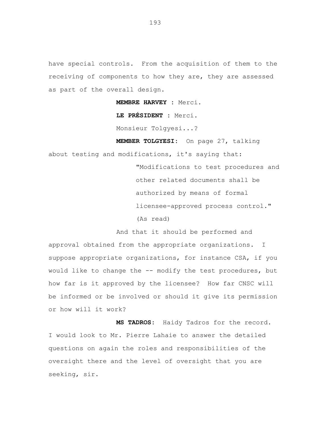have special controls. From the acquisition of them to the receiving of components to how they are, they are assessed as part of the overall design.

**MEMBRE HARVEY :** Merci.

**LE PRÉSIDENT :** Merci.

Monsieur Tolgyesi...?

**MEMBER TOLGYESI:** On page 27, talking

about testing and modifications, it's saying that:

"Modifications to test procedures and other related documents shall be authorized by means of formal licensee-approved process control."

(As read)

And that it should be performed and

approval obtained from the appropriate organizations. I suppose appropriate organizations, for instance CSA, if you would like to change the -- modify the test procedures, but how far is it approved by the licensee? How far CNSC will be informed or be involved or should it give its permission or how will it work?

**MS TADROS:** Haidy Tadros for the record. I would look to Mr. Pierre Lahaie to answer the detailed questions on again the roles and responsibilities of the oversight there and the level of oversight that you are seeking, sir.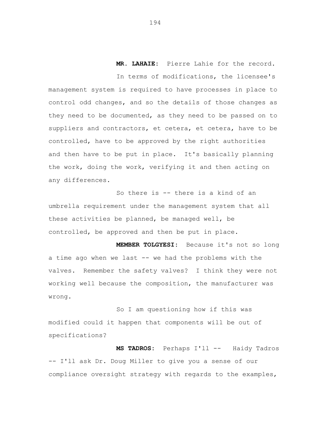**MR. LAHAIE:** Pierre Lahie for the record.

In terms of modifications, the licensee's management system is required to have processes in place to control odd changes, and so the details of those changes as they need to be documented, as they need to be passed on to suppliers and contractors, et cetera, et cetera, have to be controlled, have to be approved by the right authorities and then have to be put in place. It's basically planning the work, doing the work, verifying it and then acting on any differences.

So there is -- there is a kind of an umbrella requirement under the management system that all these activities be planned, be managed well, be controlled, be approved and then be put in place.

**MEMBER TOLGYESI:** Because it's not so long a time ago when we last -- we had the problems with the valves. Remember the safety valves? I think they were not working well because the composition, the manufacturer was wrong.

So I am questioning how if this was modified could it happen that components will be out of specifications?

**MS TADROS:** Perhaps I'll -- Haidy Tadros -- I'll ask Dr. Doug Miller to give you a sense of our compliance oversight strategy with regards to the examples,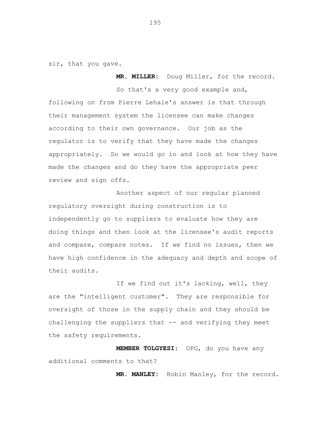sir, that you gave.

So that's a very good example and, following on from Pierre Lehaie's answer is that through their management system the licensee can make changes according to their own governance. Our job as the regulator is to verify that they have made the changes appropriately. So we would go in and look at how they have made the changes and do they have the appropriate peer review and sign offs.

**MR. MILLER:** Doug Miller, for the record.

Another aspect of our regular planned regulatory oversight during construction is to independently go to suppliers to evaluate how they are doing things and then look at the licensee's audit reports and compare, compare notes. If we find no issues, then we have high confidence in the adequacy and depth and scope of their audits.

If we find out it's lacking, well, they are the "intelligent customer". They are responsible for oversight of those in the supply chain and they should be challenging the suppliers that -- and verifying they meet the safety requirements.

**MEMBER TOLGYESI**: OPG, do you have any additional comments to that?

**MR. MANLEY:** Robin Manley, for the record.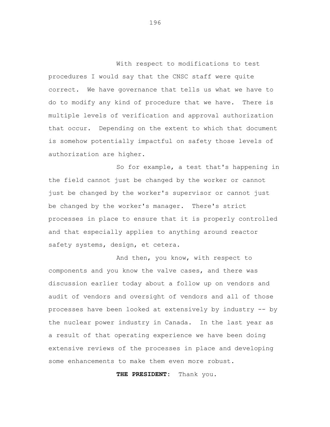With respect to modifications to test procedures I would say that the CNSC staff were quite correct. We have governance that tells us what we have to do to modify any kind of procedure that we have. There is multiple levels of verification and approval authorization that occur. Depending on the extent to which that document is somehow potentially impactful on safety those levels of authorization are higher.

So for example, a test that's happening in the field cannot just be changed by the worker or cannot just be changed by the worker's supervisor or cannot just be changed by the worker's manager. There's strict processes in place to ensure that it is properly controlled and that especially applies to anything around reactor safety systems, design, et cetera.

And then, you know, with respect to components and you know the valve cases, and there was discussion earlier today about a follow up on vendors and audit of vendors and oversight of vendors and all of those processes have been looked at extensively by industry -- by the nuclear power industry in Canada. In the last year as a result of that operating experience we have been doing extensive reviews of the processes in place and developing some enhancements to make them even more robust.

**THE PRESIDENT:** Thank you.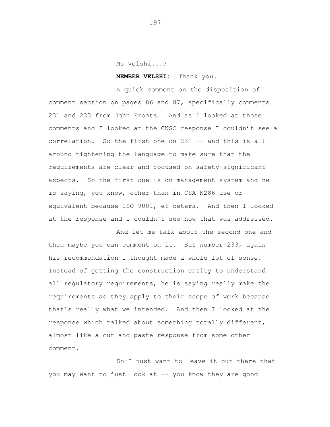Ms Velshi...?

**MEMBER VELSHI:** Thank you.

A quick comment on the disposition of comment section on pages 86 and 87, specifically comments 231 and 233 from John Froats. And as I looked at those comments and I looked at the CNSC response I couldn't see a correlation. So the first one on 231 -- and this is all around tightening the language to make sure that the requirements are clear and focused on safety-significant aspects. So the first one is on management system and he is saying, you know, other than in CSA N286 use or equivalent because ISO 9001, et cetera. And then I looked at the response and I couldn't see how that was addressed. And let me talk about the second one and

then maybe you can comment on it. But number 233, again his recommendation I thought made a whole lot of sense. Instead of getting the construction entity to understand all regulatory requirements, he is saying really make the requirements as they apply to their scope of work because that's really what we intended. And then I looked at the response which talked about something totally different, almost like a cut and paste response from some other comment.

So I just want to leave it out there that you may want to just look at -- you know they are good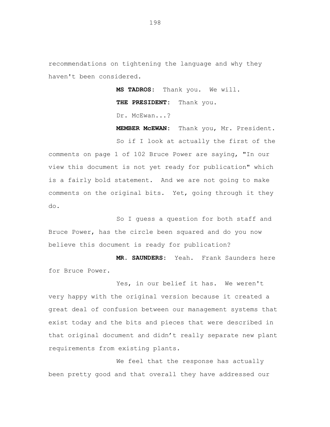recommendations on tightening the language and why they haven't been considered.

> **MS TADROS:** Thank you. We will. **THE PRESIDENT:** Thank you. Dr. McEwan...?

**MEMBER McEWAN:** Thank you, Mr. President.

So if I look at actually the first of the comments on page 1 of 102 Bruce Power are saying, "In our view this document is not yet ready for publication" which is a fairly bold statement. And we are not going to make comments on the original bits. Yet, going through it they do.

So I guess a question for both staff and Bruce Power, has the circle been squared and do you now believe this document is ready for publication?

**MR. SAUNDERS:** Yeah. Frank Saunders here for Bruce Power.

Yes, in our belief it has. We weren't very happy with the original version because it created a great deal of confusion between our management systems that exist today and the bits and pieces that were described in that original document and didn't really separate new plant requirements from existing plants.

We feel that the response has actually been pretty good and that overall they have addressed our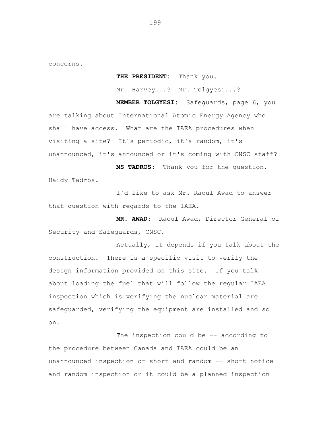concerns.

**THE PRESIDENT:** Thank you.

Mr. Harvey...? Mr. Tolgyesi...?

**MEMBER TOLGYESI:** Safeguards, page 6, you are talking about International Atomic Energy Agency who shall have access. What are the IAEA procedures when visiting a site? It's periodic, it's random, it's unannounced, it's announced or it's coming with CNSC staff?

**MS TADROS:** Thank you for the question. Haidy Tadros.

I'd like to ask Mr. Raoul Awad to answer that question with regards to the IAEA.

**MR. AWAD:** Raoul Awad, Director General of Security and Safeguards, CNSC.

Actually, it depends if you talk about the construction. There is a specific visit to verify the design information provided on this site. If you talk about loading the fuel that will follow the regular IAEA inspection which is verifying the nuclear material are safeguarded, verifying the equipment are installed and so on.

The inspection could be -- according to the procedure between Canada and IAEA could be an unannounced inspection or short and random -- short notice and random inspection or it could be a planned inspection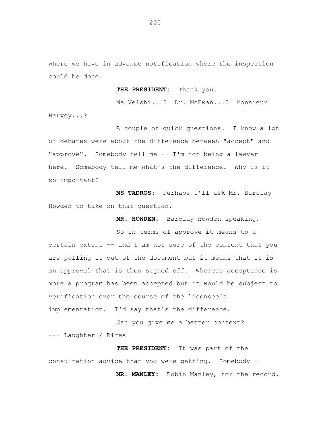where we have in advance notification where the inspection could be done.

**THE PRESIDENT:** Thank you.

Ms Velshi...? Dr. McEwan...? Monsieur Harvey...?

A couple of quick questions. I know a lot of debates were about the difference between "accept" and "approve". Somebody tell me -- I'm not being a lawyer here. Somebody tell me what's the difference. Why is it so important?

**MS TADROS:** Perhaps I'll ask Mr. Barclay Howden to take on that question.

**MR. HOWDEN:** Barclay Howden speaking.

So in terms of approve it means to a certain extent -- and I am not sure of the context that you are pulling it out of the document but it means that it is an approval that is then signed off. Whereas acceptance is more a program has been accepted but it would be subject to verification over the course of the licensee's implementation. I'd say that's the difference.

Can you give me a better context? --- Laughter / Rires

**THE PRESIDENT:** It was part of the consultation advice that you were getting. Somebody -- **MR. MANLEY:** Robin Manley, for the record.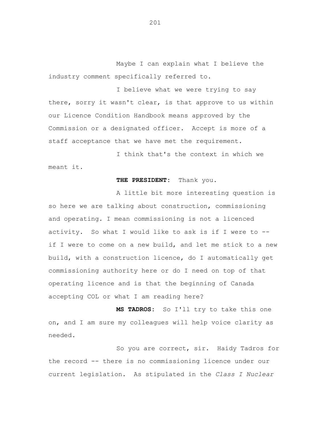Maybe I can explain what I believe the industry comment specifically referred to.

I believe what we were trying to say there, sorry it wasn't clear, is that approve to us within our Licence Condition Handbook means approved by the Commission or a designated officer. Accept is more of a staff acceptance that we have met the requirement.

I think that's the context in which we meant it.

## **THE PRESIDENT:** Thank you.

A little bit more interesting question is so here we are talking about construction, commissioning and operating. I mean commissioning is not a licenced activity. So what I would like to ask is if I were to - if I were to come on a new build, and let me stick to a new build, with a construction licence, do I automatically get commissioning authority here or do I need on top of that operating licence and is that the beginning of Canada accepting COL or what I am reading here?

**MS TADROS:** So I'll try to take this one on, and I am sure my colleagues will help voice clarity as needed.

So you are correct, sir. Haidy Tadros for the record -- there is no commissioning licence under our current legislation. As stipulated in the *Class I Nuclear*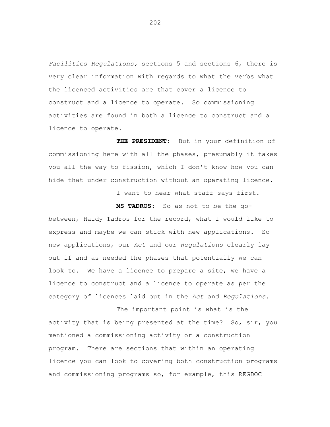*Facilities Regulations,* sections 5 and sections 6, there is very clear information with regards to what the verbs what the licenced activities are that cover a licence to construct and a licence to operate. So commissioning activities are found in both a licence to construct and a licence to operate.

**THE PRESIDENT**: But in your definition of commissioning here with all the phases, presumably it takes you all the way to fission, which I don't know how you can hide that under construction without an operating licence.

I want to hear what staff says first.

**MS TADROS:** So as not to be the gobetween, Haidy Tadros for the record, what I would like to express and maybe we can stick with new applications. So new applications, our *Act* and our *Regulations* clearly lay out if and as needed the phases that potentially we can look to. We have a licence to prepare a site, we have a licence to construct and a licence to operate as per the category of licences laid out in the *Act* and *Regulations*.

The important point is what is the activity that is being presented at the time? So, sir, you mentioned a commissioning activity or a construction program. There are sections that within an operating licence you can look to covering both construction programs and commissioning programs so, for example, this REGDOC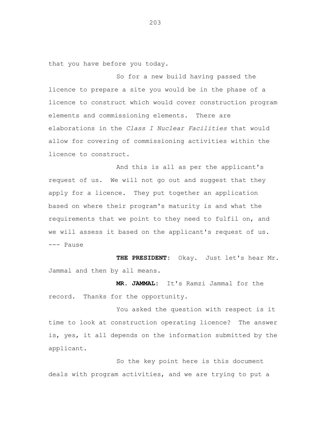that you have before you today.

So for a new build having passed the licence to prepare a site you would be in the phase of a licence to construct which would cover construction program elements and commissioning elements. There are elaborations in the *Class I Nuclear Facilities* that would allow for covering of commissioning activities within the licence to construct.

And this is all as per the applicant's request of us. We will not go out and suggest that they apply for a licence. They put together an application based on where their program's maturity is and what the requirements that we point to they need to fulfil on, and we will assess it based on the applicant's request of us. --- Pause

**THE PRESIDENT:** Okay. Just let's hear Mr. Jammal and then by all means.

**MR. JAMMAL:** It's Ramzi Jammal for the record. Thanks for the opportunity.

You asked the question with respect is it time to look at construction operating licence? The answer is, yes, it all depends on the information submitted by the applicant.

So the key point here is this document deals with program activities, and we are trying to put a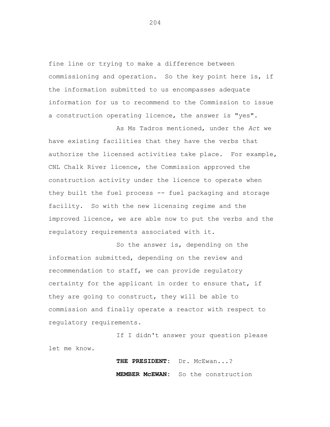fine line or trying to make a difference between commissioning and operation. So the key point here is, if the information submitted to us encompasses adequate information for us to recommend to the Commission to issue a construction operating licence, the answer is "yes".

As Ms Tadros mentioned, under the *Act* we have existing facilities that they have the verbs that authorize the licensed activities take place. For example, CNL Chalk River licence, the Commission approved the construction activity under the licence to operate when they built the fuel process -- fuel packaging and storage facility. So with the new licensing regime and the improved licence, we are able now to put the verbs and the regulatory requirements associated with it.

So the answer is, depending on the information submitted, depending on the review and recommendation to staff, we can provide regulatory certainty for the applicant in order to ensure that, if they are going to construct, they will be able to commission and finally operate a reactor with respect to regulatory requirements.

If I didn't answer your question please let me know.

> **THE PRESIDENT:** Dr. McEwan...? **MEMBER McEWAN:** So the construction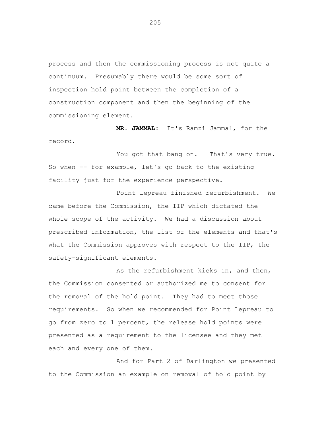process and then the commissioning process is not quite a continuum. Presumably there would be some sort of inspection hold point between the completion of a construction component and then the beginning of the commissioning element.

**MR. JAMMAL:** It's Ramzi Jammal, for the record.

You got that bang on. That's very true. So when -- for example, let's go back to the existing facility just for the experience perspective.

Point Lepreau finished refurbishment. We came before the Commission, the IIP which dictated the whole scope of the activity. We had a discussion about prescribed information, the list of the elements and that's what the Commission approves with respect to the IIP, the safety-significant elements.

As the refurbishment kicks in, and then, the Commission consented or authorized me to consent for the removal of the hold point. They had to meet those requirements. So when we recommended for Point Lepreau to go from zero to 1 percent, the release hold points were presented as a requirement to the licensee and they met each and every one of them.

And for Part 2 of Darlington we presented to the Commission an example on removal of hold point by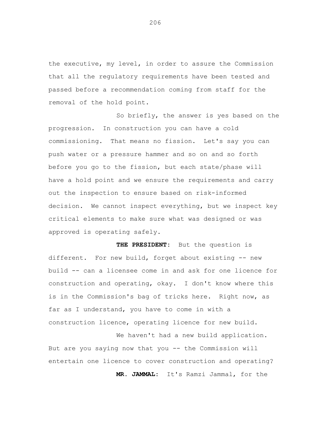the executive, my level, in order to assure the Commission that all the regulatory requirements have been tested and passed before a recommendation coming from staff for the removal of the hold point.

So briefly, the answer is yes based on the progression. In construction you can have a cold commissioning. That means no fission. Let's say you can push water or a pressure hammer and so on and so forth before you go to the fission, but each state/phase will have a hold point and we ensure the requirements and carry out the inspection to ensure based on risk-informed decision. We cannot inspect everything, but we inspect key critical elements to make sure what was designed or was approved is operating safely.

**THE PRESIDENT:** But the question is different. For new build, forget about existing -- new build -- can a licensee come in and ask for one licence for construction and operating, okay. I don't know where this is in the Commission's bag of tricks here. Right now, as far as I understand, you have to come in with a construction licence, operating licence for new build.

We haven't had a new build application. But are you saying now that you -- the Commission will entertain one licence to cover construction and operating? **MR. JAMMAL:** It's Ramzi Jammal, for the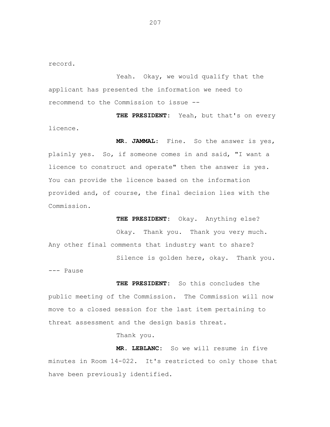record.

Yeah. Okay, we would qualify that the applicant has presented the information we need to recommend to the Commission to issue --

**THE PRESIDENT:** Yeah, but that's on every licence.

**MR. JAMMAL**: Fine. So the answer is yes, plainly yes. So, if someone comes in and said, "I want a licence to construct and operate" then the answer is yes. You can provide the licence based on the information provided and, of course, the final decision lies with the Commission.

**THE PRESIDENT:** Okay. Anything else? Okay. Thank you. Thank you very much. Any other final comments that industry want to share? Silence is golden here, okay. Thank you.

--- Pause

**THE PRESIDENT:** So this concludes the public meeting of the Commission. The Commission will now move to a closed session for the last item pertaining to threat assessment and the design basis threat.

Thank you.

**MR. LEBLANC:** So we will resume in five minutes in Room 14-022. It's restricted to only those that have been previously identified.